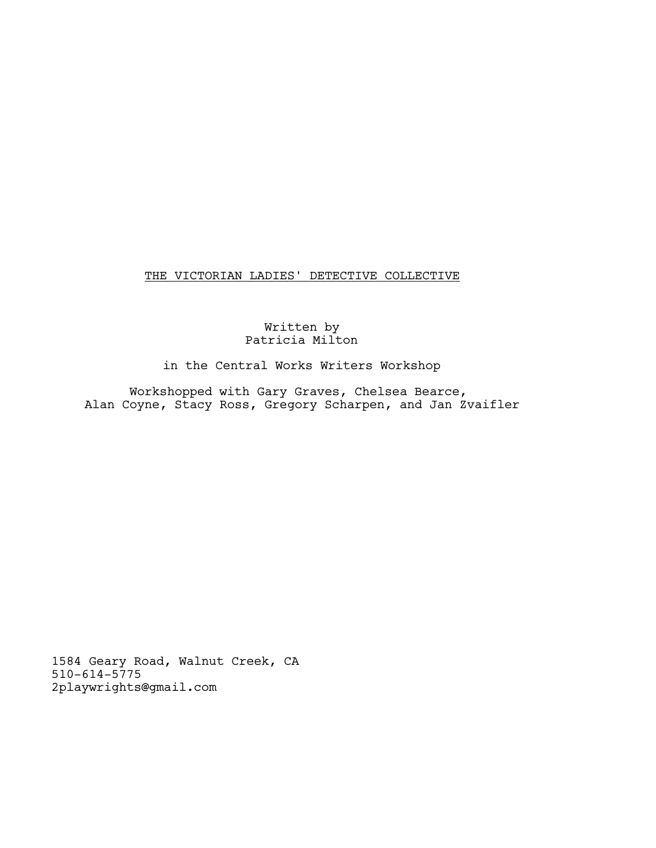THE VICTORIAN LADIES' DETECTIVE COLLECTIVE

### Written by Patricia Milton

in the Central Works Writers Workshop

Workshopped with Gary Graves, Chelsea Bearce, Alan Coyne, Stacy Ross, Gregory Scharpen, and Jan Zvaifler

1584 Geary Road, Walnut Creek, CA 510-614-5775 2playwrights@gmail.com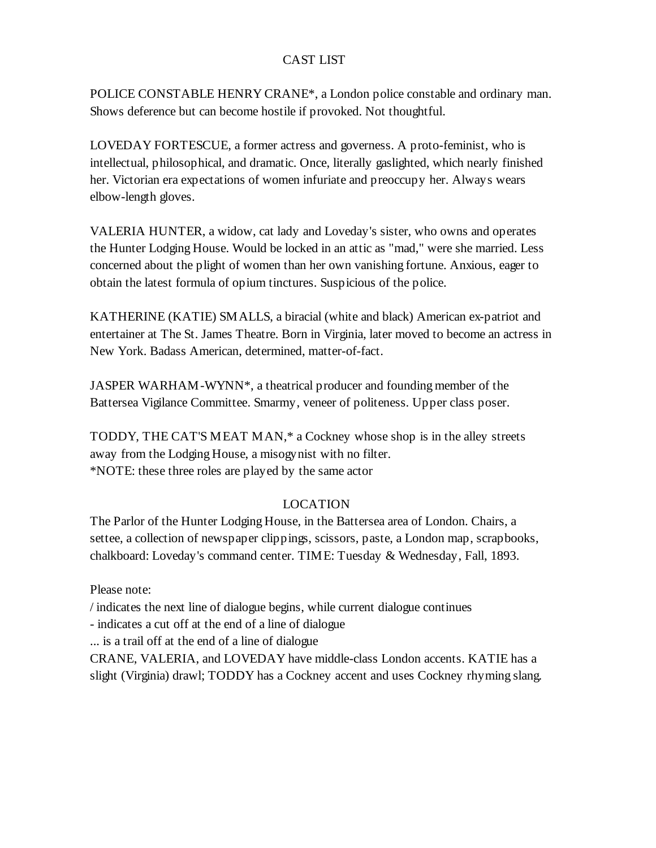# CAST LIST

POLICE CONSTABLE HENRY CRANE\*, a London police constable and ordinary man. Shows deference but can become hostile if provoked. Not thoughtful.

LOVEDAY FORTESCUE, a former actress and governess. A proto-feminist, who is intellectual, philosophical, and dramatic. Once, literally gaslighted, which nearly finished her. Victorian era expectations of women infuriate and preoccupy her. Always wears elbow-length gloves.

VALERIA HUNTER, a widow, cat lady and Loveday's sister, who owns and operates the Hunter Lodging House. Would be locked in an attic as "mad," were she married. Less concerned about the plight of women than her own vanishing fortune. Anxious, eager to obtain the latest formula of opium tinctures. Suspicious of the police.

KATHERINE (KATIE) SMALLS, a biracial (white and black) American ex-patriot and entertainer at The St. James Theatre. Born in Virginia, later moved to become an actress in New York. Badass American, determined, matter-of-fact.

JASPER WARHAM-WYNN\*, a theatrical producer and founding member of the Battersea Vigilance Committee. Smarmy, veneer of politeness. Upper class poser.

TODDY, THE CAT'S MEAT MAN,\* a Cockney whose shop is in the alley streets away from the Lodging House, a misogynist with no filter. \*NOTE: these three roles are played by the same actor

# LOCATION

The Parlor of the Hunter Lodging House, in the Battersea area of London. Chairs, a settee, a collection of newspaper clippings, scissors, paste, a London map, scrapbooks, chalkboard: Loveday's command center. TIME: Tuesday & Wednesday, Fall, 1893.

Please note:

/ indicates the next line of dialogue begins, while current dialogue continues

- indicates a cut off at the end of a line of dialogue

... is a trail off at the end of a line of dialogue

CRANE, VALERIA, and LOVEDAY have middle-class London accents. KATIE has a slight (Virginia) drawl; TODDY has a Cockney accent and uses Cockney rhyming slang.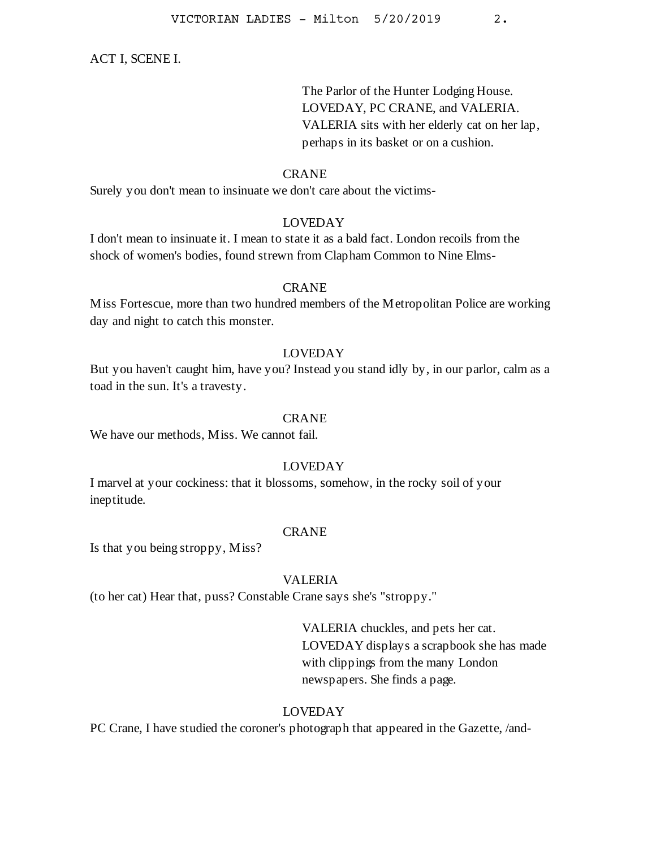ACT I, SCENE I.

The Parlor of the Hunter Lodging House. LOVEDAY, PC CRANE, and VALERIA. VALERIA sits with her elderly cat on her lap, perhaps in its basket or on a cushion.

#### CRANE

Surely you don't mean to insinuate we don't care about the victims-

### LOVEDAY

I don't mean to insinuate it. I mean to state it as a bald fact. London recoils from the shock of women's bodies, found strewn from Clapham Common to Nine Elms-

### CRANE

Miss Fortescue, more than two hundred members of the Metropolitan Police are working day and night to catch this monster.

# LOVEDAY

But you haven't caught him, have you? Instead you stand idly by, in our parlor, calm as a toad in the sun. It's a travesty.

#### CRANE

We have our methods, Miss. We cannot fail.

### LOVEDAY

I marvel at your cockiness: that it blossoms, somehow, in the rocky soil of your ineptitude.

### CRANE

Is that you being stroppy, Miss?

#### VALERIA

(to her cat) Hear that, puss? Constable Crane says she's "stroppy."

VALERIA chuckles, and pets her cat. LOVEDAY displays a scrapbook she has made with clippings from the many London newspapers. She finds a page.

### LOVEDAY

PC Crane, I have studied the coroner's photograph that appeared in the Gazette, /and-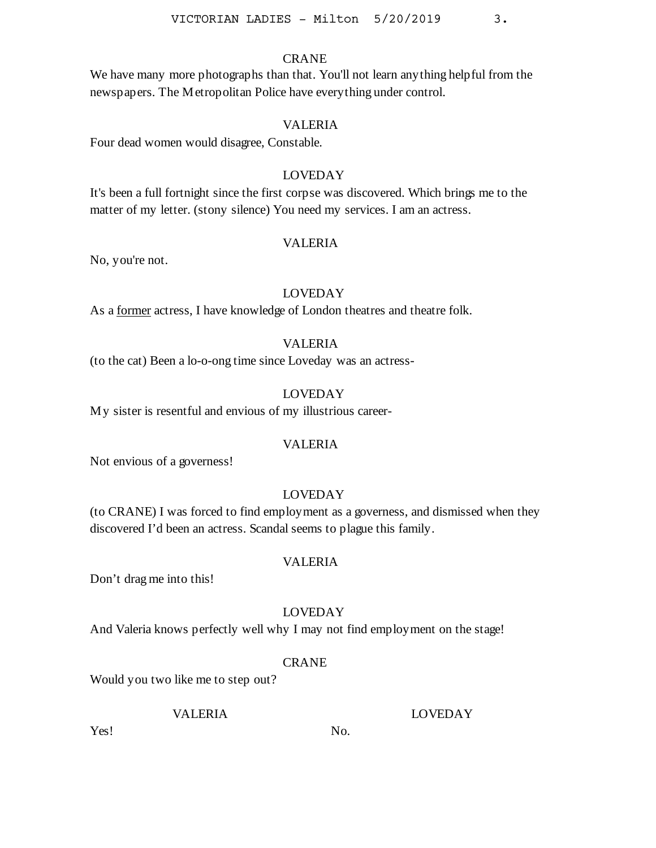# CRANE

We have many more photographs than that. You'll not learn anything helpful from the newspapers. The Metropolitan Police have everything under control.

### VALERIA

Four dead women would disagree, Constable.

### LOVEDAY

It's been a full fortnight since the first corpse was discovered. Which brings me to the matter of my letter. (stony silence) You need my services. I am an actress.

#### VALERIA

No, you're not.

#### LOVEDAY

As a former actress, I have knowledge of London theatres and theatre folk.

# VALERIA

(to the cat) Been a lo-o-ong time since Loveday was an actress-

### LOVEDAY

My sister is resentful and envious of my illustrious career-

#### VALERIA

Not envious of a governess!

# LOVEDAY

(to CRANE) I was forced to find employment as a governess, and dismissed when they discovered I'd been an actress. Scandal seems to plague this family.

### VALERIA

Don't drag me into this!

### LOVEDAY

And Valeria knows perfectly well why I may not find employment on the stage!

### **CRANE**

No.

Would you two like me to step out?

### VALERIA

LOVEDAY

Yes!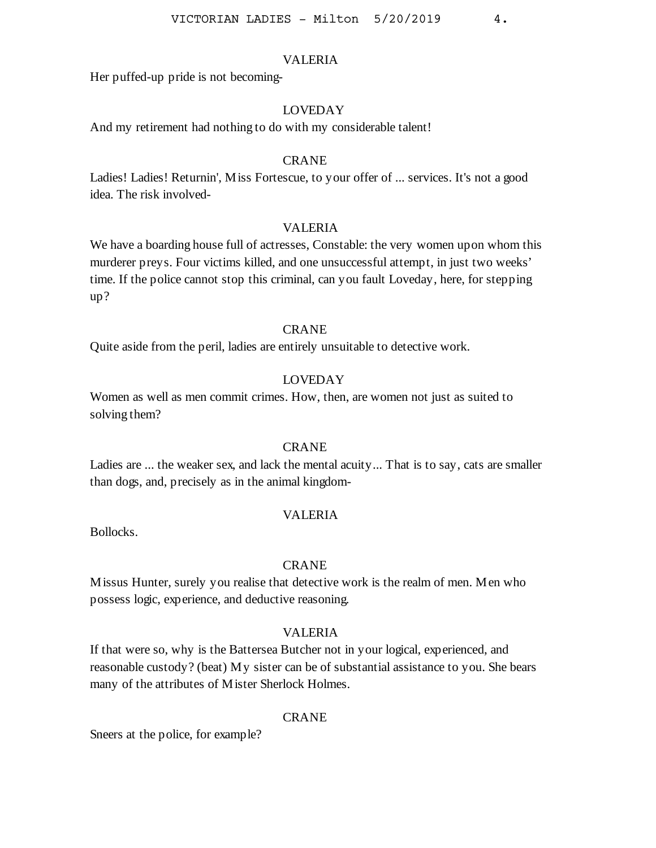Her puffed-up pride is not becoming-

### LOVEDAY

And my retirement had nothing to do with my considerable talent!

#### CRANE

Ladies! Ladies! Returnin', Miss Fortescue, to your offer of ... services. It's not a good idea. The risk involved-

#### VALERIA

We have a boarding house full of actresses, Constable: the very women upon whom this murderer preys. Four victims killed, and one unsuccessful attempt, in just two weeks' time. If the police cannot stop this criminal, can you fault Loveday, here, for stepping up?

### CRANE

Quite aside from the peril, ladies are entirely unsuitable to detective work.

### LOVEDAY

Women as well as men commit crimes. How, then, are women not just as suited to solving them?

#### **CRANE**

Ladies are ... the weaker sex, and lack the mental acuity... That is to say, cats are smaller than dogs, and, precisely as in the animal kingdom-

### VALERIA

Bollocks.

#### CRANE

Missus Hunter, surely you realise that detective work is the realm of men. Men who possess logic, experience, and deductive reasoning.

### VALERIA

If that were so, why is the Battersea Butcher not in your logical, experienced, and reasonable custody? (beat) My sister can be of substantial assistance to you. She bears many of the attributes of Mister Sherlock Holmes.

#### CRANE

Sneers at the police, for example?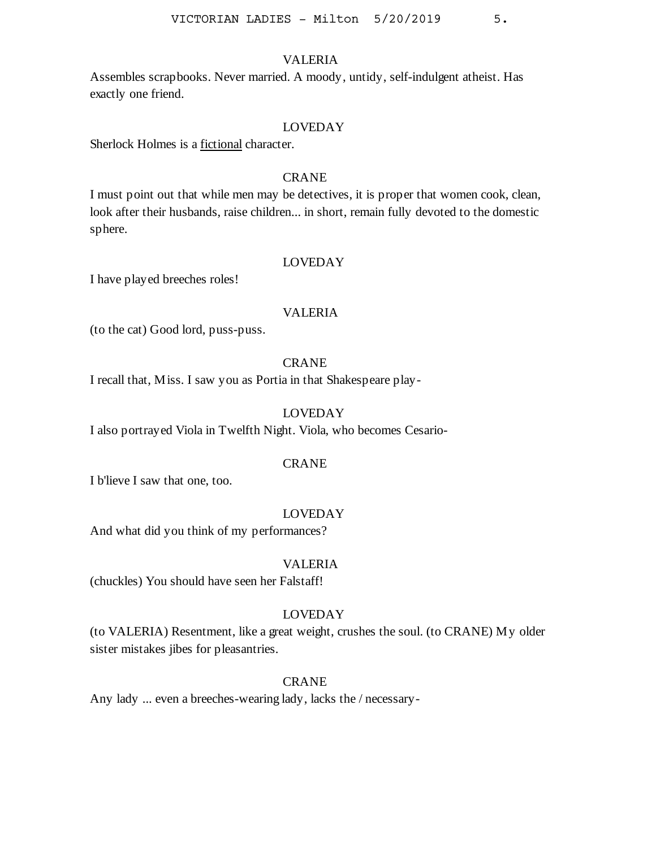Assembles scrapbooks. Never married. A moody, untidy, self-indulgent atheist. Has exactly one friend.

#### LOVEDAY

Sherlock Holmes is a fictional character.

# **CRANE**

I must point out that while men may be detectives, it is proper that women cook, clean, look after their husbands, raise children... in short, remain fully devoted to the domestic sphere.

#### LOVEDAY

I have played breeches roles!

### VALERIA

(to the cat) Good lord, puss-puss.

### CRANE

I recall that, Miss. I saw you as Portia in that Shakespeare play-

# LOVEDAY

I also portrayed Viola in Twelfth Night. Viola, who becomes Cesario-

#### CRANE

I b'lieve I saw that one, too.

### LOVEDAY

And what did you think of my performances?

#### VALERIA

(chuckles) You should have seen her Falstaff!

### LOVEDAY

(to VALERIA) Resentment, like a great weight, crushes the soul. (to CRANE) My older sister mistakes jibes for pleasantries.

#### **CRANE**

Any lady ... even a breeches-wearing lady, lacks the / necessary-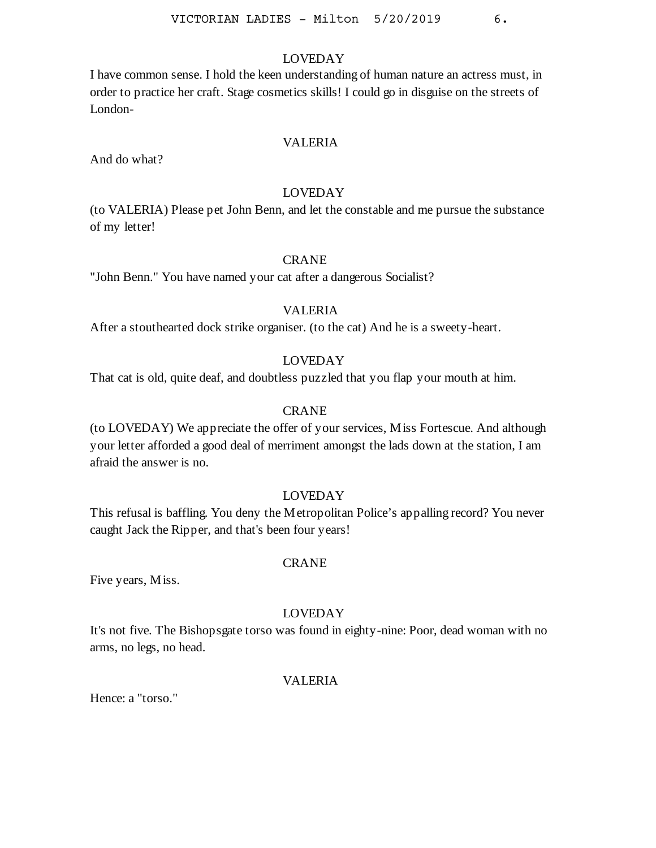I have common sense. I hold the keen understanding of human nature an actress must, in order to practice her craft. Stage cosmetics skills! I could go in disguise on the streets of London-

# VALERIA

And do what?

### LOVEDAY

(to VALERIA) Please pet John Benn, and let the constable and me pursue the substance of my letter!

# **CRANE**

"John Benn." You have named your cat after a dangerous Socialist?

#### VALERIA

After a stouthearted dock strike organiser. (to the cat) And he is a sweety-heart.

# LOVEDAY

That cat is old, quite deaf, and doubtless puzzled that you flap your mouth at him.

#### CRANE

(to LOVEDAY) We appreciate the offer of your services, Miss Fortescue. And although your letter afforded a good deal of merriment amongst the lads down at the station, I am afraid the answer is no.

### LOVEDAY

This refusal is baffling. You deny the Metropolitan Police's appalling record? You never caught Jack the Ripper, and that's been four years!

#### **CRANE**

Five years, Miss.

### LOVEDAY

It's not five. The Bishopsgate torso was found in eighty-nine: Poor, dead woman with no arms, no legs, no head.

### VALERIA

Hence: a "torso."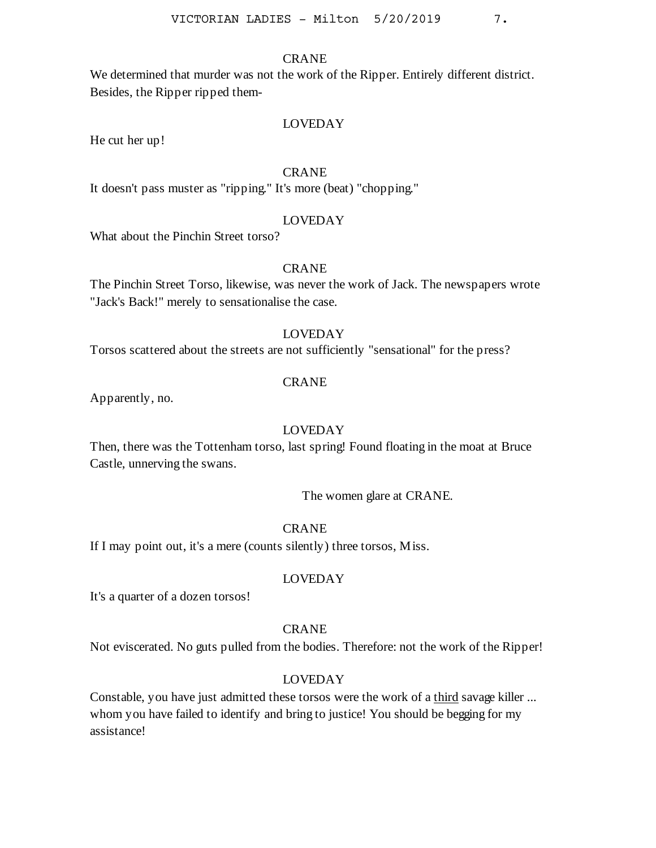### CRANE

We determined that murder was not the work of the Ripper. Entirely different district. Besides, the Ripper ripped them-

# LOVEDAY

He cut her up!

### CRANE

It doesn't pass muster as "ripping." It's more (beat) "chopping."

### LOVEDAY

What about the Pinchin Street torso?

### CRANE

The Pinchin Street Torso, likewise, was never the work of Jack. The newspapers wrote "Jack's Back!" merely to sensationalise the case.

#### LOVEDAY

Torsos scattered about the streets are not sufficiently "sensational" for the press?

#### CRANE

Apparently, no.

### LOVEDAY

Then, there was the Tottenham torso, last spring! Found floating in the moat at Bruce Castle, unnerving the swans.

The women glare at CRANE.

# CRANE

If I may point out, it's a mere (counts silently) three torsos, Miss.

### LOVEDAY

It's a quarter of a dozen torsos!

#### CRANE

Not eviscerated. No guts pulled from the bodies. Therefore: not the work of the Ripper!

# LOVEDAY

Constable, you have just admitted these torsos were the work of a third savage killer ... whom you have failed to identify and bring to justice! You should be begging for my assistance!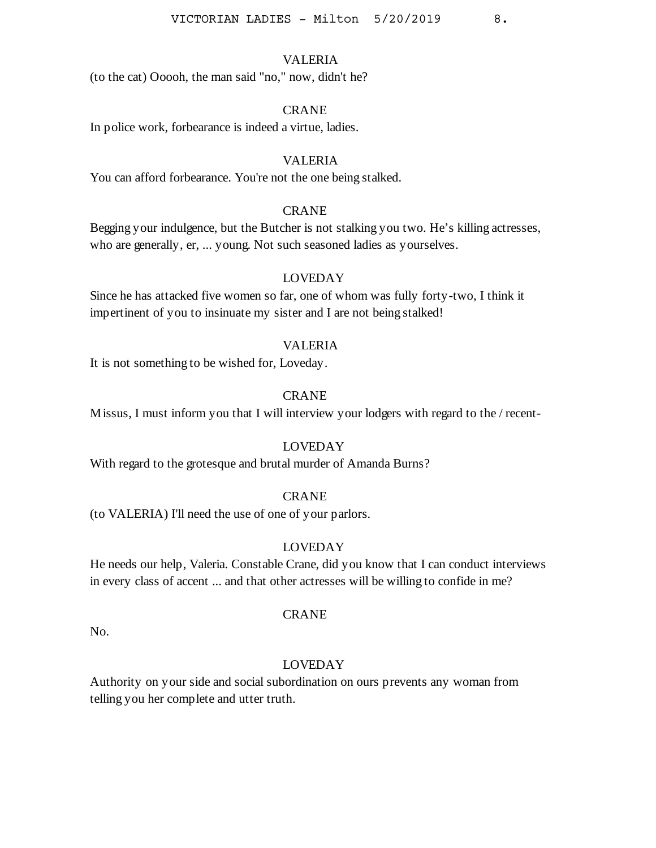(to the cat) Ooooh, the man said "no," now, didn't he?

#### CRANE

In police work, forbearance is indeed a virtue, ladies.

### VALERIA

You can afford forbearance. You're not the one being stalked.

### CRANE

Begging your indulgence, but the Butcher is not stalking you two. He's killing actresses, who are generally, er, ... young. Not such seasoned ladies as yourselves.

### LOVEDAY

Since he has attacked five women so far, one of whom was fully forty-two, I think it impertinent of you to insinuate my sister and I are not being stalked!

#### VALERIA

It is not something to be wished for, Loveday.

### **CRANE**

Missus, I must inform you that I will interview your lodgers with regard to the / recent-

#### LOVEDAY

With regard to the grotesque and brutal murder of Amanda Burns?

#### CRANE

(to VALERIA) I'll need the use of one of your parlors.

### LOVEDAY

He needs our help, Valeria. Constable Crane, did you know that I can conduct interviews in every class of accent ... and that other actresses will be willing to confide in me?

#### **CRANE**

No.

### LOVEDAY

Authority on your side and social subordination on ours prevents any woman from telling you her complete and utter truth.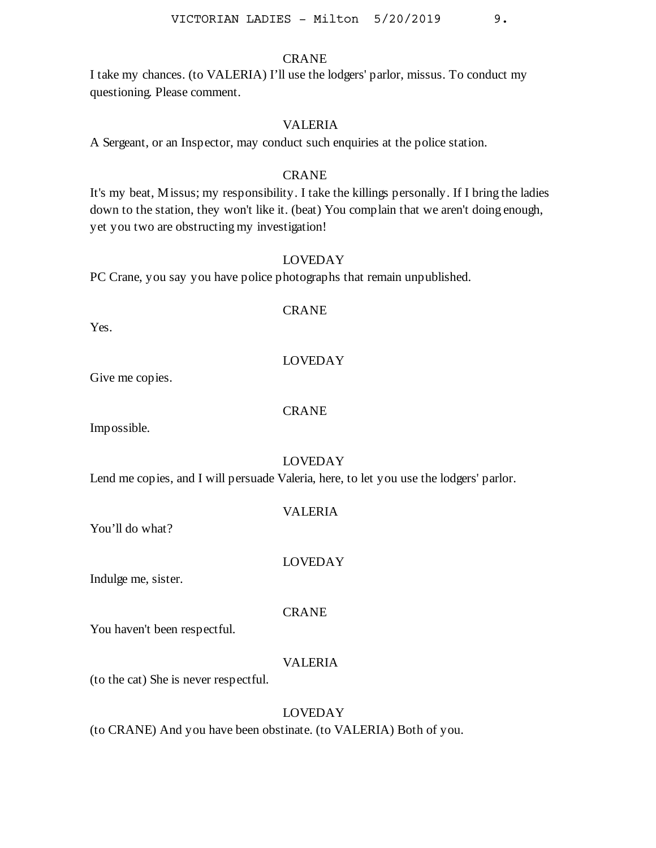### CRANE

I take my chances. (to VALERIA) I'll use the lodgers' parlor, missus. To conduct my questioning. Please comment.

### VALERIA

A Sergeant, or an Inspector, may conduct such enquiries at the police station.

### CRANE

It's my beat, Missus; my responsibility. I take the killings personally. If I bring the ladies down to the station, they won't like it. (beat) You complain that we aren't doing enough, yet you two are obstructing my investigation!

### LOVEDAY

PC Crane, you say you have police photographs that remain unpublished.

#### CRANE

Yes.

### LOVEDAY

Give me copies.

### CRANE

Impossible.

# LOVEDAY

Lend me copies, and I will persuade Valeria, here, to let you use the lodgers' parlor.

| VALERIA |
|---------|
|         |

You'll do what?

LOVEDAY

Indulge me, sister.

CRANE

You haven't been respectful.

# VALERIA

(to the cat) She is never respectful.

# LOVEDAY

(to CRANE) And you have been obstinate. (to VALERIA) Both of you.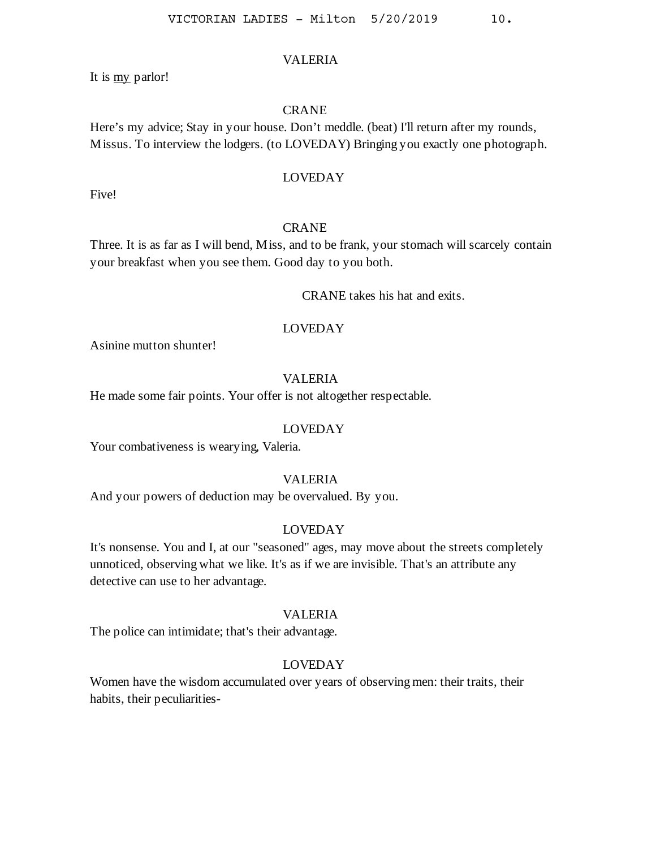It is my parlor!

### **CRANE**

Here's my advice; Stay in your house. Don't meddle. (beat) I'll return after my rounds, Missus. To interview the lodgers. (to LOVEDAY) Bringing you exactly one photograph.

# LOVEDAY

Five!

#### CRANE

Three. It is as far as I will bend, Miss, and to be frank, your stomach will scarcely contain your breakfast when you see them. Good day to you both.

CRANE takes his hat and exits.

#### LOVEDAY

Asinine mutton shunter!

### VALERIA

He made some fair points. Your offer is not altogether respectable.

#### LOVEDAY

Your combativeness is wearying, Valeria.

# VALERIA

And your powers of deduction may be overvalued. By you.

### LOVEDAY

It's nonsense. You and I, at our "seasoned" ages, may move about the streets completely unnoticed, observing what we like. It's as if we are invisible. That's an attribute any detective can use to her advantage.

# VALERIA

The police can intimidate; that's their advantage.

#### LOVEDAY

Women have the wisdom accumulated over years of observing men: their traits, their habits, their peculiarities-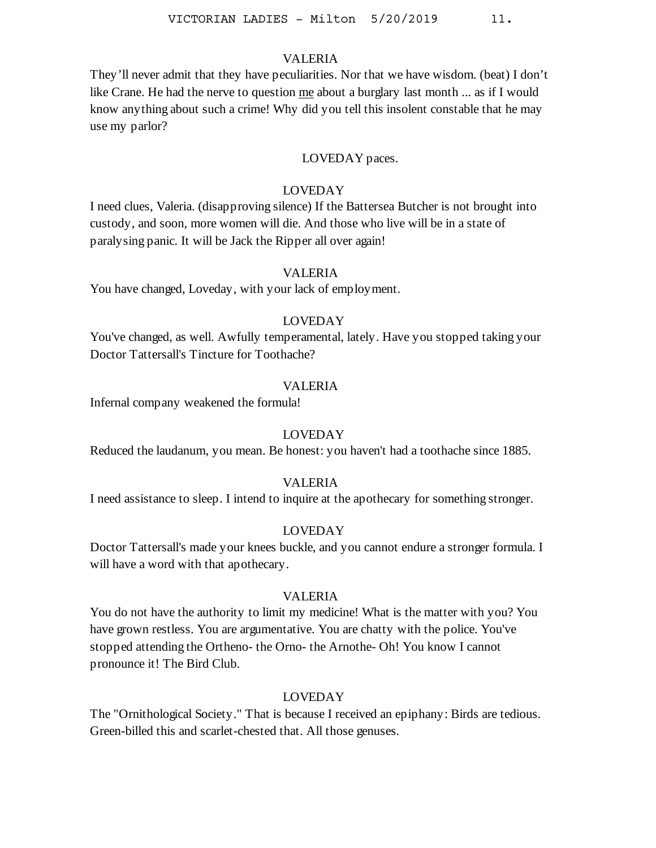They'll never admit that they have peculiarities. Nor that we have wisdom. (beat) I don't like Crane. He had the nerve to question me about a burglary last month ... as if I would know anything about such a crime! Why did you tell this insolent constable that he may use my parlor?

### LOVEDAY paces.

### LOVEDAY

I need clues, Valeria. (disapproving silence) If the Battersea Butcher is not brought into custody, and soon, more women will die. And those who live will be in a state of paralysing panic. It will be Jack the Ripper all over again!

### VALERIA

You have changed, Loveday, with your lack of employment.

# LOVEDAY

You've changed, as well. Awfully temperamental, lately. Have you stopped taking your Doctor Tattersall's Tincture for Toothache?

#### VALERIA

Infernal company weakened the formula!

### LOVEDAY

Reduced the laudanum, you mean. Be honest: you haven't had a toothache since 1885.

#### VALERIA

I need assistance to sleep. I intend to inquire at the apothecary for something stronger.

# LOVEDAY

Doctor Tattersall's made your knees buckle, and you cannot endure a stronger formula. I will have a word with that apothecary.

#### VALERIA

You do not have the authority to limit my medicine! What is the matter with you? You have grown restless. You are argumentative. You are chatty with the police. You've stopped attending the Ortheno- the Orno- the Arnothe- Oh! You know I cannot pronounce it! The Bird Club.

### LOVEDAY

The "Ornithological Society." That is because I received an epiphany: Birds are tedious. Green-billed this and scarlet-chested that. All those genuses.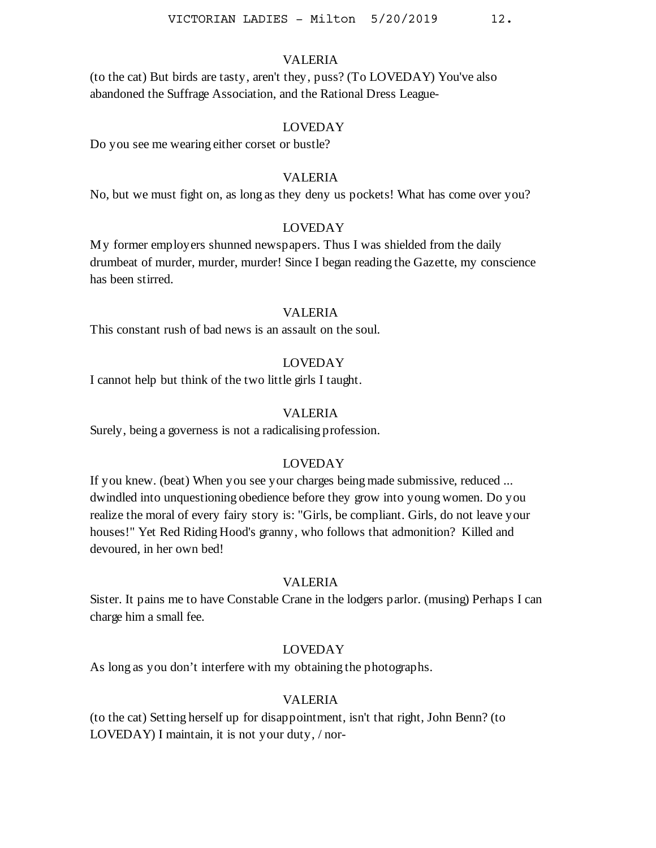(to the cat) But birds are tasty, aren't they, puss? (To LOVEDAY) You've also abandoned the Suffrage Association, and the Rational Dress League-

### LOVEDAY

Do you see me wearing either corset or bustle?

### VALERIA

No, but we must fight on, as long as they deny us pockets! What has come over you?

# LOVEDAY

My former employers shunned newspapers. Thus I was shielded from the daily drumbeat of murder, murder, murder! Since I began reading the Gazette, my conscience has been stirred.

### VALERIA

This constant rush of bad news is an assault on the soul.

### LOVEDAY

I cannot help but think of the two little girls I taught.

### VALERIA

Surely, being a governess is not a radicalising profession.

#### LOVEDAY

If you knew. (beat) When you see your charges being made submissive, reduced ... dwindled into unquestioning obedience before they grow into young women. Do you realize the moral of every fairy story is: "Girls, be compliant. Girls, do not leave your houses!" Yet Red Riding Hood's granny, who follows that admonition? Killed and devoured, in her own bed!

### VALERIA

Sister. It pains me to have Constable Crane in the lodgers parlor. (musing) Perhaps I can charge him a small fee.

### LOVEDAY

As long as you don't interfere with my obtaining the photographs.

### VALERIA

(to the cat) Setting herself up for disappointment, isn't that right, John Benn? (to LOVEDAY) I maintain, it is not your duty, / nor-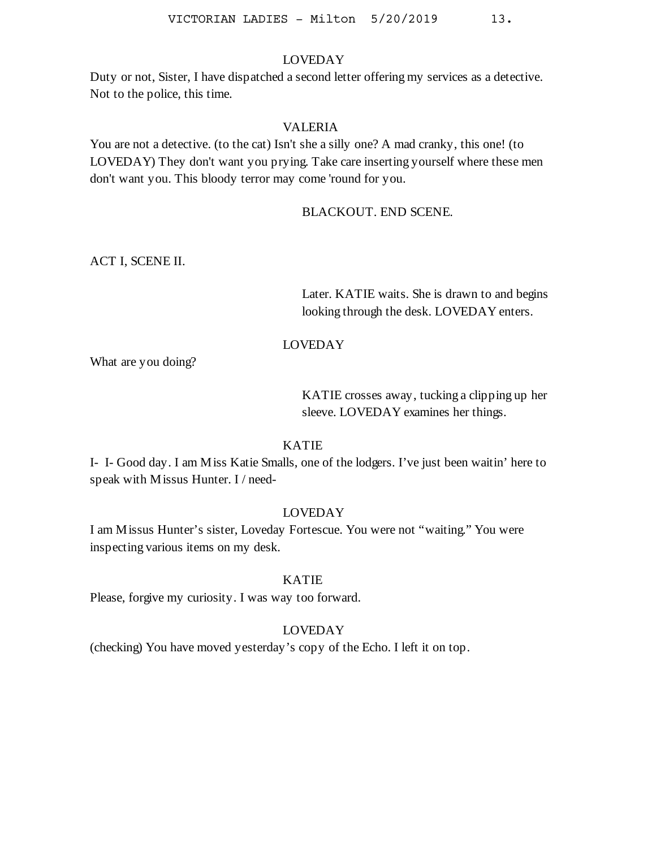Duty or not, Sister, I have dispatched a second letter offering my services as a detective. Not to the police, this time.

#### VALERIA

You are not a detective. (to the cat) Isn't she a silly one? A mad cranky, this one! (to LOVEDAY) They don't want you prying. Take care inserting yourself where these men don't want you. This bloody terror may come 'round for you.

# BLACKOUT. END SCENE.

ACT I, SCENE II.

Later. KATIE waits. She is drawn to and begins looking through the desk. LOVEDAY enters.

# LOVEDAY

What are you doing?

KATIE crosses away, tucking a clipping up her sleeve. LOVEDAY examines her things.

### KATIE

I- I- Good day. I am Miss Katie Smalls, one of the lodgers. I've just been waitin' here to speak with Missus Hunter. I / need-

# LOVEDAY

I am Missus Hunter's sister, Loveday Fortescue. You were not "waiting." You were inspecting various items on my desk.

### KATIE

Please, forgive my curiosity. I was way too forward.

# LOVEDAY

(checking) You have moved yesterday's copy of the Echo. I left it on top.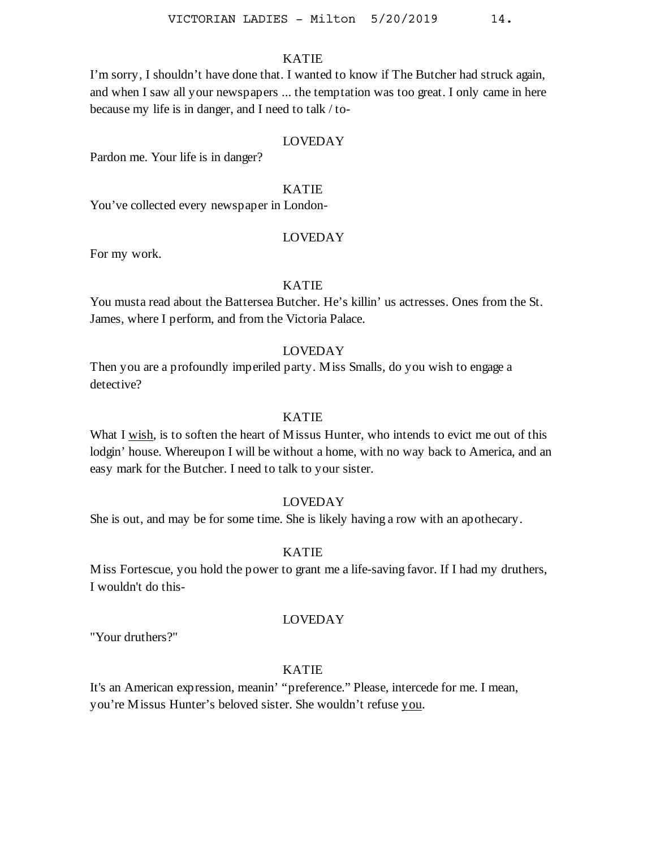I'm sorry, I shouldn't have done that. I wanted to know if The Butcher had struck again, and when I saw all your newspapers ... the temptation was too great. I only came in here because my life is in danger, and I need to talk / to-

### LOVEDAY

Pardon me. Your life is in danger?

### KATIE

You've collected every newspaper in London-

#### LOVEDAY

For my work.

### KATIE

You musta read about the Battersea Butcher. He's killin' us actresses. Ones from the St. James, where I perform, and from the Victoria Palace.

### LOVEDAY

Then you are a profoundly imperiled party. Miss Smalls, do you wish to engage a detective?

### KATIE

What I wish, is to soften the heart of M issus Hunter, who intends to evict me out of this lodgin' house. Whereupon I will be without a home, with no way back to America, and an easy mark for the Butcher. I need to talk to your sister.

# LOVEDAY

She is out, and may be for some time. She is likely having a row with an apothecary.

### KATIE

Miss Fortescue, you hold the power to grant me a life-saving favor. If I had my druthers, I wouldn't do this-

### LOVEDAY

"Your druthers?"

# KATIE

It's an American expression, meanin' "preference." Please, intercede for me. I mean, you're Missus Hunter's beloved sister. She wouldn't refuse you.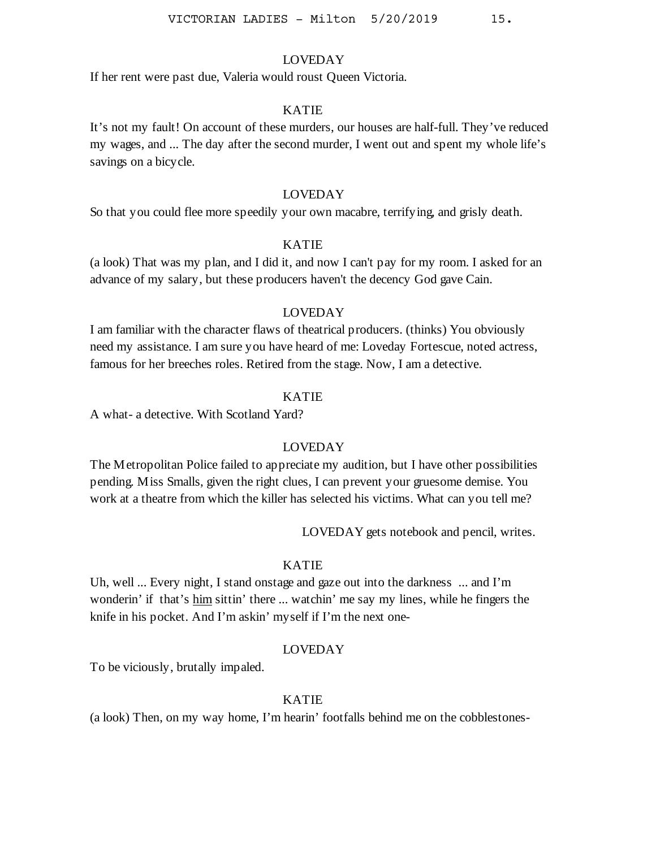If her rent were past due, Valeria would roust Queen Victoria.

#### KATIE

It's not my fault! On account of these murders, our houses are half-full. They've reduced my wages, and ... The day after the second murder, I went out and spent my whole life's savings on a bicycle.

### LOVEDAY

So that you could flee more speedily your own macabre, terrifying, and grisly death.

### KATIE

(a look) That was my plan, and I did it, and now I can't pay for my room. I asked for an advance of my salary, but these producers haven't the decency God gave Cain.

# LOVEDAY

I am familiar with the character flaws of theatrical producers. (thinks) You obviously need my assistance. I am sure you have heard of me: Loveday Fortescue, noted actress, famous for her breeches roles. Retired from the stage. Now, I am a detective.

### KATIE

A what- a detective. With Scotland Yard?

#### LOVEDAY

The Metropolitan Police failed to appreciate my audition, but I have other possibilities pending. Miss Smalls, given the right clues, I can prevent your gruesome demise. You work at a theatre from which the killer has selected his victims. What can you tell me?

LOVEDAY gets notebook and pencil, writes.

### KATIE

Uh, well ... Every night, I stand onstage and gaze out into the darkness ... and I'm wonderin' if that's him sittin' there ... watchin' me say my lines, while he fingers the knife in his pocket. And I'm askin' myself if I'm the next one-

#### LOVEDAY

To be viciously, brutally impaled.

### KATIE

(a look) Then, on my way home, I'm hearin' footfalls behind me on the cobblestones-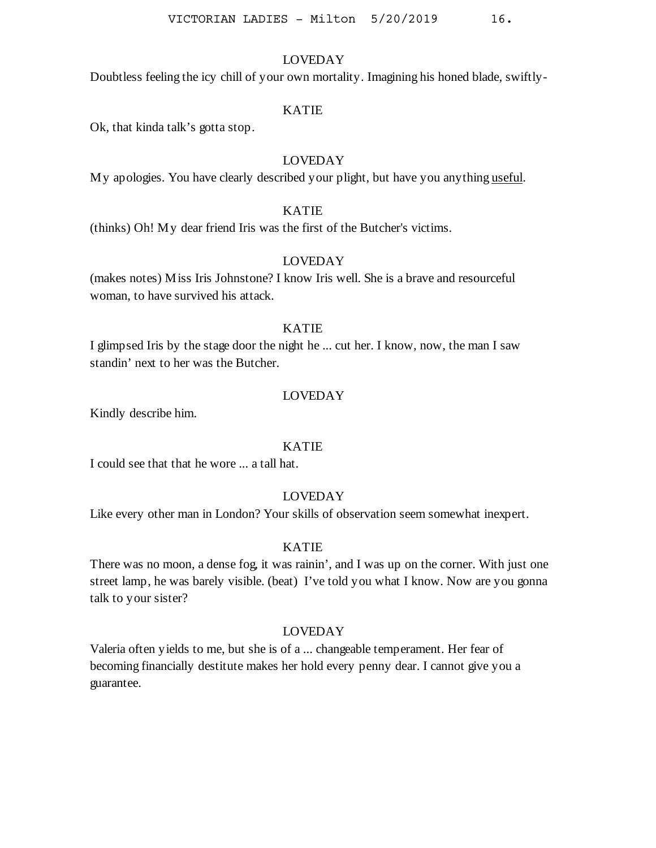Doubtless feeling the icy chill of your own mortality. Imagining his honed blade, swiftly-

### KATIE

Ok, that kinda talk's gotta stop.

# LOVEDAY

My apologies. You have clearly described your plight, but have you anything useful.

### KATIE

(thinks) Oh! My dear friend Iris was the first of the Butcher's victims.

#### LOVEDAY

(makes notes) Miss Iris Johnstone? I know Iris well. She is a brave and resourceful woman, to have survived his attack.

### KATIE

I glimpsed Iris by the stage door the night he ... cut her. I know, now, the man I saw standin' next to her was the Butcher.

# LOVEDAY

Kindly describe him.

#### KATIE

I could see that that he wore ... a tall hat.

# LOVEDAY

Like every other man in London? Your skills of observation seem somewhat inexpert.

### KATIE

There was no moon, a dense fog, it was rainin', and I was up on the corner. With just one street lamp, he was barely visible. (beat) I've told you what I know. Now are you gonna talk to your sister?

### LOVEDAY

Valeria often yields to me, but she is of a ... changeable temperament. Her fear of becoming financially destitute makes her hold every penny dear. I cannot give you a guarantee.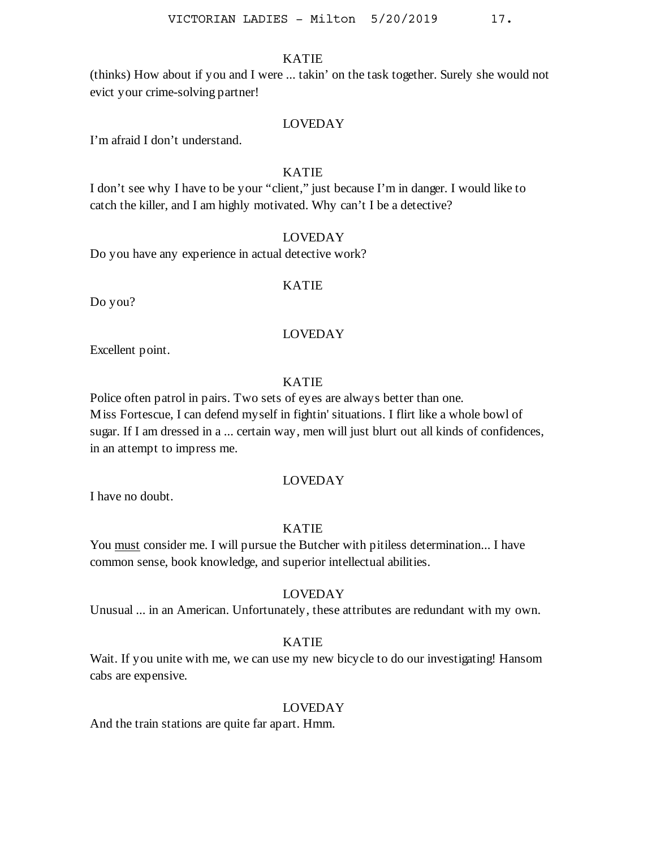(thinks) How about if you and I were ... takin' on the task together. Surely she would not evict your crime-solving partner!

# LOVEDAY

I'm afraid I don't understand.

### KATIE

I don't see why I have to be your "client," just because I'm in danger. I would like to catch the killer, and I am highly motivated. Why can't I be a detective?

# LOVEDAY

Do you have any experience in actual detective work?

# KATIE

Do you?

### LOVEDAY

Excellent point.

# KATIE

Police often patrol in pairs. Two sets of eyes are always better than one. Miss Fortescue, I can defend myself in fightin' situations. I flirt like a whole bowl of sugar. If I am dressed in a ... certain way, men will just blurt out all kinds of confidences, in an attempt to impress me.

### LOVEDAY

I have no doubt.

### KATIE

You must consider me. I will pursue the Butcher with pitiless determination... I have common sense, book knowledge, and superior intellectual abilities.

### LOVEDAY

Unusual ... in an American. Unfortunately, these attributes are redundant with my own.

### KATIE

Wait. If you unite with me, we can use my new bicycle to do our investigating! Hansom cabs are expensive.

# LOVEDAY

And the train stations are quite far apart. Hmm.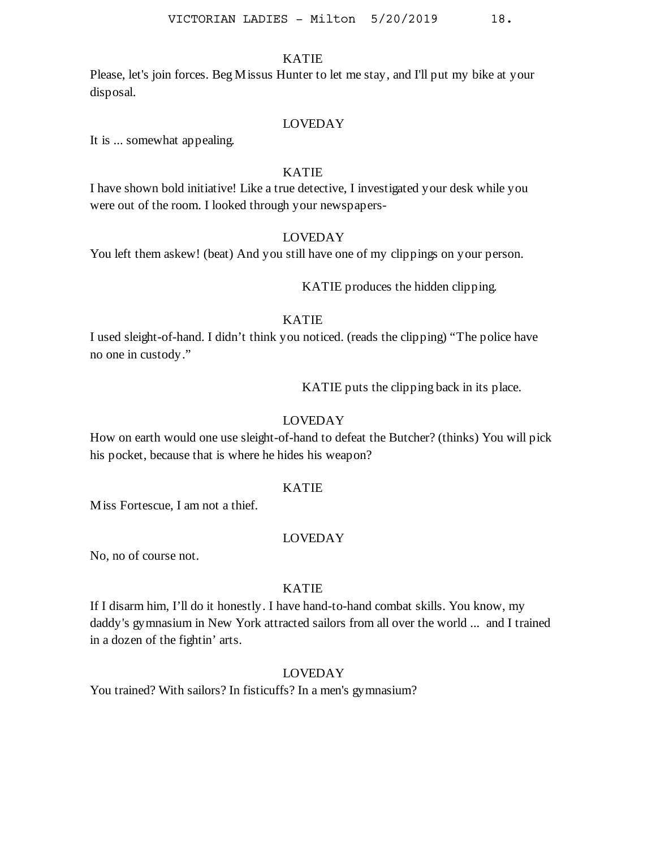Please, let's join forces. Beg Missus Hunter to let me stay, and I'll put my bike at your disposal.

### LOVEDAY

It is ... somewhat appealing.

# KATIE

I have shown bold initiative! Like a true detective, I investigated your desk while you were out of the room. I looked through your newspapers-

# LOVEDAY

You left them askew! (beat) And you still have one of my clippings on your person.

KATIE produces the hidden clipping.

# KATIE

I used sleight-of-hand. I didn't think you noticed. (reads the clipping) "The police have no one in custody."

KATIE puts the clipping back in its place.

# LOVEDAY

How on earth would one use sleight-of-hand to defeat the Butcher? (thinks) You will pick his pocket, because that is where he hides his weapon?

### KATIE

Miss Fortescue, I am not a thief.

# LOVEDAY

No, no of course not.

# KATIE

If I disarm him, I'll do it honestly. I have hand-to-hand combat skills. You know, my daddy's gymnasium in New York attracted sailors from all over the world ... and I trained in a dozen of the fightin' arts.

# LOVEDAY

You trained? With sailors? In fisticuffs? In a men's gymnasium?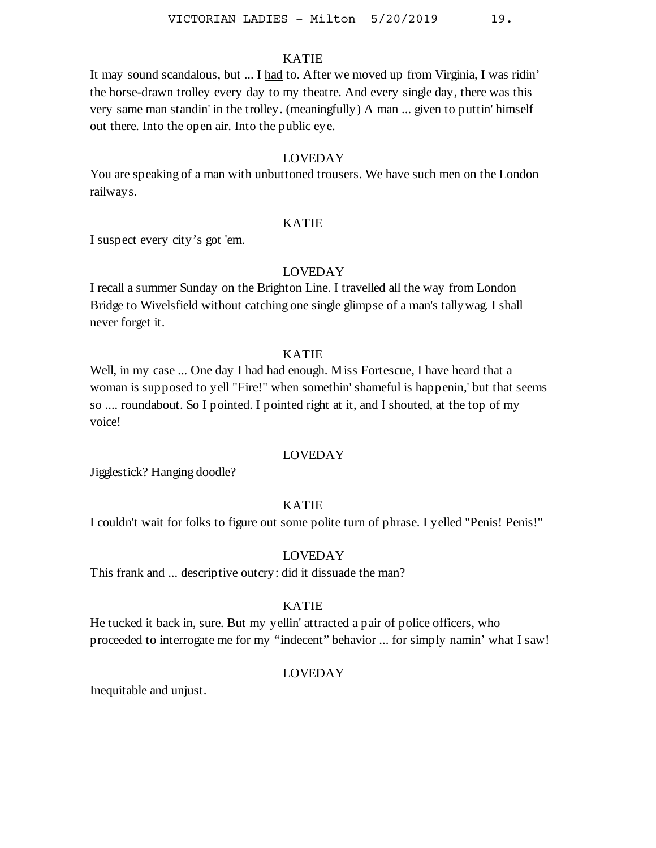It may sound scandalous, but ... I had to. After we moved up from Virginia, I was ridin' the horse-drawn trolley every day to my theatre. And every single day, there was this very same man standin' in the trolley. (meaningfully) A man ... given to puttin' himself out there. Into the open air. Into the public eye.

# LOVEDAY

You are speaking of a man with unbuttoned trousers. We have such men on the London railways.

### KATIE

I suspect every city's got 'em.

# LOVEDAY

I recall a summer Sunday on the Brighton Line. I travelled all the way from London Bridge to Wivelsfield without catching one single glimpse of a man's tallywag. I shall never forget it.

### KATIE

Well, in my case ... One day I had had enough. Miss Fortescue, I have heard that a woman is supposed to yell "Fire!" when somethin' shameful is happenin,' but that seems so .... roundabout. So I pointed. I pointed right at it, and I shouted, at the top of my voice!

#### LOVEDAY

Jigglestick? Hanging doodle?

### KATIE

I couldn't wait for folks to figure out some polite turn of phrase. I yelled "Penis! Penis!"

#### LOVEDAY

This frank and ... descriptive outcry: did it dissuade the man?

### KATIE

He tucked it back in, sure. But my yellin' attracted a pair of police officers, who proceeded to interrogate me for my "indecent" behavior ... for simply namin' what I saw!

### LOVEDAY

Inequitable and unjust.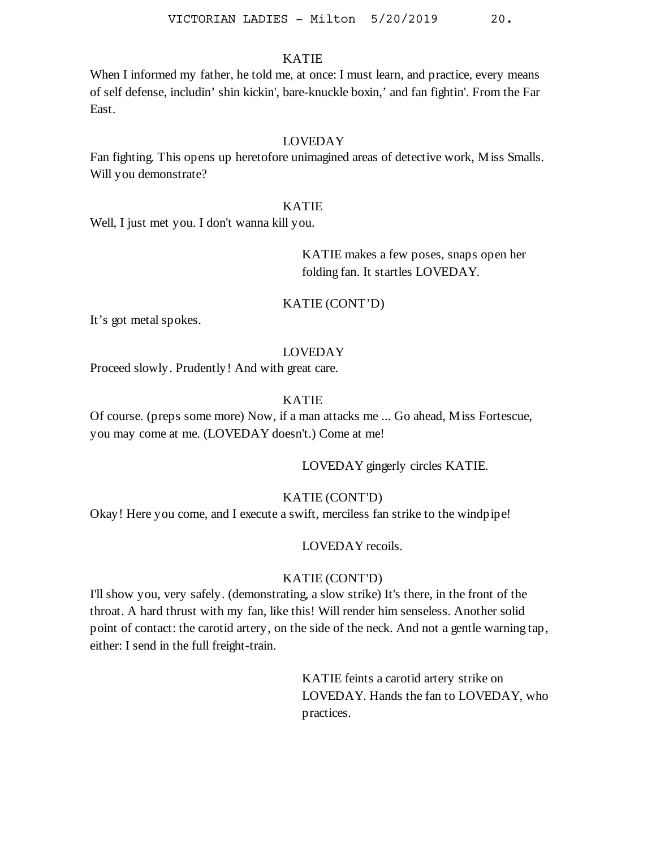When I informed my father, he told me, at once: I must learn, and practice, every means of self defense, includin' shin kickin', bare-knuckle boxin,' and fan fightin'. From the Far East.

# LOVEDAY

Fan fighting. This opens up heretofore unimagined areas of detective work, Miss Smalls. Will you demonstrate?

# KATIE

Well, I just met you. I don't wanna kill you.

KATIE makes a few poses, snaps open her folding fan. It startles LOVEDAY.

#### KATIE (CONT'D)

It's got metal spokes.

### LOVEDAY

Proceed slowly. Prudently! And with great care.

# KATIE

Of course. (preps some more) Now, if a man attacks me ... Go ahead, Miss Fortescue, you may come at me. (LOVEDAY doesn't.) Come at me!

LOVEDAY gingerly circles KATIE.

# KATIE (CONT'D)

Okay! Here you come, and I execute a swift, merciless fan strike to the windpipe!

### LOVEDAY recoils.

# KATIE (CONT'D)

I'll show you, very safely. (demonstrating, a slow strike) It's there, in the front of the throat. A hard thrust with my fan, like this! Will render him senseless. Another solid point of contact: the carotid artery, on the side of the neck. And not a gentle warning tap, either: I send in the full freight-train.

> KATIE feints a carotid artery strike on LOVEDAY. Hands the fan to LOVEDAY, who practices.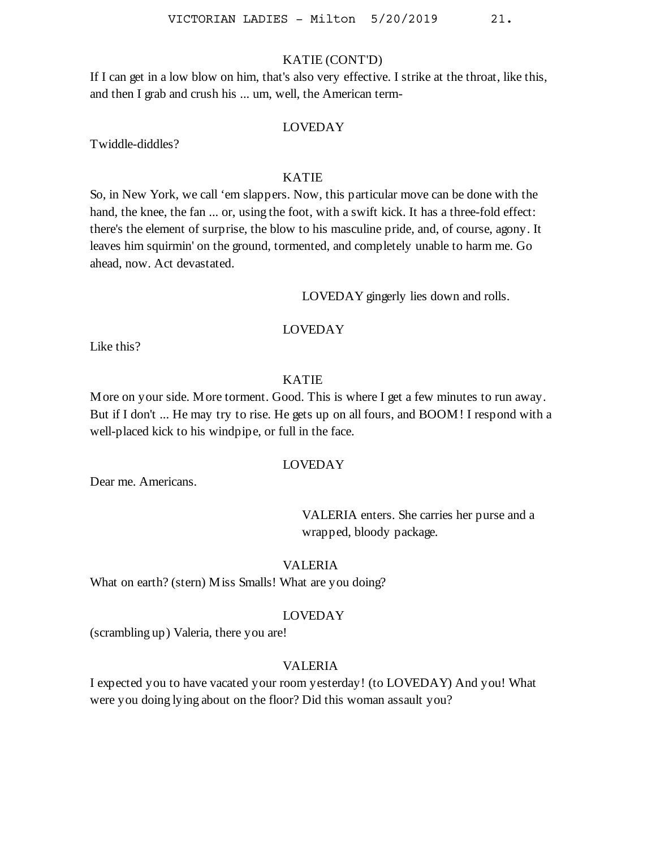# KATIE (CONT'D)

If I can get in a low blow on him, that's also very effective. I strike at the throat, like this, and then I grab and crush his ... um, well, the American term-

#### LOVEDAY

Twiddle-diddles?

# KATIE

So, in New York, we call 'em slappers. Now, this particular move can be done with the hand, the knee, the fan ... or, using the foot, with a swift kick. It has a three-fold effect: there's the element of surprise, the blow to his masculine pride, and, of course, agony. It leaves him squirmin' on the ground, tormented, and completely unable to harm me. Go ahead, now. Act devastated.

LOVEDAY gingerly lies down and rolls.

# LOVEDAY

Like this?

# KATIE

More on your side. More torment. Good. This is where I get a few minutes to run away. But if I don't ... He may try to rise. He gets up on all fours, and BOOM! I respond with a well-placed kick to his windpipe, or full in the face.

# LOVEDAY

Dear me. Americans.

VALERIA enters. She carries her purse and a wrapped, bloody package.

### VALERIA

What on earth? (stern) Miss Smalls! What are you doing?

#### LOVEDAY

(scrambling up) Valeria, there you are!

#### VALERIA

I expected you to have vacated your room yesterday! (to LOVEDAY) And you! What were you doing lying about on the floor? Did this woman assault you?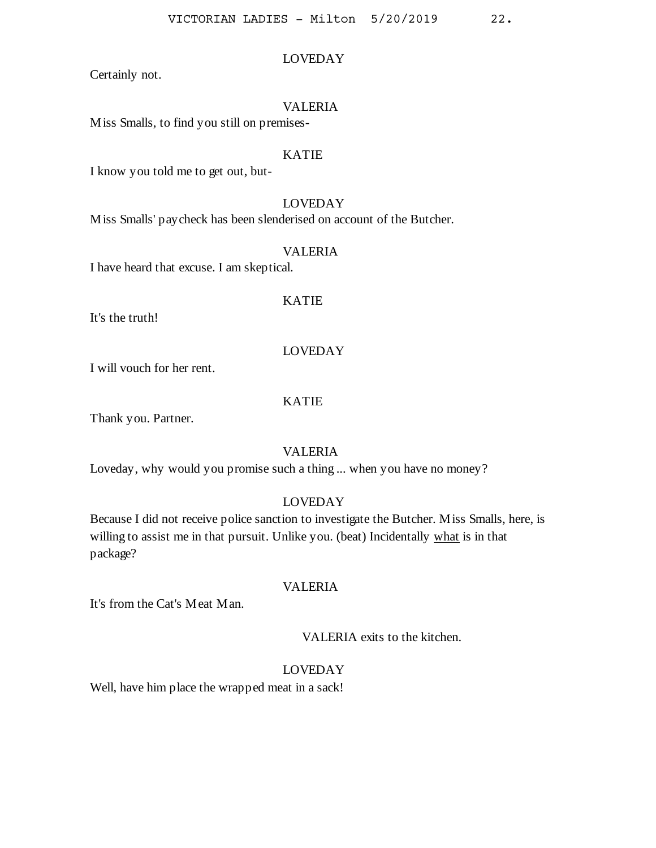Certainly not.

# VALERIA

LOVEDAY

Miss Smalls, to find you still on premises-

### KATIE

I know you told me to get out, but-

# LOVEDAY

Miss Smalls' paycheck has been slenderised on account of the Butcher.

### VALERIA

I have heard that excuse. I am skeptical.

# KATIE

It's the truth!

### LOVEDAY

I will vouch for her rent.

# KATIE

Thank you. Partner.

### VALERIA

Loveday, why would you promise such a thing ... when you have no money?

# LOVEDAY

Because I did not receive police sanction to investigate the Butcher. Miss Smalls, here, is willing to assist me in that pursuit. Unlike you. (beat) Incidentally what is in that package?

### VALERIA

It's from the Cat's Meat Man.

VALERIA exits to the kitchen.

# LOVEDAY

Well, have him place the wrapped meat in a sack!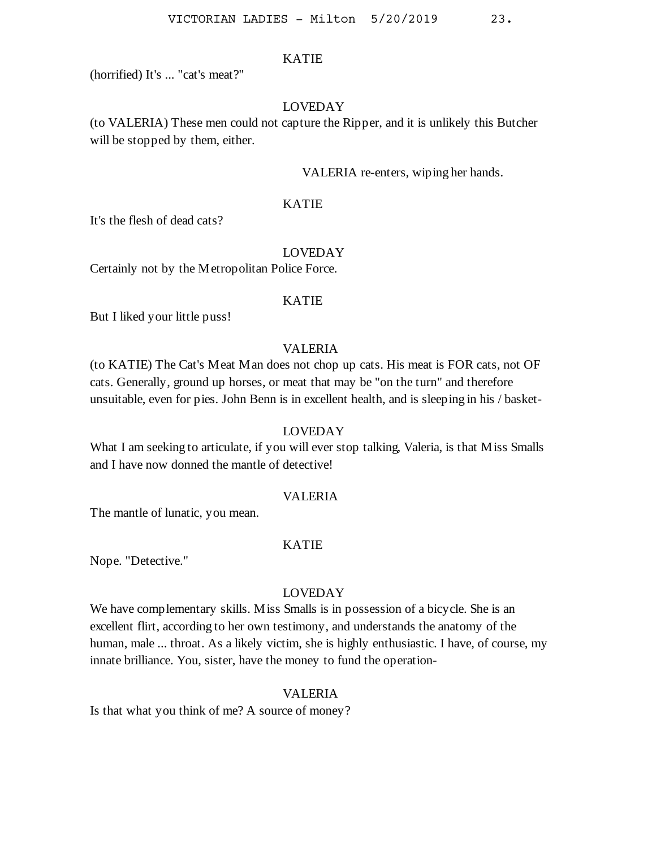(horrified) It's ... "cat's meat?"

# LOVEDAY

(to VALERIA) These men could not capture the Ripper, and it is unlikely this Butcher will be stopped by them, either.

### VALERIA re-enters, wiping her hands.

### KATIE

It's the flesh of dead cats?

#### LOVEDAY

Certainly not by the Metropolitan Police Force.

# KATIE

But I liked your little puss!

# VALERIA

(to KATIE) The Cat's Meat Man does not chop up cats. His meat is FOR cats, not OF cats. Generally, ground up horses, or meat that may be "on the turn" and therefore unsuitable, even for pies. John Benn is in excellent health, and is sleeping in his / basket-

### LOVEDAY

What I am seeking to articulate, if you will ever stop talking, Valeria, is that Miss Smalls and I have now donned the mantle of detective!

### VALERIA

The mantle of lunatic, you mean.

#### KATIE

Nope. "Detective."

### LOVEDAY

We have complementary skills. Miss Smalls is in possession of a bicycle. She is an excellent flirt, according to her own testimony, and understands the anatomy of the human, male ... throat. As a likely victim, she is highly enthusiastic. I have, of course, my innate brilliance. You, sister, have the money to fund the operation-

#### VALERIA

Is that what you think of me? A source of money?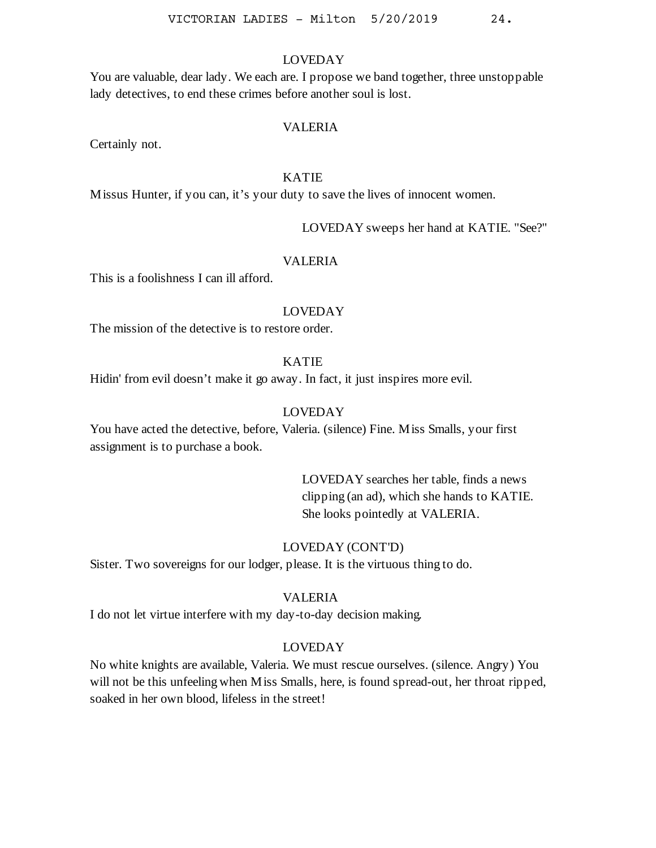You are valuable, dear lady. We each are. I propose we band together, three unstoppable lady detectives, to end these crimes before another soul is lost.

#### VALERIA

Certainly not.

# KATIE

Missus Hunter, if you can, it's your duty to save the lives of innocent women.

LOVEDAY sweeps her hand at KATIE. "See?"

#### VALERIA

This is a foolishness I can ill afford.

### LOVEDAY

The mission of the detective is to restore order.

# KATIE

Hidin' from evil doesn't make it go away. In fact, it just inspires more evil.

### LOVEDAY

You have acted the detective, before, Valeria. (silence) Fine. Miss Smalls, your first assignment is to purchase a book.

> LOVEDAY searches her table, finds a news clipping (an ad), which she hands to KATIE. She looks pointedly at VALERIA.

### LOVEDAY (CONT'D)

Sister. Two sovereigns for our lodger, please. It is the virtuous thing to do.

#### VALERIA

I do not let virtue interfere with my day-to-day decision making.

### LOVEDAY

No white knights are available, Valeria. We must rescue ourselves. (silence. Angry) You will not be this unfeeling when Miss Smalls, here, is found spread-out, her throat ripped, soaked in her own blood, lifeless in the street!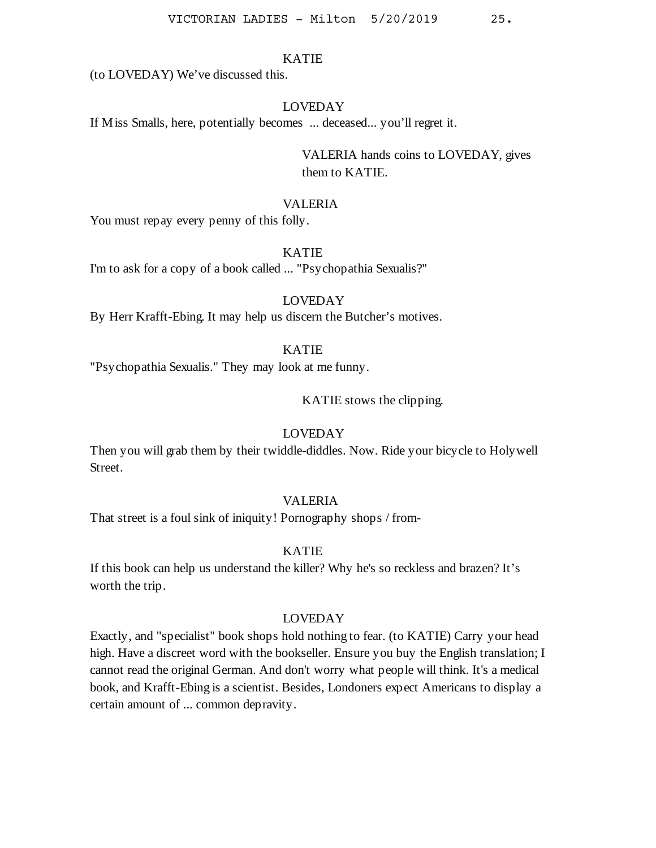(to LOVEDAY) We've discussed this.

### LOVEDAY

If Miss Smalls, here, potentially becomes ... deceased... you'll regret it.

VALERIA hands coins to LOVEDAY, gives them to KATIE.

### VALERIA

You must repay every penny of this folly.

# KATIE

I'm to ask for a copy of a book called ... "Psychopathia Sexualis?"

# LOVEDAY

By Herr Krafft-Ebing. It may help us discern the Butcher's motives.

# KATIE

"Psychopathia Sexualis." They may look at me funny.

KATIE stows the clipping.

### LOVEDAY

Then you will grab them by their twiddle-diddles. Now. Ride your bicycle to Holywell Street.

# VALERIA

That street is a foul sink of iniquity! Pornography shops / from-

### KATIE

If this book can help us understand the killer? Why he's so reckless and brazen? It's worth the trip.

### LOVEDAY

Exactly, and "specialist" book shops hold nothing to fear. (to KATIE) Carry your head high. Have a discreet word with the bookseller. Ensure you buy the English translation; I cannot read the original German. And don't worry what people will think. It's a medical book, and Krafft-Ebing is a scientist. Besides, Londoners expect Americans to display a certain amount of ... common depravity.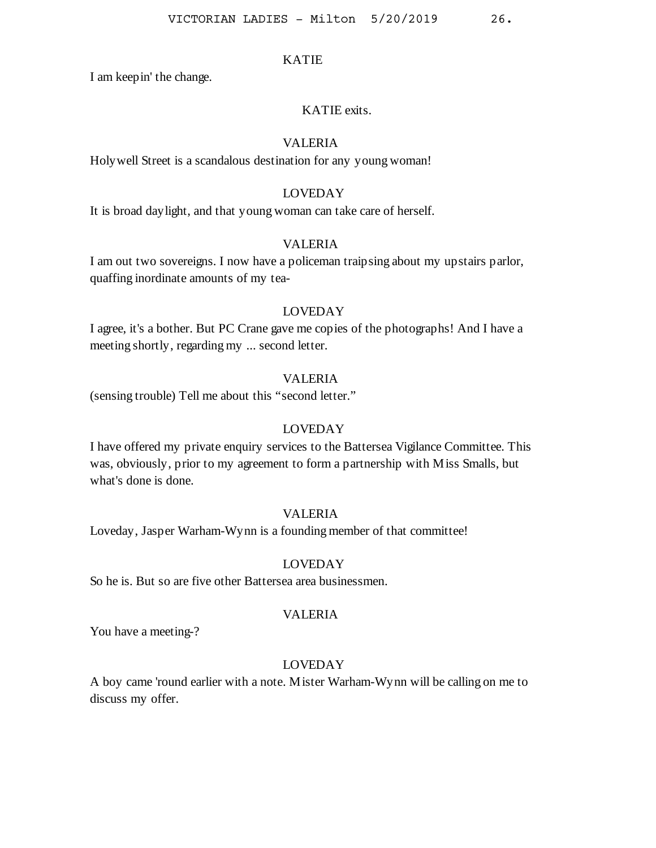I am keepin' the change.

### KATIE exits.

# VALERIA

Holywell Street is a scandalous destination for any young woman!

# LOVEDAY

It is broad daylight, and that young woman can take care of herself.

### VALERIA

I am out two sovereigns. I now have a policeman traipsing about my upstairs parlor, quaffing inordinate amounts of my tea-

### LOVEDAY

I agree, it's a bother. But PC Crane gave me copies of the photographs! And I have a meeting shortly, regarding my ... second letter.

### VALERIA

(sensing trouble) Tell me about this "second letter."

### LOVEDAY

I have offered my private enquiry services to the Battersea Vigilance Committee. This was, obviously, prior to my agreement to form a partnership with Miss Smalls, but what's done is done.

# VALERIA

Loveday, Jasper Warham-Wynn is a founding member of that committee!

### LOVEDAY

So he is. But so are five other Battersea area businessmen.

### VALERIA

You have a meeting-?

### LOVEDAY

A boy came 'round earlier with a note. Mister Warham-Wynn will be calling on me to discuss my offer.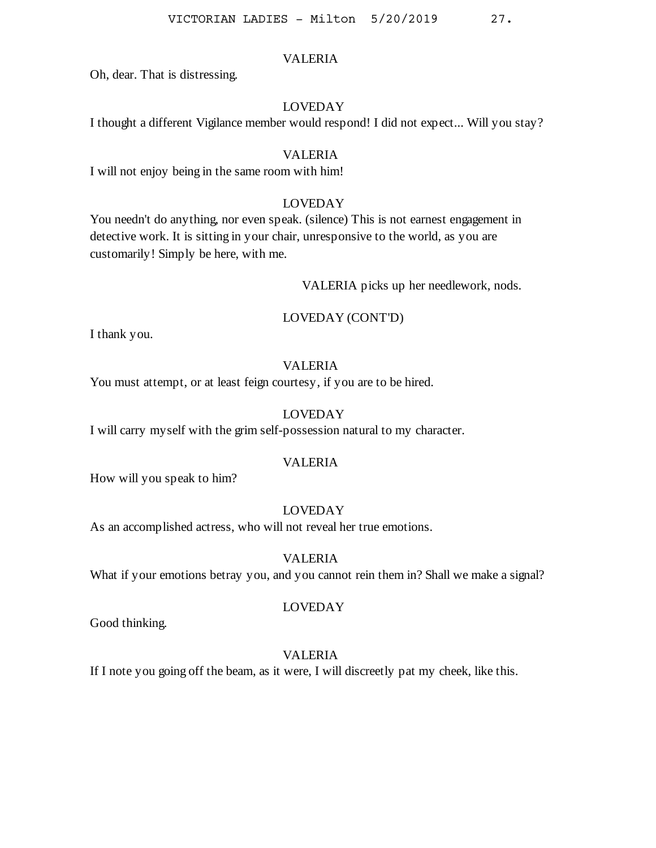Oh, dear. That is distressing.

# LOVEDAY

I thought a different Vigilance member would respond! I did not expect... Will you stay?

### VALERIA

I will not enjoy being in the same room with him!

# LOVEDAY

You needn't do anything, nor even speak. (silence) This is not earnest engagement in detective work. It is sitting in your chair, unresponsive to the world, as you are customarily! Simply be here, with me.

VALERIA picks up her needlework, nods.

### LOVEDAY (CONT'D)

I thank you.

# VALERIA

You must attempt, or at least feign courtesy, if you are to be hired.

# LOVEDAY

I will carry myself with the grim self-possession natural to my character.

### VALERIA

How will you speak to him?

### LOVEDAY

As an accomplished actress, who will not reveal her true emotions.

#### VALERIA

What if your emotions betray you, and you cannot rein them in? Shall we make a signal?

Good thinking.

# LOVEDAY

# VALERIA

If I note you going off the beam, as it were, I will discreetly pat my cheek, like this.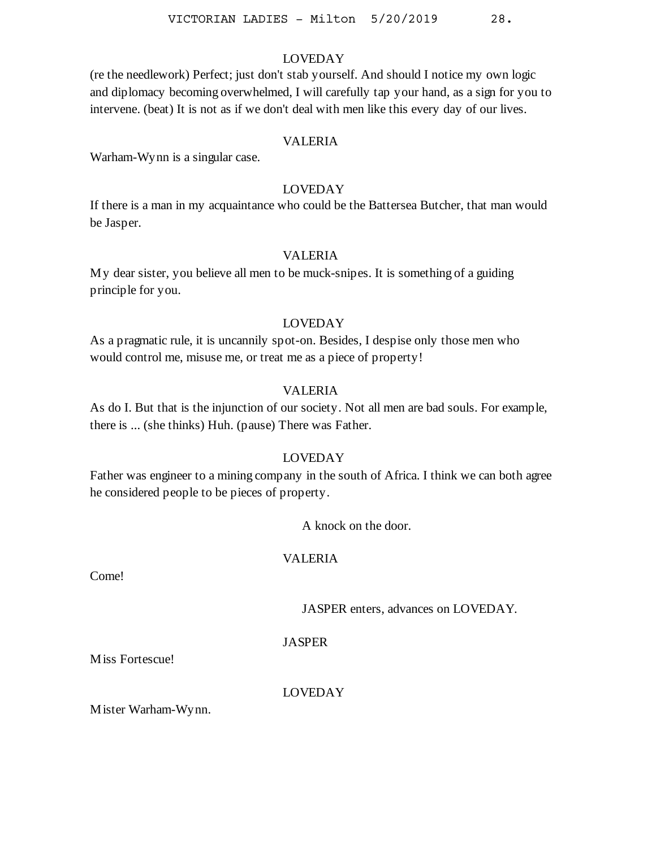(re the needlework) Perfect; just don't stab yourself. And should I notice my own logic and diplomacy becoming overwhelmed, I will carefully tap your hand, as a sign for you to intervene. (beat) It is not as if we don't deal with men like this every day of our lives.

# VALERIA

Warham-Wynn is a singular case.

# LOVEDAY

If there is a man in my acquaintance who could be the Battersea Butcher, that man would be Jasper.

### VALERIA

My dear sister, you believe all men to be muck-snipes. It is something of a guiding principle for you.

### LOVEDAY

As a pragmatic rule, it is uncannily spot-on. Besides, I despise only those men who would control me, misuse me, or treat me as a piece of property!

# VALERIA

As do I. But that is the injunction of our society. Not all men are bad souls. For example, there is ... (she thinks) Huh. (pause) There was Father.

### LOVEDAY

Father was engineer to a mining company in the south of Africa. I think we can both agree he considered people to be pieces of property.

A knock on the door.

### VALERIA

Come!

JASPER enters, advances on LOVEDAY.

JASPER

Miss Fortescue!

LOVEDAY

Mister Warham-Wynn.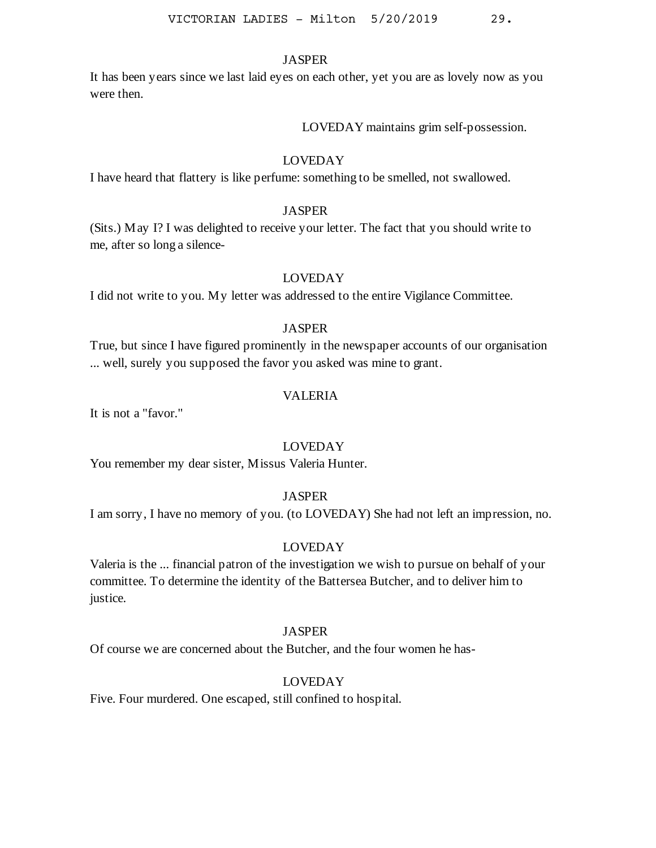It has been years since we last laid eyes on each other, yet you are as lovely now as you were then.

LOVEDAY maintains grim self-possession.

# LOVEDAY

I have heard that flattery is like perfume: something to be smelled, not swallowed.

#### **JASPER**

(Sits.) May I? I was delighted to receive your letter. The fact that you should write to me, after so long a silence-

### LOVEDAY

I did not write to you. My letter was addressed to the entire Vigilance Committee.

#### **JASPER**

True, but since I have figured prominently in the newspaper accounts of our organisation ... well, surely you supposed the favor you asked was mine to grant.

### VALERIA

It is not a "favor."

### LOVEDAY

You remember my dear sister, Missus Valeria Hunter.

# **JASPER**

I am sorry, I have no memory of you. (to LOVEDAY) She had not left an impression, no.

### LOVEDAY

Valeria is the ... financial patron of the investigation we wish to pursue on behalf of your committee. To determine the identity of the Battersea Butcher, and to deliver him to justice.

### JASPER

Of course we are concerned about the Butcher, and the four women he has-

#### LOVEDAY

Five. Four murdered. One escaped, still confined to hospital.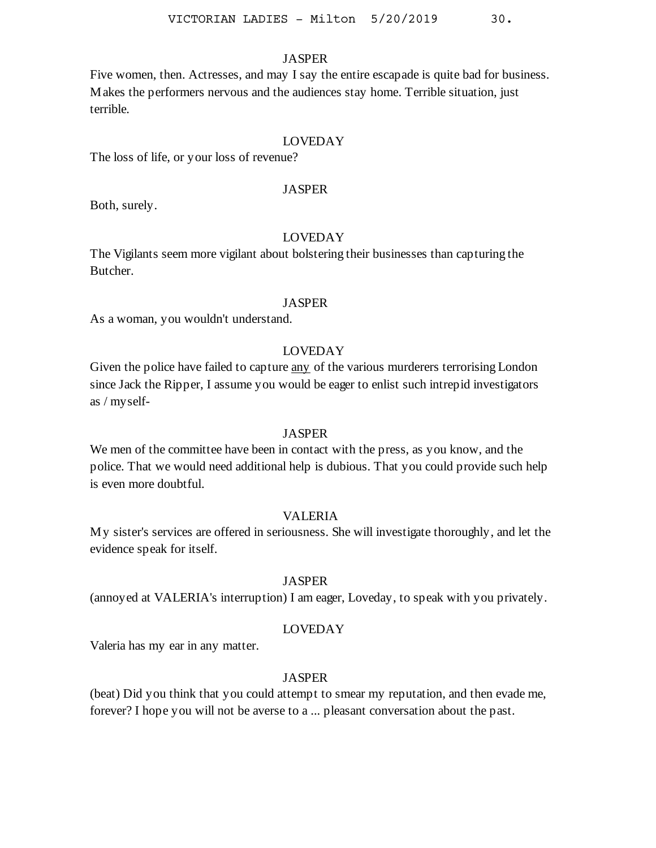Five women, then. Actresses, and may I say the entire escapade is quite bad for business. Makes the performers nervous and the audiences stay home. Terrible situation, just terrible.

# LOVEDAY

The loss of life, or your loss of revenue?

# JASPER

Both, surely.

# LOVEDAY

The Vigilants seem more vigilant about bolstering their businesses than capturing the Butcher.

#### **JASPER**

As a woman, you wouldn't understand.

# LOVEDAY

Given the police have failed to capture any of the various murderers terrorising London since Jack the Ripper, I assume you would be eager to enlist such intrepid investigators as / myself-

#### **JASPER**

We men of the committee have been in contact with the press, as you know, and the police. That we would need additional help is dubious. That you could provide such help is even more doubtful.

### VALERIA

My sister's services are offered in seriousness. She will investigate thoroughly, and let the evidence speak for itself.

### JASPER

(annoyed at VALERIA's interruption) I am eager, Loveday, to speak with you privately.

### LOVEDAY

Valeria has my ear in any matter.

# **JASPER**

(beat) Did you think that you could attempt to smear my reputation, and then evade me, forever? I hope you will not be averse to a ... pleasant conversation about the past.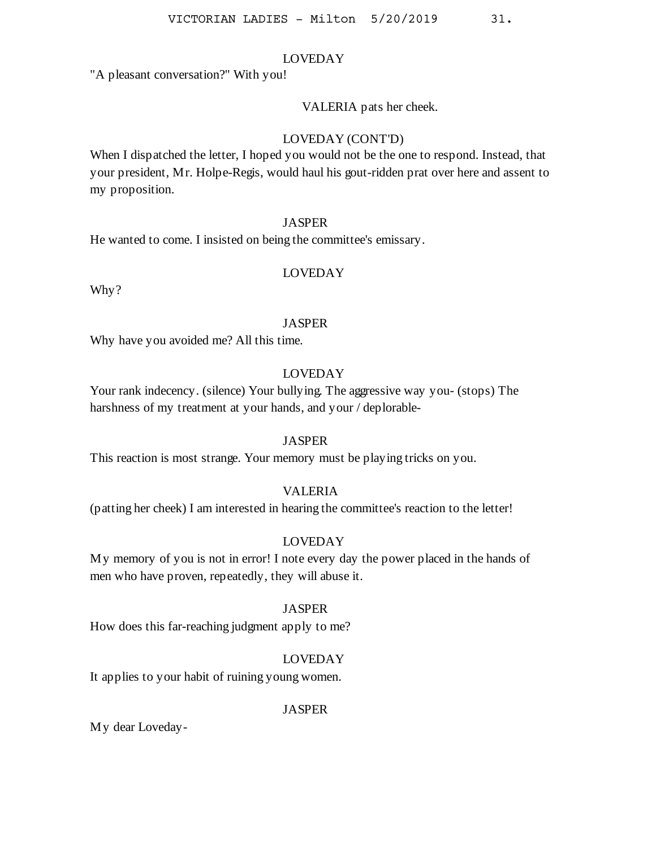"A pleasant conversation?" With you!

### VALERIA pats her cheek.

# LOVEDAY (CONT'D)

When I dispatched the letter, I hoped you would not be the one to respond. Instead, that your president, Mr. Holpe-Regis, would haul his gout-ridden prat over here and assent to my proposition.

### JASPER

He wanted to come. I insisted on being the committee's emissary.

# LOVEDAY

Why?

#### **JASPER**

Why have you avoided me? All this time.

# LOVEDAY

Your rank indecency. (silence) Your bullying. The aggressive way you- (stops) The harshness of my treatment at your hands, and your / deplorable-

### **JASPER**

This reaction is most strange. Your memory must be playing tricks on you.

### VALERIA

(patting her cheek) I am interested in hearing the committee's reaction to the letter!

# LOVEDAY

My memory of you is not in error! I note every day the power placed in the hands of men who have proven, repeatedly, they will abuse it.

### JASPER

How does this far-reaching judgment apply to me?

### LOVEDAY

It applies to your habit of ruining young women.

# JASPER

My dear Loveday-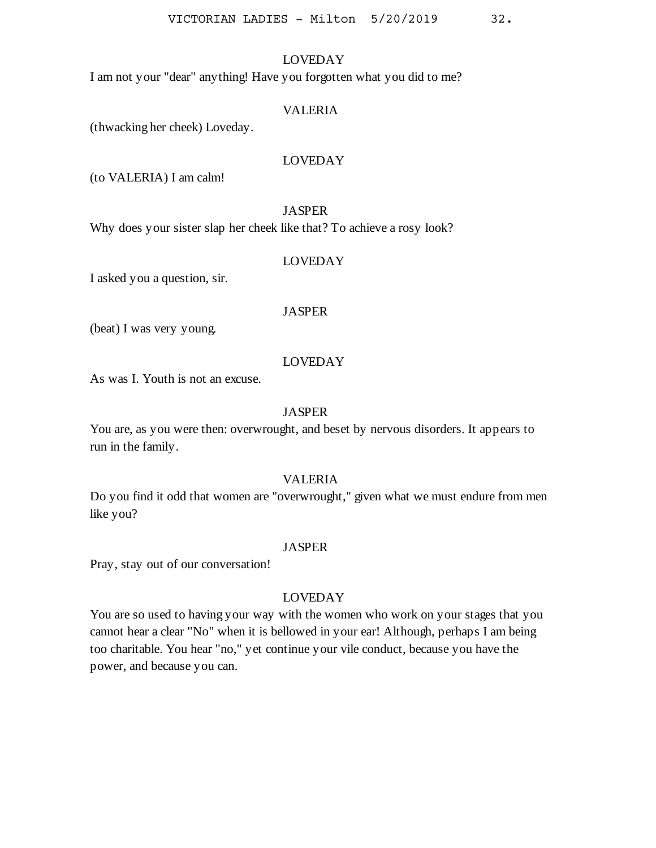I am not your "dear" anything! Have you forgotten what you did to me?

### VALERIA

(thwacking her cheek) Loveday.

### LOVEDAY

(to VALERIA) I am calm!

#### JASPER

Why does your sister slap her cheek like that? To achieve a rosy look?

#### LOVEDAY

I asked you a question, sir.

#### JASPER

(beat) I was very young.

### LOVEDAY

As was I. Youth is not an excuse.

### JASPER

You are, as you were then: overwrought, and beset by nervous disorders. It appears to run in the family.

# VALERIA

Do you find it odd that women are "overwrought," given what we must endure from men like you?

#### JASPER

Pray, stay out of our conversation!

# LOVEDAY

You are so used to having your way with the women who work on your stages that you cannot hear a clear "No" when it is bellowed in your ear! Although, perhaps I am being too charitable. You hear "no," yet continue your vile conduct, because you have the power, and because you can.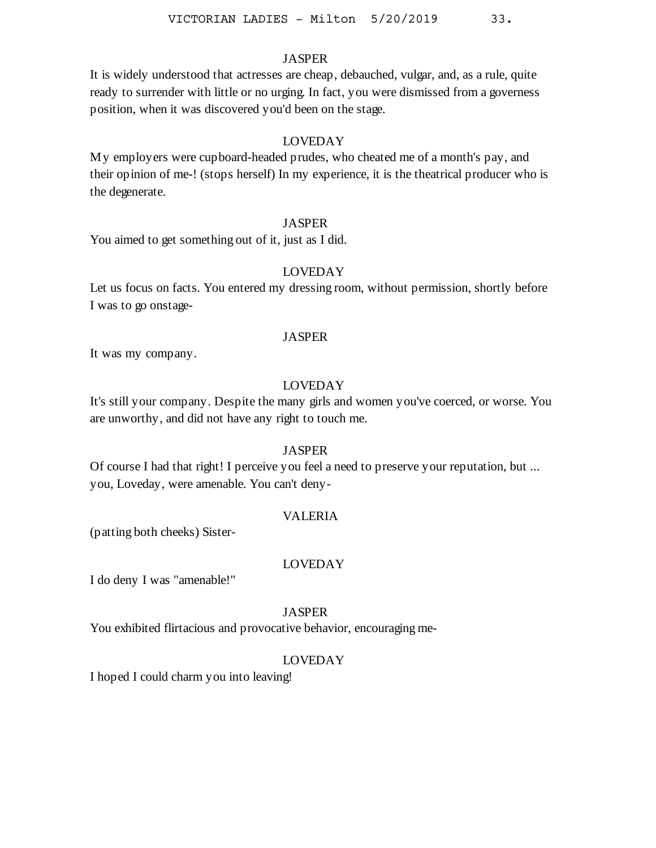It is widely understood that actresses are cheap, debauched, vulgar, and, as a rule, quite ready to surrender with little or no urging. In fact, you were dismissed from a governess position, when it was discovered you'd been on the stage.

# LOVEDAY

My employers were cupboard-headed prudes, who cheated me of a month's pay, and their opinion of me-! (stops herself) In my experience, it is the theatrical producer who is the degenerate.

### JASPER

You aimed to get something out of it, just as I did.

# LOVEDAY

Let us focus on facts. You entered my dressing room, without permission, shortly before I was to go onstage-

#### JASPER

It was my company.

# LOVEDAY

It's still your company. Despite the many girls and women you've coerced, or worse. You are unworthy, and did not have any right to touch me.

### **JASPER**

Of course I had that right! I perceive you feel a need to preserve your reputation, but ... you, Loveday, were amenable. You can't deny-

### VALERIA

(patting both cheeks) Sister-

#### LOVEDAY

I do deny I was "amenable!"

# JASPER

You exhibited flirtacious and provocative behavior, encouraging me-

# LOVEDAY

I hoped I could charm you into leaving!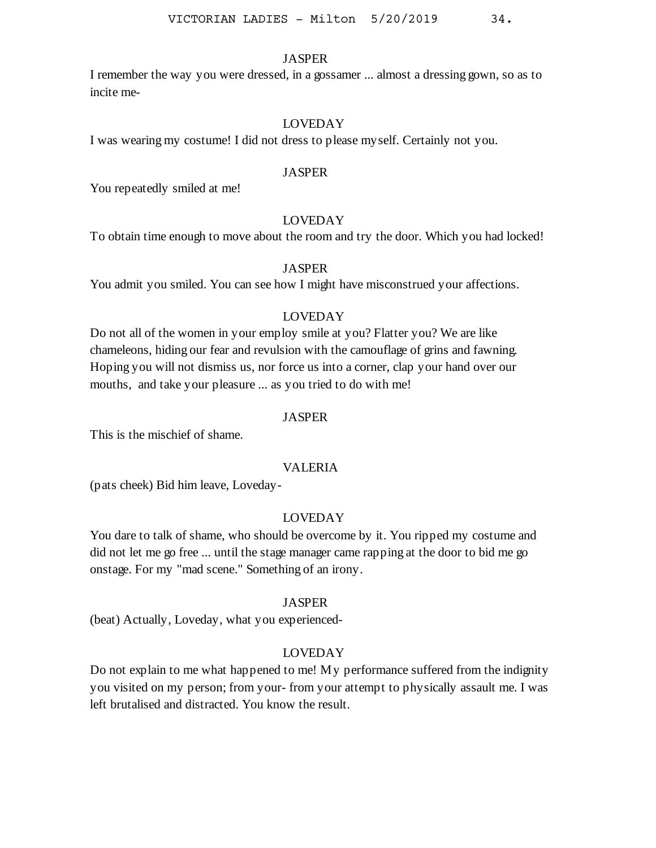I remember the way you were dressed, in a gossamer ... almost a dressing gown, so as to incite me-

### LOVEDAY

I was wearing my costume! I did not dress to please myself. Certainly not you.

#### JASPER

You repeatedly smiled at me!

### LOVEDAY

To obtain time enough to move about the room and try the door. Which you had locked!

#### JASPER

You admit you smiled. You can see how I might have misconstrued your affections.

### LOVEDAY

Do not all of the women in your employ smile at you? Flatter you? We are like chameleons, hiding our fear and revulsion with the camouflage of grins and fawning. Hoping you will not dismiss us, nor force us into a corner, clap your hand over our mouths, and take your pleasure ... as you tried to do with me!

#### JASPER

This is the mischief of shame.

#### VALERIA

(pats cheek) Bid him leave, Loveday-

### LOVEDAY

You dare to talk of shame, who should be overcome by it. You ripped my costume and did not let me go free ... until the stage manager came rapping at the door to bid me go onstage. For my "mad scene." Something of an irony.

#### JASPER

(beat) Actually, Loveday, what you experienced-

### LOVEDAY

Do not explain to me what happened to me! My performance suffered from the indignity you visited on my person; from your- from your attempt to physically assault me. I was left brutalised and distracted. You know the result.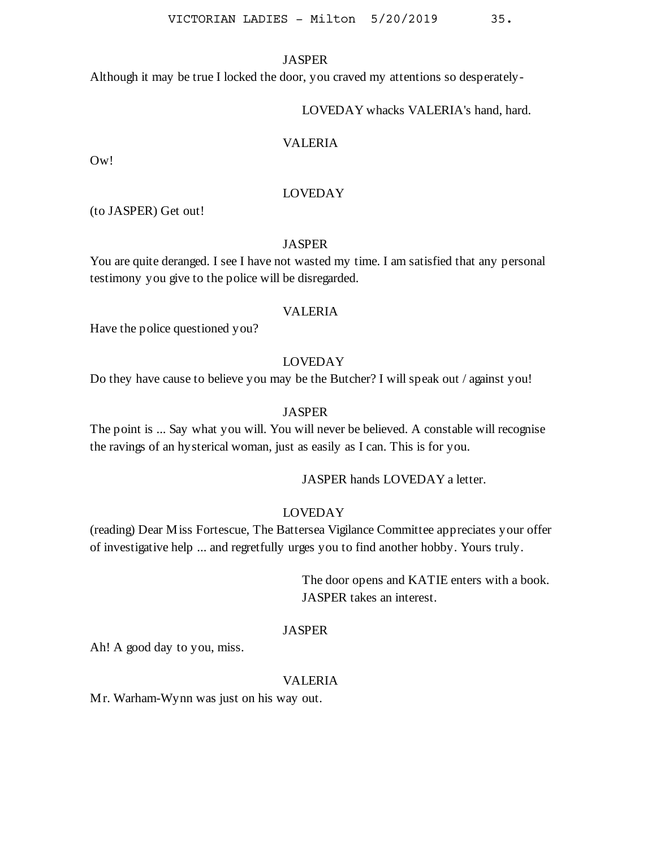Although it may be true I locked the door, you craved my attentions so desperately-

### LOVEDAY whacks VALERIA's hand, hard.

# VALERIA

Ow!

### LOVEDAY

(to JASPER) Get out!

### JASPER

You are quite deranged. I see I have not wasted my time. I am satisfied that any personal testimony you give to the police will be disregarded.

#### VALERIA

Have the police questioned you?

### LOVEDAY

Do they have cause to believe you may be the Butcher? I will speak out / against you!

### JASPER

The point is ... Say what you will. You will never be believed. A constable will recognise the ravings of an hysterical woman, just as easily as I can. This is for you.

JASPER hands LOVEDAY a letter.

# LOVEDAY

(reading) Dear Miss Fortescue, The Battersea Vigilance Committee appreciates your offer of investigative help ... and regretfully urges you to find another hobby. Yours truly.

> The door opens and KATIE enters with a book. JASPER takes an interest.

# JASPER

Ah! A good day to you, miss.

#### VALERIA

Mr. Warham-Wynn was just on his way out.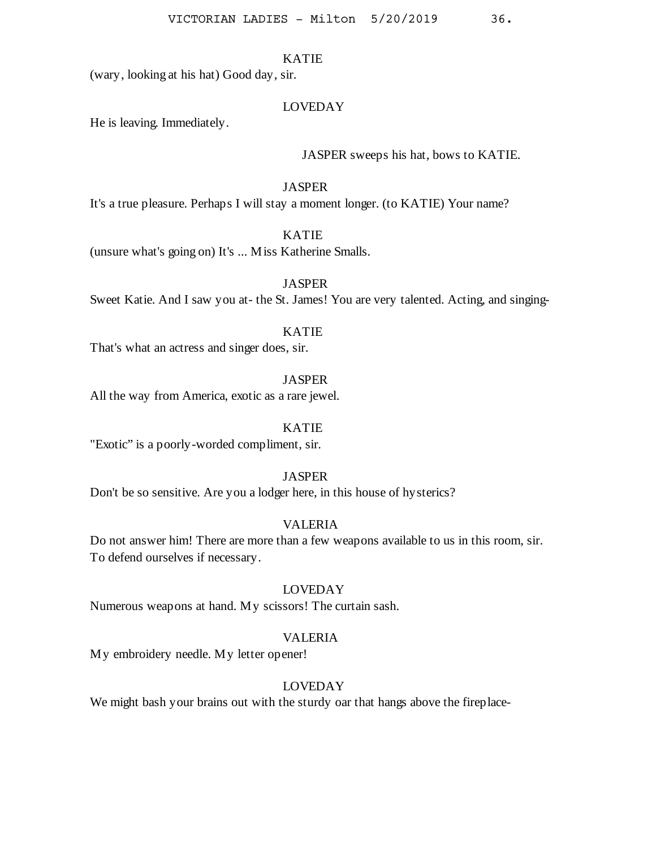(wary, looking at his hat) Good day, sir.

## LOVEDAY

He is leaving. Immediately.

### JASPER sweeps his hat, bows to KATIE.

#### **JASPER**

It's a true pleasure. Perhaps I will stay a moment longer. (to KATIE) Your name?

## KATIE

(unsure what's going on) It's ... Miss Katherine Smalls.

**JASPER** 

Sweet Katie. And I saw you at- the St. James! You are very talented. Acting, and singing-

## KATIE

That's what an actress and singer does, sir.

### **JASPER**

All the way from America, exotic as a rare jewel.

#### KATIE

"Exotic" is a poorly-worded compliment, sir.

### **JASPER**

Don't be so sensitive. Are you a lodger here, in this house of hysterics?

## VALERIA

Do not answer him! There are more than a few weapons available to us in this room, sir. To defend ourselves if necessary.

## LOVEDAY

Numerous weapons at hand. My scissors! The curtain sash.

# VALERIA

My embroidery needle. My letter opener!

# LOVEDAY

We might bash your brains out with the sturdy oar that hangs above the fireplace-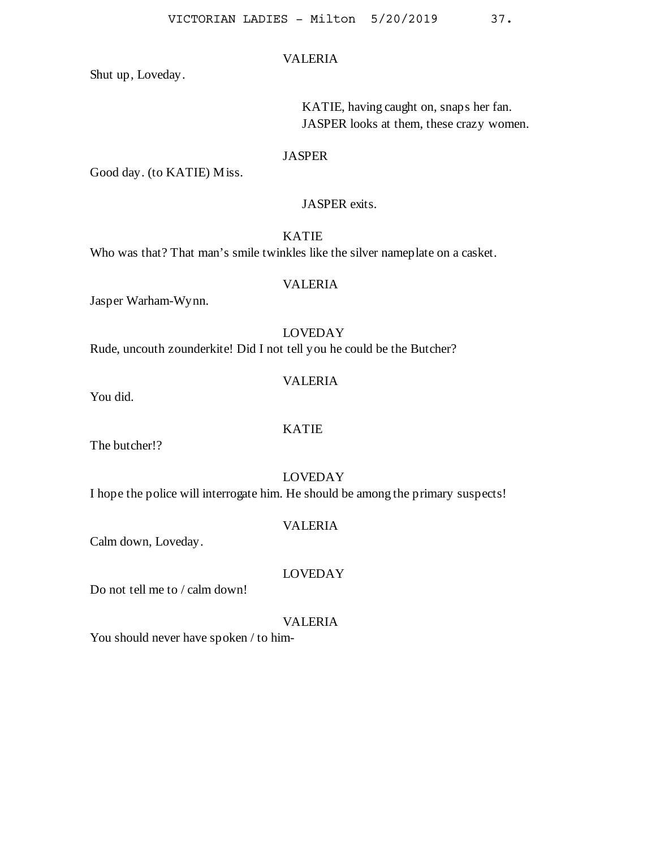Shut up, Loveday.

KATIE, having caught on, snaps her fan. JASPER looks at them, these crazy women.

#### JASPER

Good day. (to KATIE) Miss.

### JASPER exits.

KATIE

Who was that? That man's smile twinkles like the silver nameplate on a casket.

# VALERIA

Jasper Warham-Wynn.

### LOVEDAY

Rude, uncouth zounderkite! Did I not tell you he could be the Butcher?

# VALERIA

You did.

## KATIE

The butcher!?

# LOVEDAY

I hope the police will interrogate him. He should be among the primary suspects!

## VALERIA

Calm down, Loveday.

## LOVEDAY

Do not tell me to / calm down!

## VALERIA

You should never have spoken / to him-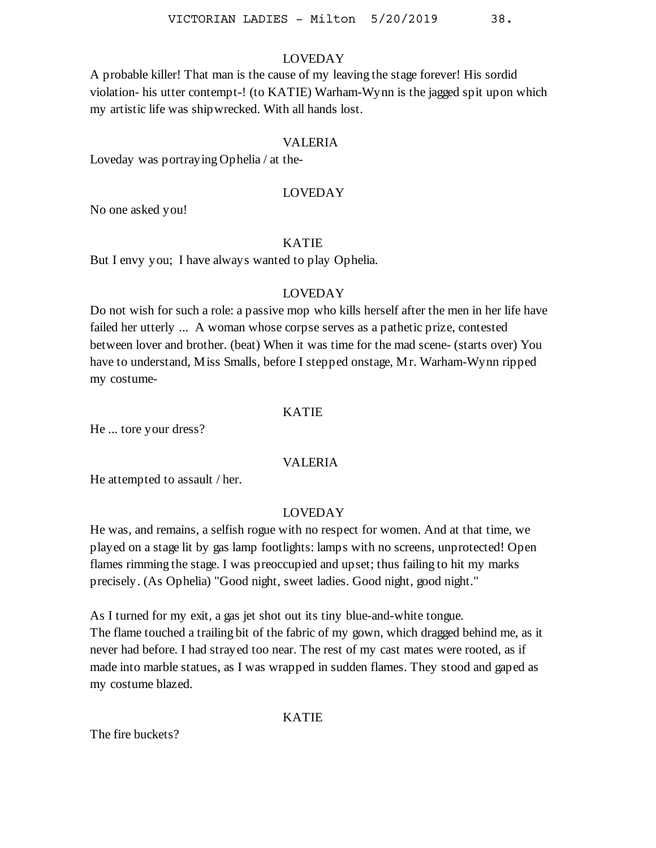A probable killer! That man is the cause of my leaving the stage forever! His sordid violation- his utter contempt-! (to KATIE) Warham-Wynn is the jagged spit upon which my artistic life was shipwrecked. With all hands lost.

## VALERIA

Loveday was portraying Ophelia / at the-

#### LOVEDAY

No one asked you!

### KATIE

But I envy you; I have always wanted to play Ophelia.

#### LOVEDAY

Do not wish for such a role: a passive mop who kills herself after the men in her life have failed her utterly ... A woman whose corpse serves as a pathetic prize, contested between lover and brother. (beat) When it was time for the mad scene- (starts over) You have to understand, Miss Smalls, before I stepped onstage, Mr. Warham-Wynn ripped my costume-

#### KATIE

He ... tore your dress?

## VALERIA

He attempted to assault / her.

# LOVEDAY

He was, and remains, a selfish rogue with no respect for women. And at that time, we played on a stage lit by gas lamp footlights: lamps with no screens, unprotected! Open flames rimming the stage. I was preoccupied and upset; thus failing to hit my marks precisely. (As Ophelia) "Good night, sweet ladies. Good night, good night."

As I turned for my exit, a gas jet shot out its tiny blue-and-white tongue. The flame touched a trailing bit of the fabric of my gown, which dragged behind me, as it never had before. I had strayed too near. The rest of my cast mates were rooted, as if made into marble statues, as I was wrapped in sudden flames. They stood and gaped as my costume blazed.

## KATIE

The fire buckets?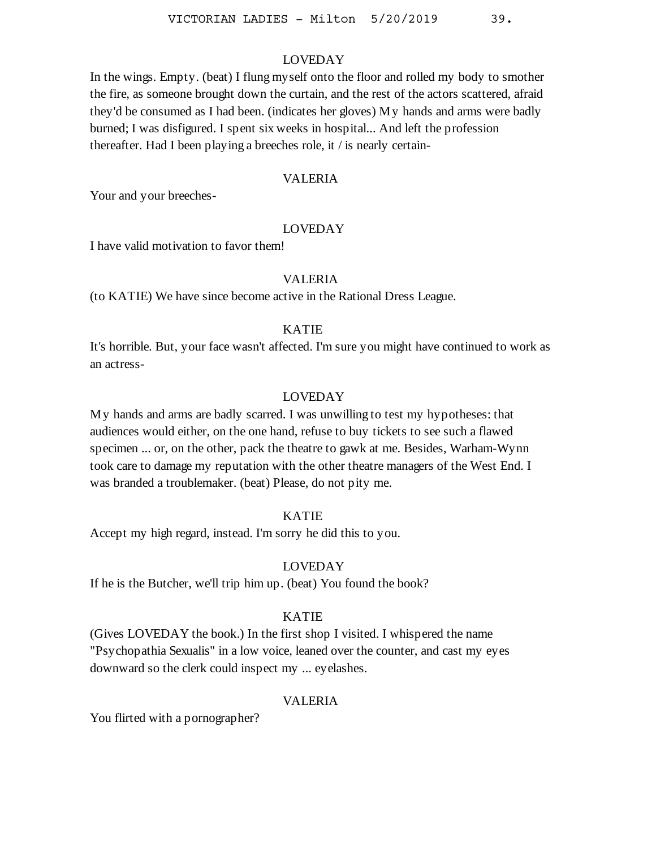In the wings. Empty. (beat) I flung myself onto the floor and rolled my body to smother the fire, as someone brought down the curtain, and the rest of the actors scattered, afraid they'd be consumed as I had been. (indicates her gloves) My hands and arms were badly burned; I was disfigured. I spent six weeks in hospital... And left the profession thereafter. Had I been playing a breeches role, it / is nearly certain-

### VALERIA

Your and your breeches-

### LOVEDAY

I have valid motivation to favor them!

## VALERIA

(to KATIE) We have since become active in the Rational Dress League.

# KATIE

It's horrible. But, your face wasn't affected. I'm sure you might have continued to work as an actress-

#### LOVEDAY

My hands and arms are badly scarred. I was unwilling to test my hypotheses: that audiences would either, on the one hand, refuse to buy tickets to see such a flawed specimen ... or, on the other, pack the theatre to gawk at me. Besides, Warham-Wynn took care to damage my reputation with the other theatre managers of the West End. I was branded a troublemaker. (beat) Please, do not pity me.

#### KATIE

Accept my high regard, instead. I'm sorry he did this to you.

#### LOVEDAY

If he is the Butcher, we'll trip him up. (beat) You found the book?

## KATIE

(Gives LOVEDAY the book.) In the first shop I visited. I whispered the name "Psychopathia Sexualis" in a low voice, leaned over the counter, and cast my eyes downward so the clerk could inspect my ... eyelashes.

### VALERIA

You flirted with a pornographer?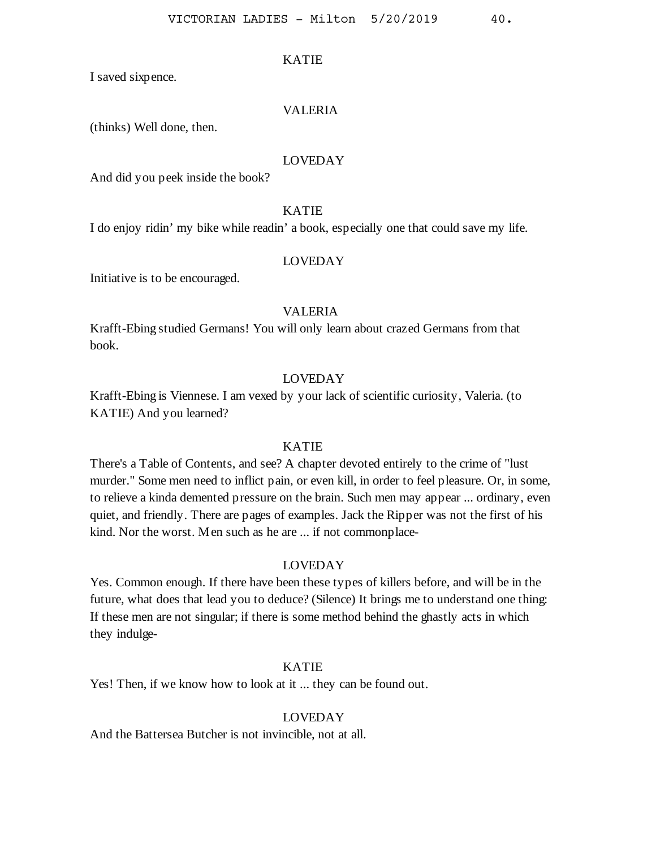I saved sixpence.

#### VALERIA

(thinks) Well done, then.

## LOVEDAY

And did you peek inside the book?

## KATIE

I do enjoy ridin' my bike while readin' a book, especially one that could save my life.

#### LOVEDAY

Initiative is to be encouraged.

## VALERIA

Krafft-Ebing studied Germans! You will only learn about crazed Germans from that book.

## LOVEDAY

Krafft-Ebing is Viennese. I am vexed by your lack of scientific curiosity, Valeria. (to KATIE) And you learned?

## KATIE

There's a Table of Contents, and see? A chapter devoted entirely to the crime of "lust murder." Some men need to inflict pain, or even kill, in order to feel pleasure. Or, in some, to relieve a kinda demented pressure on the brain. Such men may appear ... ordinary, even quiet, and friendly. There are pages of examples. Jack the Ripper was not the first of his kind. Nor the worst. Men such as he are ... if not commonplace-

# LOVEDAY

Yes. Common enough. If there have been these types of killers before, and will be in the future, what does that lead you to deduce? (Silence) It brings me to understand one thing: If these men are not singular; if there is some method behind the ghastly acts in which they indulge-

# KATIE

Yes! Then, if we know how to look at it ... they can be found out.

## LOVEDAY

And the Battersea Butcher is not invincible, not at all.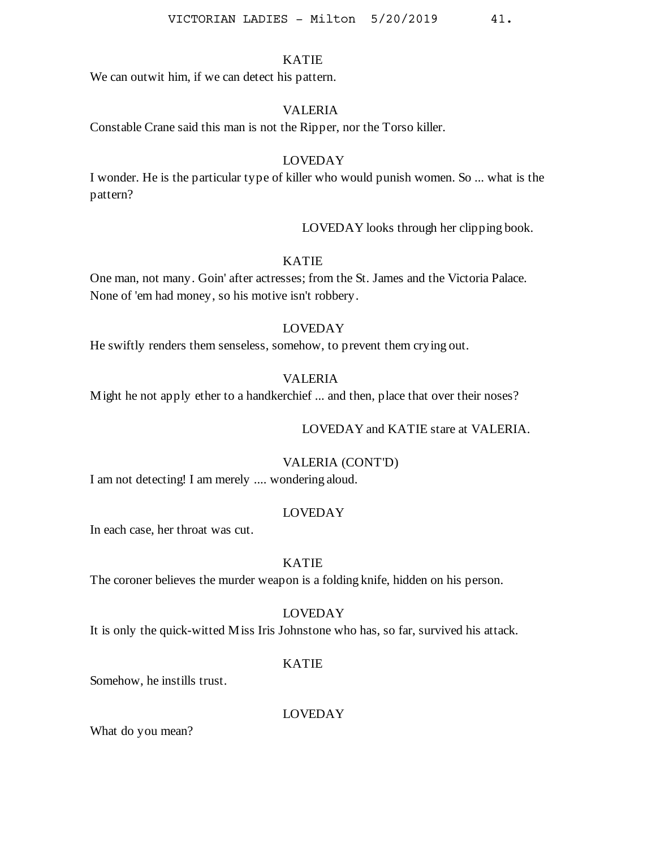We can out withim, if we can detect his pattern.

# VALERIA

Constable Crane said this man is not the Ripper, nor the Torso killer.

# LOVEDAY

I wonder. He is the particular type of killer who would punish women. So ... what is the pattern?

LOVEDAY looks through her clipping book.

## KATIE

One man, not many. Goin' after actresses; from the St. James and the Victoria Palace. None of 'em had money, so his motive isn't robbery.

## LOVEDAY

He swiftly renders them senseless, somehow, to prevent them crying out.

## VALERIA

Might he not apply ether to a handkerchief ... and then, place that over their noses?

## LOVEDAY and KATIE stare at VALERIA.

## VALERIA (CONT'D)

I am not detecting! I am merely .... wondering aloud.

## LOVEDAY

In each case, her throat was cut.

#### KATIE

The coroner believes the murder weapon is a folding knife, hidden on his person.

## LOVEDAY

It is only the quick-witted Miss Iris Johnstone who has, so far, survived his attack.

## KATIE

Somehow, he instills trust.

LOVEDAY

What do you mean?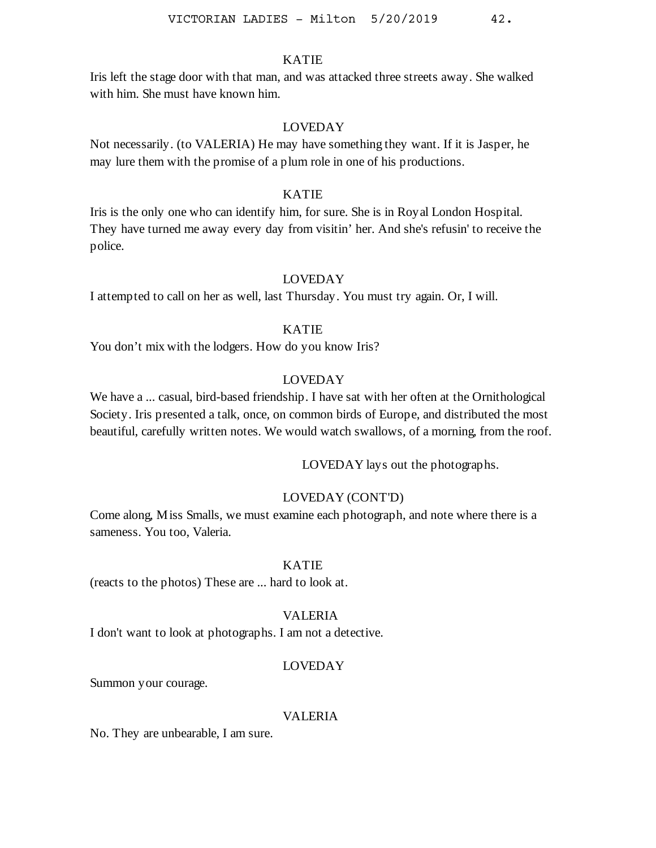Iris left the stage door with that man, and was attacked three streets away. She walked with him. She must have known him.

### LOVEDAY

Not necessarily. (to VALERIA) He may have something they want. If it is Jasper, he may lure them with the promise of a plum role in one of his productions.

### KATIE

Iris is the only one who can identify him, for sure. She is in Royal London Hospital. They have turned me away every day from visitin' her. And she's refusin' to receive the police.

# LOVEDAY

I attempted to call on her as well, last Thursday. You must try again. Or, I will.

# KATIE

You don't mix with the lodgers. How do you know Iris?

## LOVEDAY

We have a ... casual, bird-based friendship. I have sat with her often at the Ornithological Society. Iris presented a talk, once, on common birds of Europe, and distributed the most beautiful, carefully written notes. We would watch swallows, of a morning, from the roof.

LOVEDAY lays out the photographs.

## LOVEDAY (CONT'D)

Come along, Miss Smalls, we must examine each photograph, and note where there is a sameness. You too, Valeria.

# KATIE

(reacts to the photos) These are ... hard to look at.

## VALERIA

I don't want to look at photographs. I am not a detective.

### LOVEDAY

Summon your courage.

#### VALERIA

No. They are unbearable, I am sure.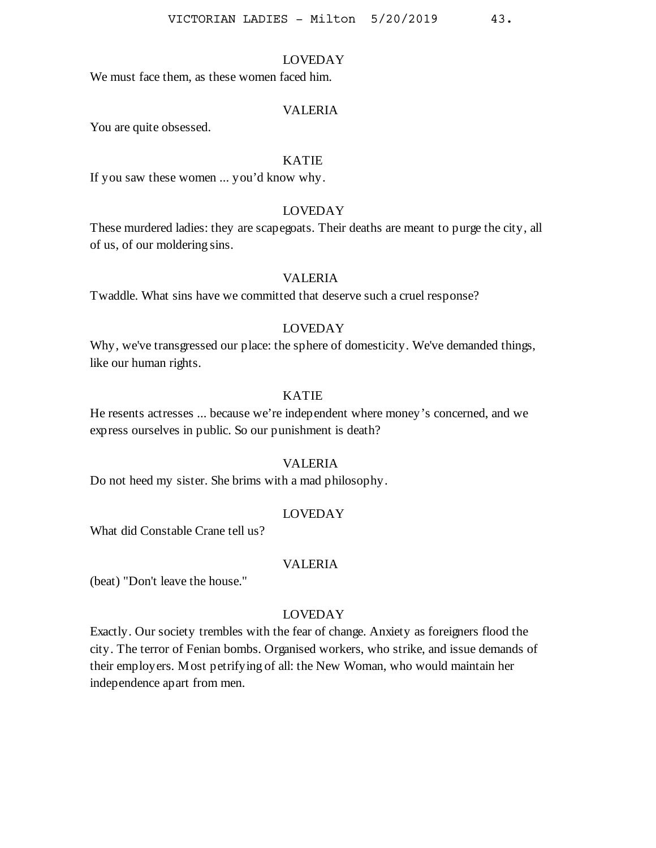We must face them, as these women faced him.

#### VALERIA

You are quite obsessed.

# KATIE

If you saw these women ... you'd know why.

### LOVEDAY

These murdered ladies: they are scapegoats. Their deaths are meant to purge the city, all of us, of our moldering sins.

## VALERIA

Twaddle. What sins have we committed that deserve such a cruel response?

#### LOVEDAY

Why, we've transgressed our place: the sphere of domesticity. We've demanded things, like our human rights.

## KATIE

He resents actresses ... because we're independent where money's concerned, and we express ourselves in public. So our punishment is death?

### VALERIA

Do not heed my sister. She brims with a mad philosophy.

## LOVEDAY

What did Constable Crane tell us?

#### VALERIA

(beat) "Don't leave the house."

## LOVEDAY

Exactly. Our society trembles with the fear of change. Anxiety as foreigners flood the city. The terror of Fenian bombs. Organised workers, who strike, and issue demands of their employers. Most petrifying of all: the New Woman, who would maintain her independence apart from men.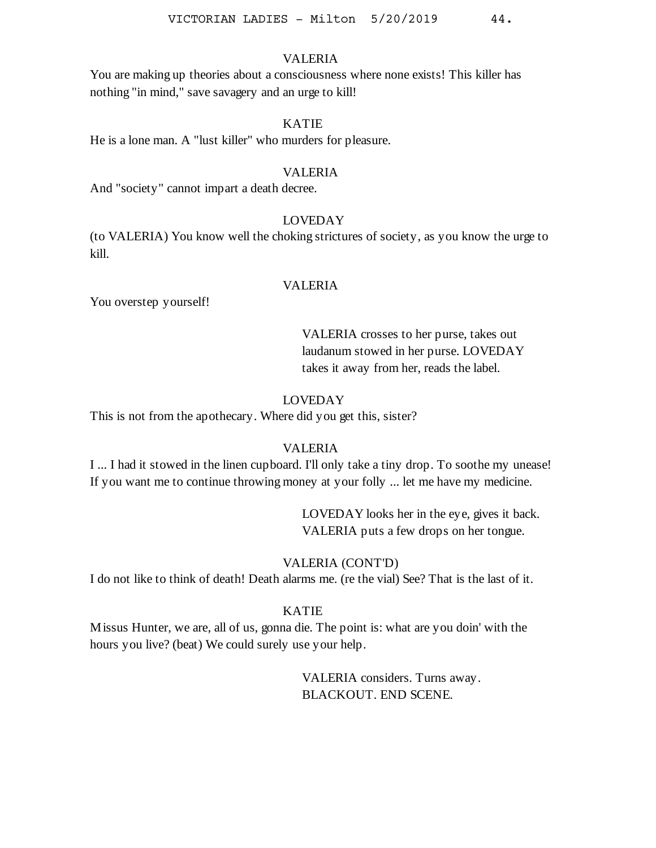You are making up theories about a consciousness where none exists! This killer has nothing "in mind," save savagery and an urge to kill!

## KATIE

He is a lone man. A "lust killer" who murders for pleasure.

#### VALERIA

And "society" cannot impart a death decree.

## LOVEDAY

(to VALERIA) You know well the choking strictures of society, as you know the urge to kill.

## VALERIA

You overstep yourself!

VALERIA crosses to her purse, takes out laudanum stowed in her purse. LOVEDAY takes it away from her, reads the label.

# LOVEDAY

This is not from the apothecary. Where did you get this, sister?

## VALERIA

I ... I had it stowed in the linen cupboard. I'll only take a tiny drop. To soothe my unease! If you want me to continue throwing money at your folly ... let me have my medicine.

> LOVEDAY looks her in the eye, gives it back. VALERIA puts a few drops on her tongue.

## VALERIA (CONT'D)

I do not like to think of death! Death alarms me. (re the vial) See? That is the last of it.

### KATIE

Missus Hunter, we are, all of us, gonna die. The point is: what are you doin' with the hours you live? (beat) We could surely use your help.

> VALERIA considers. Turns away. BLACKOUT. END SCENE.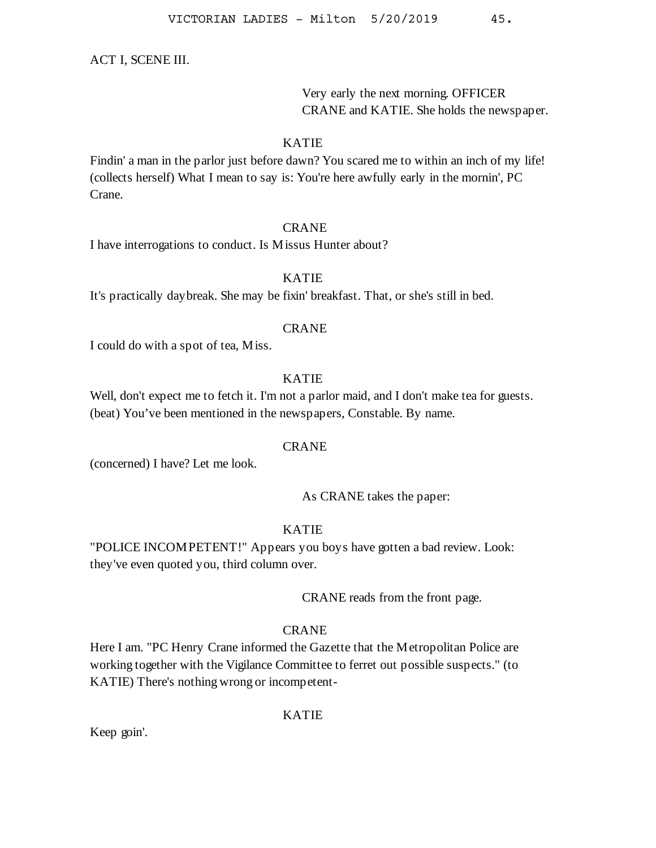### ACT I, SCENE III.

Very early the next morning. OFFICER CRANE and KATIE. She holds the newspaper.

# KATIE

Findin' a man in the parlor just before dawn? You scared me to within an inch of my life! (collects herself) What I mean to say is: You're here awfully early in the mornin', PC Crane.

## CRANE

I have interrogations to conduct. Is Missus Hunter about?

# KATIE

It's practically daybreak. She may be fixin' breakfast. That, or she's still in bed.

#### CRANE

I could do with a spot of tea, Miss.

# KATIE

Well, don't expect me to fetch it. I'm not a parlor maid, and I don't make tea for guests. (beat) You've been mentioned in the newspapers, Constable. By name.

#### CRANE

(concerned) I have? Let me look.

## As CRANE takes the paper:

# KATIE

"POLICE INCOMPETENT!" Appears you boys have gotten a bad review. Look: they've even quoted you, third column over.

CRANE reads from the front page.

# CRANE

Here I am. "PC Henry Crane informed the Gazette that the Metropolitan Police are working together with the Vigilance Committee to ferret out possible suspects." (to KATIE) There's nothing wrong or incompetent-

### KATIE

Keep goin'.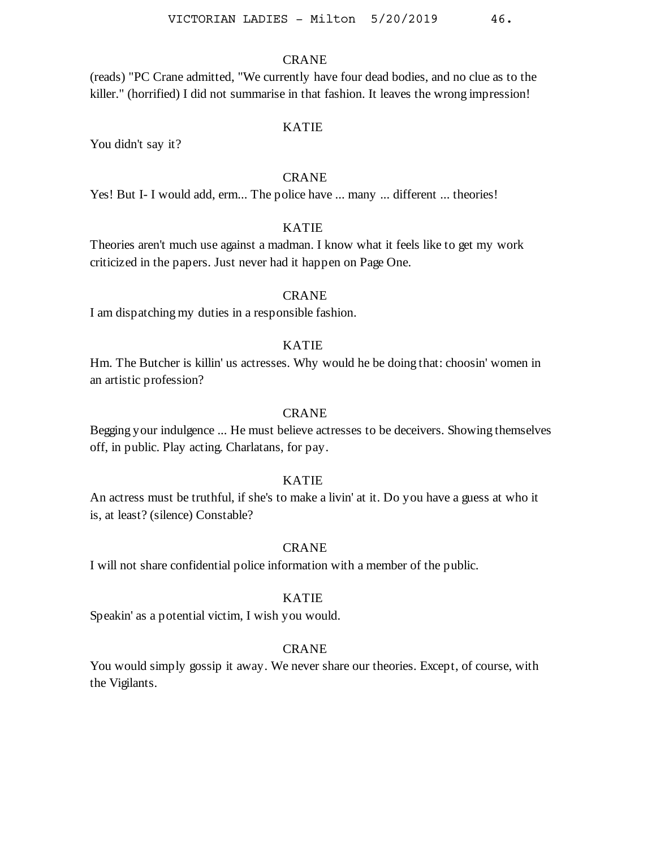## CRANE

(reads) "PC Crane admitted, "We currently have four dead bodies, and no clue as to the killer." (horrified) I did not summarise in that fashion. It leaves the wrong impression!

#### KATIE

You didn't say it?

# **CRANE**

Yes! But I- I would add, erm... The police have ... many ... different ... theories!

## KATIE

Theories aren't much use against a madman. I know what it feels like to get my work criticized in the papers. Just never had it happen on Page One.

## **CRANE**

I am dispatching my duties in a responsible fashion.

#### KATIE

Hm. The Butcher is killin' us actresses. Why would he be doing that: choosin' women in an artistic profession?

## CRANE

Begging your indulgence ... He must believe actresses to be deceivers. Showing themselves off, in public. Play acting. Charlatans, for pay.

### KATIE

An actress must be truthful, if she's to make a livin' at it. Do you have a guess at who it is, at least? (silence) Constable?

## **CRANE**

I will not share confidential police information with a member of the public.

#### KATIE

Speakin' as a potential victim, I wish you would.

### CRANE

You would simply gossip it away. We never share our theories. Except, of course, with the Vigilants.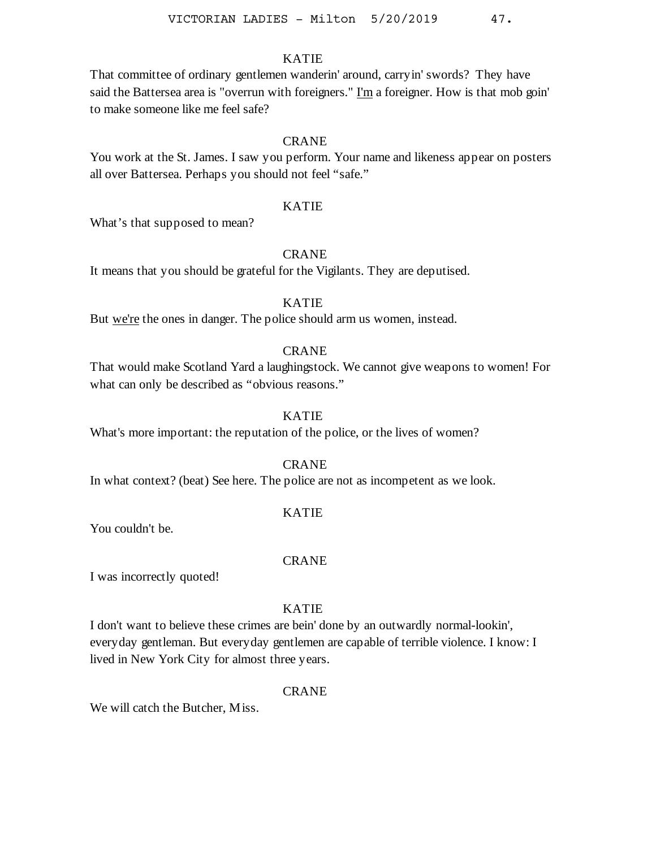That committee of ordinary gentlemen wanderin' around, carryin' swords? They have said the Battersea area is "overrun with foreigners." I'm a foreigner. How is that mob goin' to make someone like me feel safe?

# **CRANE**

You work at the St. James. I saw you perform. Your name and likeness appear on posters all over Battersea. Perhaps you should not feel "safe."

### KATIE

What's that supposed to mean?

### **CRANE**

It means that you should be grateful for the Vigilants. They are deputised.

# KATIE

But we're the ones in danger. The police should arm us women, instead.

#### **CRANE**

That would make Scotland Yard a laughingstock. We cannot give weapons to women! For what can only be described as "obvious reasons."

#### KATIE

What's more important: the reputation of the police, or the lives of women?

### CRANE

In what context? (beat) See here. The police are not as incompetent as we look.

# KATIE

You couldn't be.

#### CRANE

I was incorrectly quoted!

## KATIE

I don't want to believe these crimes are bein' done by an outwardly normal-lookin', everyday gentleman. But everyday gentlemen are capable of terrible violence. I know: I lived in New York City for almost three years.

### CRANE

We will catch the Butcher, Miss.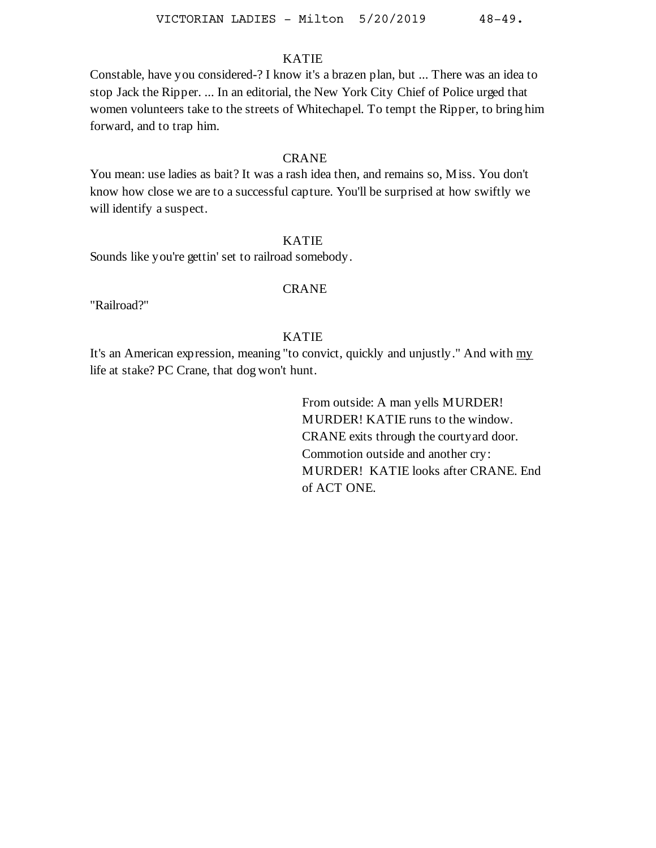Constable, have you considered-? I know it's a brazen plan, but ... There was an idea to stop Jack the Ripper. ... In an editorial, the New York City Chief of Police urged that women volunteers take to the streets of Whitechapel. To tempt the Ripper, to bring him forward, and to trap him.

## CRANE

You mean: use ladies as bait? It was a rash idea then, and remains so, Miss. You don't know how close we are to a successful capture. You'll be surprised at how swiftly we will identify a suspect.

## KATIE

Sounds like you're gettin' set to railroad somebody.

## CRANE

"Railroad?"

# KATIE

It's an American expression, meaning "to convict, quickly and unjustly." And with my life at stake? PC Crane, that dog won't hunt.

> From outside: A man yells MURDER! MURDER! KATIE runs to the window. CRANE exits through the courtyard door. Commotion outside and another cry: MURDER! KATIE looks after CRANE. End of ACT ONE.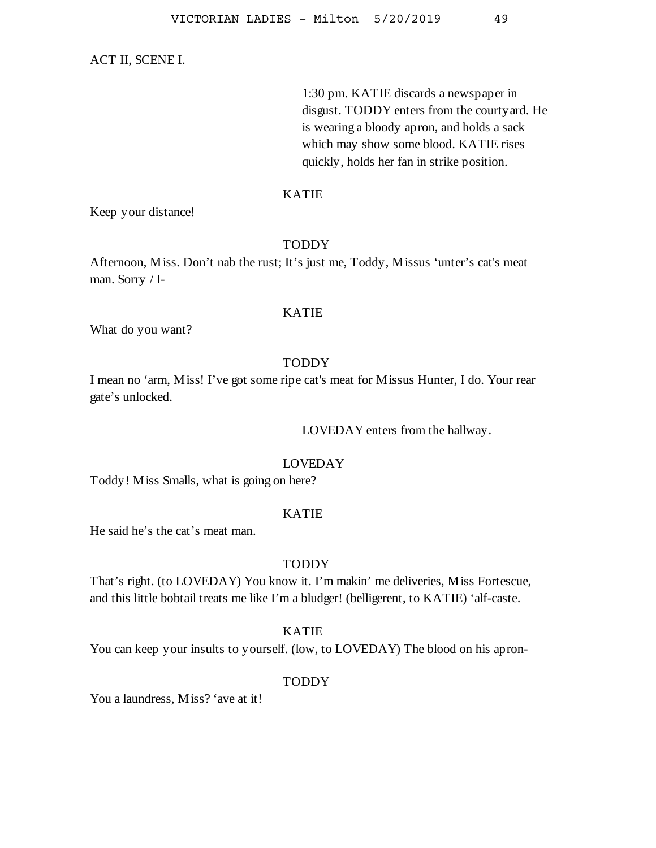#### ACT II, SCENE I.

1:30 pm. KATIE discards a newspaper in disgust. TODDY enters from the courtyard. He is wearing a bloody apron, and holds a sack which may show some blood. KATIE rises quickly, holds her fan in strike position.

### KATIE

Keep your distance!

## TODDY

Afternoon, Miss. Don't nab the rust; It's just me, Toddy, Missus 'unter's cat's meat man. Sorry / I-

## KATIE

What do you want?

### TODDY

I mean no 'arm, Miss! I've got some ripe cat's meat for Missus Hunter, I do. Your rear gate's unlocked.

LOVEDAY enters from the hallway.

## LOVEDAY

Toddy! Miss Smalls, what is going on here?

## KATIE

He said he's the cat's meat man.

#### TODDY

That's right. (to LOVEDAY) You know it. I'm makin' me deliveries, Miss Fortescue, and this little bobtail treats me like I'm a bludger! (belligerent, to KATIE) 'alf-caste.

#### KATIE

You can keep your insults to yourself. (low, to LOVEDAY) The blood on his apron-

#### TODDY

You a laundress, Miss? 'ave at it!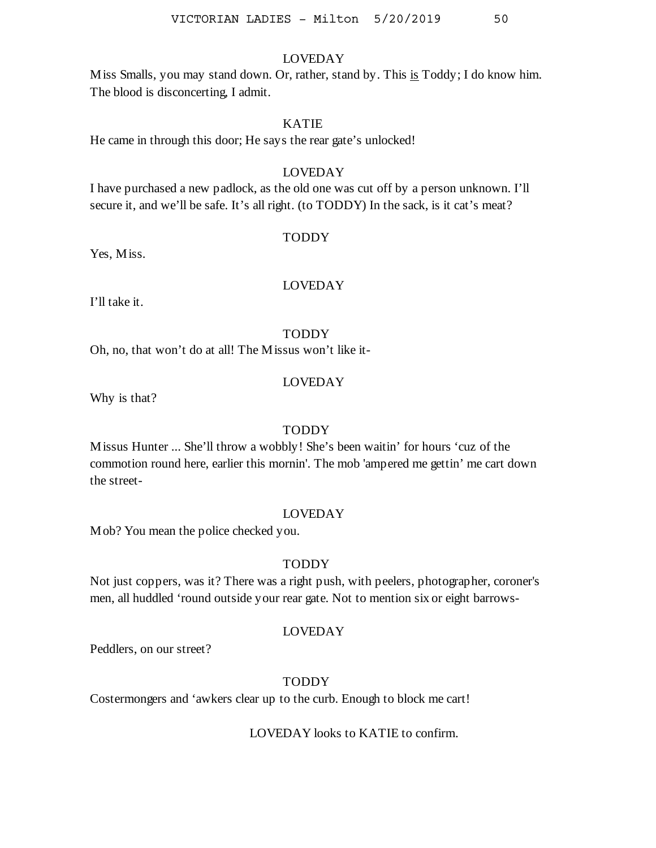Miss Smalls, you may stand down. Or, rather, stand by. This is Toddy; I do know him. The blood is disconcerting, I admit.

# KATIE

He came in through this door; He says the rear gate's unlocked!

#### LOVEDAY

I have purchased a new padlock, as the old one was cut off by a person unknown. I'll secure it, and we'll be safe. It's all right. (to TODDY) In the sack, is it cat's meat?

#### TODDY

Yes, Miss.

## LOVEDAY

I'll take it.

#### TODDY

Oh, no, that won't do at all! The Missus won't like it-

### LOVEDAY

Why is that?

### TODDY

Missus Hunter ... She'll throw a wobbly! She's been waitin' for hours 'cuz of the commotion round here, earlier this mornin'. The mob 'ampered me gettin' me cart down the street-

## LOVEDAY

Mob? You mean the police checked you.

#### TODDY

Not just coppers, was it? There was a right push, with peelers, photographer, coroner's men, all huddled 'round outside your rear gate. Not to mention six or eight barrows-

## LOVEDAY

Peddlers, on our street?

### **TODDY**

Costermongers and 'awkers clear up to the curb. Enough to block me cart!

LOVEDAY looks to KATIE to confirm.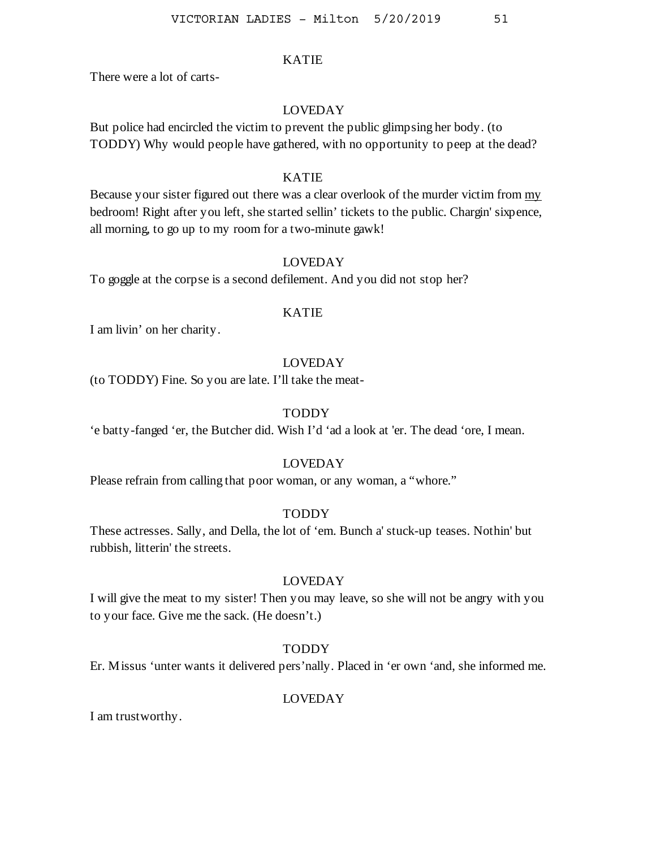There were a lot of carts-

### LOVEDAY

But police had encircled the victim to prevent the public glimpsing her body. (to TODDY) Why would people have gathered, with no opportunity to peep at the dead?

## KATIE

Because your sister figured out there was a clear overlook of the murder victim from my bedroom! Right after you left, she started sellin' tickets to the public. Chargin' sixpence, all morning, to go up to my room for a two-minute gawk!

# LOVEDAY

To goggle at the corpse is a second defilement. And you did not stop her?

## KATIE

I am livin' on her charity.

## LOVEDAY

(to TODDY) Fine. So you are late. I'll take the meat-

## TODDY

'e batty-fanged 'er, the Butcher did. Wish I'd 'ad a look at 'er. The dead 'ore, I mean.

#### LOVEDAY

Please refrain from calling that poor woman, or any woman, a "whore."

## TODDY

These actresses. Sally, and Della, the lot of 'em. Bunch a' stuck-up teases. Nothin' but rubbish, litterin' the streets.

### LOVEDAY

I will give the meat to my sister! Then you may leave, so she will not be angry with you to your face. Give me the sack. (He doesn't.)

# TODDY

Er. Missus 'unter wants it delivered pers'nally. Placed in 'er own 'and, she informed me.

## LOVEDAY

I am trustworthy.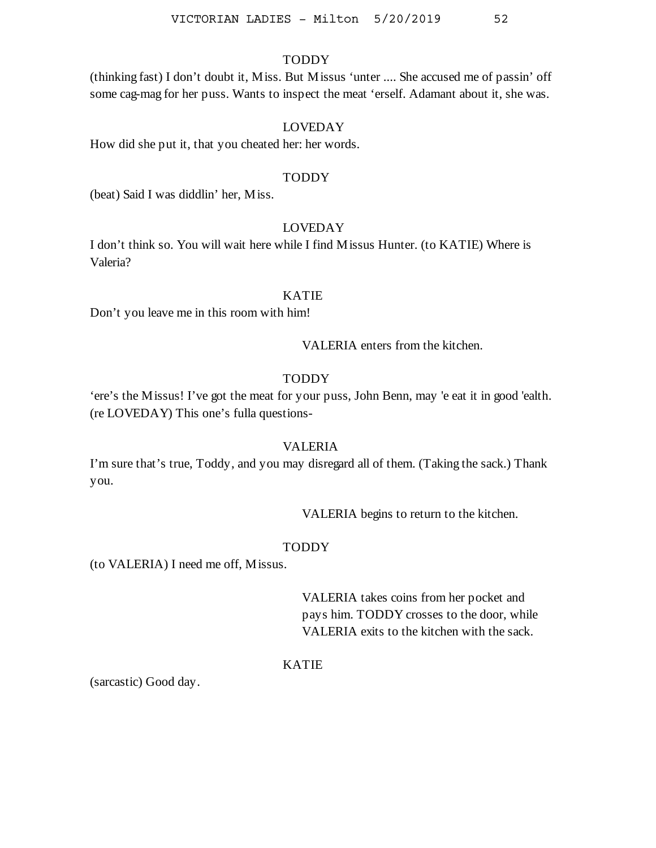# TODDY

(thinking fast) I don't doubt it, Miss. But Missus 'unter .... She accused me of passin' off some cag-mag for her puss. Wants to inspect the meat 'erself. Adamant about it, she was.

### LOVEDAY

How did she put it, that you cheated her: her words.

#### TODDY

(beat) Said I was diddlin' her, Miss.

### LOVEDAY

I don't think so. You will wait here while I find Missus Hunter. (to KATIE) Where is Valeria?

#### KATIE

Don't you leave me in this room with him!

VALERIA enters from the kitchen.

## **TODDY**

'ere's the Missus! I've got the meat for your puss, John Benn, may 'e eat it in good 'ealth. (re LOVEDAY) This one's fulla questions-

#### VALERIA

I'm sure that's true, Toddy, and you may disregard all of them. (Taking the sack.) Thank you.

VALERIA begins to return to the kitchen.

#### **TODDY**

(to VALERIA) I need me off, Missus.

VALERIA takes coins from her pocket and pays him. TODDY crosses to the door, while VALERIA exits to the kitchen with the sack.

# KATIE

(sarcastic) Good day.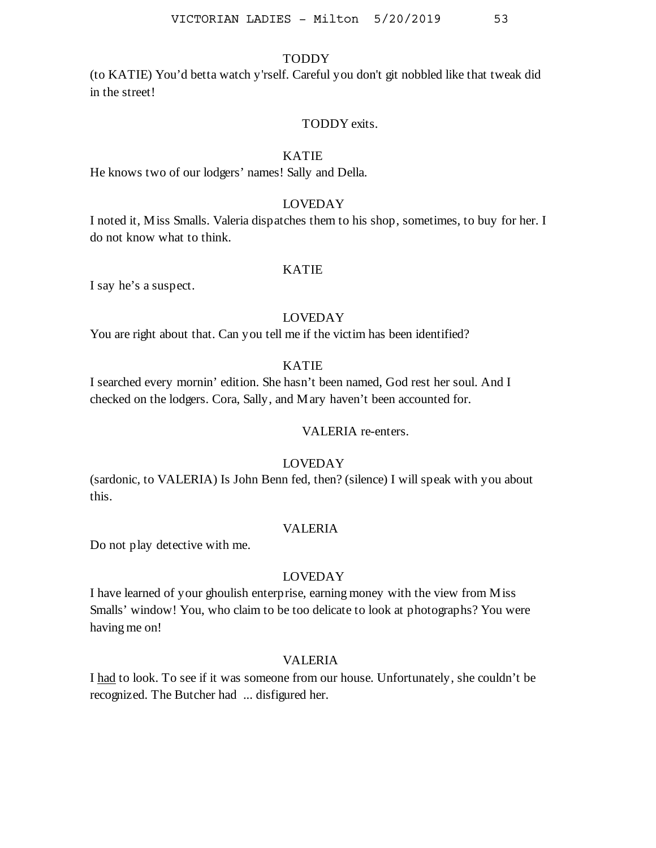# **TODDY**

(to KATIE) You'd betta watch y'rself. Careful you don't git nobbled like that tweak did in the street!

#### TODDY exits.

## KATIE

He knows two of our lodgers' names! Sally and Della.

### LOVEDAY

I noted it, Miss Smalls. Valeria dispatches them to his shop, sometimes, to buy for her. I do not know what to think.

#### KATIE

I say he's a suspect.

# LOVEDAY

You are right about that. Can you tell me if the victim has been identified?

# KATIE

I searched every mornin' edition. She hasn't been named, God rest her soul. And I checked on the lodgers. Cora, Sally, and Mary haven't been accounted for.

## VALERIA re-enters.

# LOVEDAY

(sardonic, to VALERIA) Is John Benn fed, then? (silence) I will speak with you about this.

### VALERIA

Do not play detective with me.

## LOVEDAY

I have learned of your ghoulish enterprise, earning money with the view from Miss Smalls' window! You, who claim to be too delicate to look at photographs? You were having me on!

# VALERIA

I had to look. To see if it was someone from our house. Unfortunately, she couldn't be recognized. The Butcher had ... disfigured her.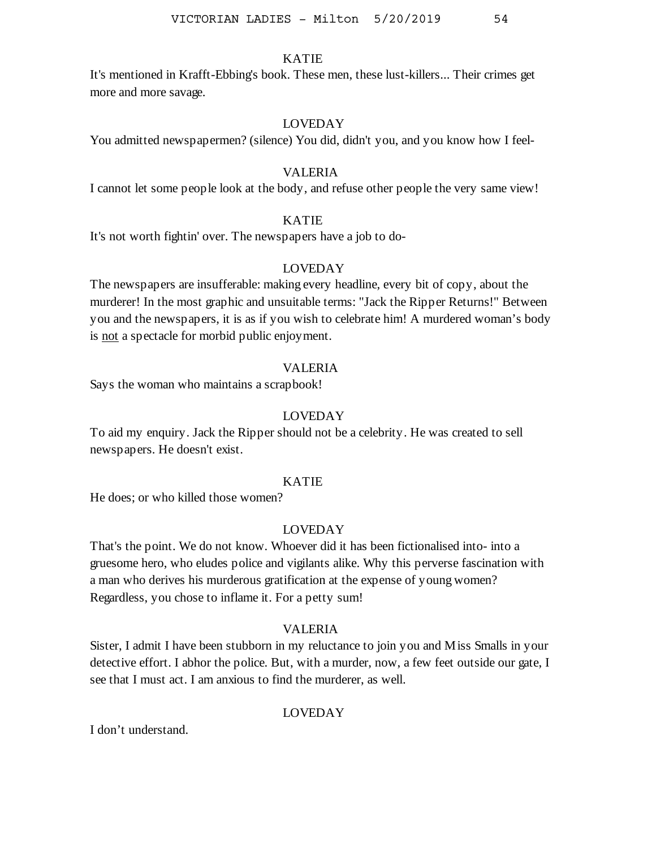It's mentioned in Krafft-Ebbing's book. These men, these lust-killers... Their crimes get more and more savage.

# LOVEDAY

You admitted newspapermen? (silence) You did, didn't you, and you know how I feel-

#### VALERIA

I cannot let some people look at the body, and refuse other people the very same view!

### KATIE

It's not worth fightin' over. The newspapers have a job to do-

## LOVEDAY

The newspapers are insufferable: making every headline, every bit of copy, about the murderer! In the most graphic and unsuitable terms: "Jack the Ripper Returns!" Between you and the newspapers, it is as if you wish to celebrate him! A murdered woman's body is not a spectacle for morbid public enjoyment.

#### VALERIA

Says the woman who maintains a scrapbook!

#### LOVEDAY

To aid my enquiry. Jack the Ripper should not be a celebrity. He was created to sell newspapers. He doesn't exist.

#### KATIE

He does; or who killed those women?

# LOVEDAY

That's the point. We do not know. Whoever did it has been fictionalised into- into a gruesome hero, who eludes police and vigilants alike. Why this perverse fascination with a man who derives his murderous gratification at the expense of young women? Regardless, you chose to inflame it. For a petty sum!

## VALERIA

Sister, I admit I have been stubborn in my reluctance to join you and Miss Smalls in your detective effort. I abhor the police. But, with a murder, now, a few feet outside our gate, I see that I must act. I am anxious to find the murderer, as well.

### LOVEDAY

I don't understand.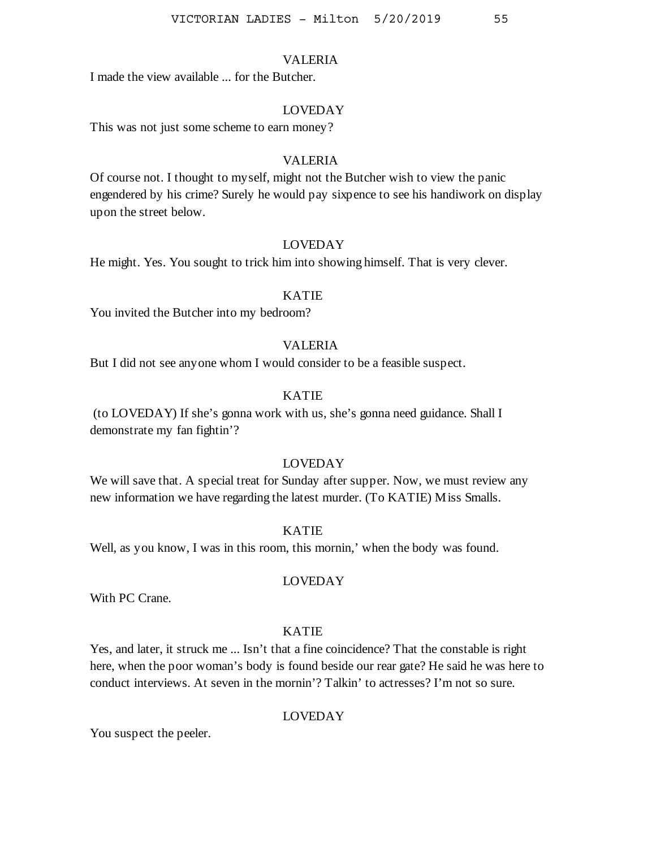I made the view available ... for the Butcher.

#### LOVEDAY

This was not just some scheme to earn money?

## VALERIA

Of course not. I thought to myself, might not the Butcher wish to view the panic engendered by his crime? Surely he would pay sixpence to see his handiwork on display upon the street below.

#### LOVEDAY

He might. Yes. You sought to trick him into showing himself. That is very clever.

## KATIE

You invited the Butcher into my bedroom?

#### VALERIA

But I did not see anyone whom I would consider to be a feasible suspect.

# KATIE

(to LOVEDAY) If she's gonna work with us, she's gonna need guidance. Shall I demonstrate my fan fightin'?

### LOVEDAY

We will save that. A special treat for Sunday after supper. Now, we must review any new information we have regarding the latest murder. (To KATIE) Miss Smalls.

### KATIE

Well, as you know, I was in this room, this mornin,' when the body was found.

### LOVEDAY

With PC Crane.

#### KATIE

Yes, and later, it struck me ... Isn't that a fine coincidence? That the constable is right here, when the poor woman's body is found beside our rear gate? He said he was here to conduct interviews. At seven in the mornin'? Talkin' to actresses? I'm not so sure.

#### LOVEDAY

You suspect the peeler.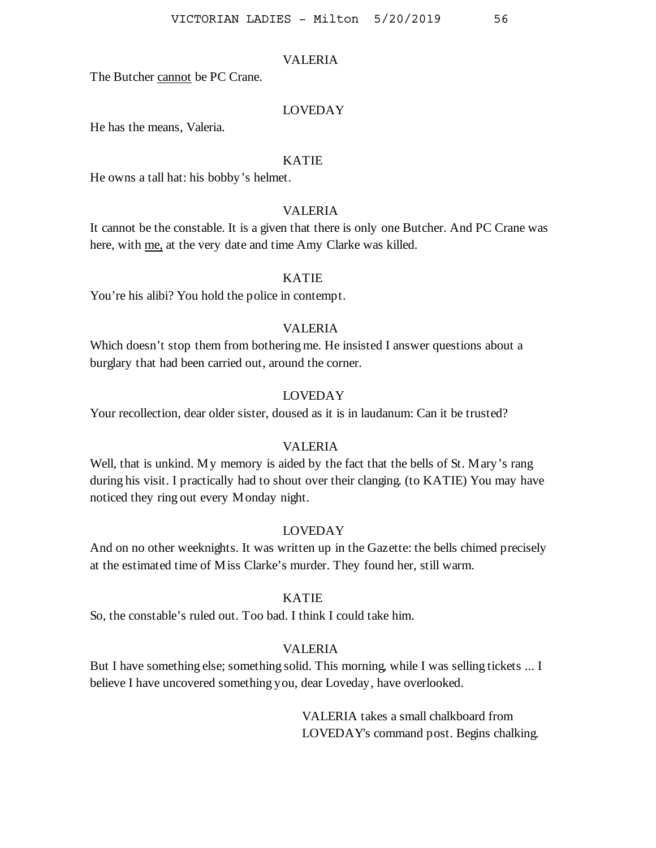The Butcher cannot be PC Crane.

#### LOVEDAY

He has the means, Valeria.

### KATIE

He owns a tall hat: his bobby's helmet.

## VALERIA

It cannot be the constable. It is a given that there is only one Butcher. And PC Crane was here, with me, at the very date and time Amy Clarke was killed.

## KATIE

You're his alibi? You hold the police in contempt.

#### VALERIA

Which doesn't stop them from bothering me. He insisted I answer questions about a burglary that had been carried out, around the corner.

### LOVEDAY

Your recollection, dear older sister, doused as it is in laudanum: Can it be trusted?

#### VALERIA

Well, that is unkind. My memory is aided by the fact that the bells of St. Mary's rang during his visit. I practically had to shout over their clanging. (to KATIE) You may have noticed they ring out every Monday night.

## LOVEDAY

And on no other weeknights. It was written up in the Gazette: the bells chimed precisely at the estimated time of Miss Clarke's murder. They found her, still warm.

#### KATIE

So, the constable's ruled out. Too bad. I think I could take him.

## VALERIA

But I have something else; something solid. This morning, while I was selling tickets ... I believe I have uncovered something you, dear Loveday, have overlooked.

> VALERIA takes a small chalkboard from LOVEDAY's command post. Begins chalking.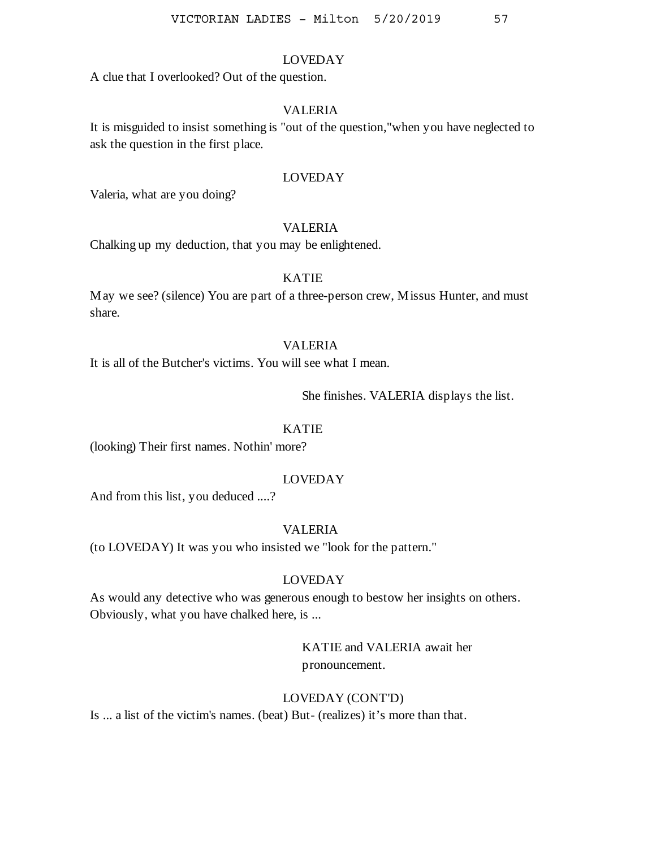A clue that I overlooked? Out of the question.

## VALERIA

It is misguided to insist something is "out of the question,"when you have neglected to ask the question in the first place.

## LOVEDAY

Valeria, what are you doing?

## VALERIA

Chalking up my deduction, that you may be enlightened.

## KATIE

May we see? (silence) You are part of a three-person crew, Missus Hunter, and must share.

### VALERIA

It is all of the Butcher's victims. You will see what I mean.

She finishes. VALERIA displays the list.

# KATIE

(looking) Their first names. Nothin' more?

# LOVEDAY

And from this list, you deduced ....?

## VALERIA

(to LOVEDAY) It was you who insisted we "look for the pattern."

### LOVEDAY

As would any detective who was generous enough to bestow her insights on others. Obviously, what you have chalked here, is ...

> KATIE and VALERIA await her pronouncement.

#### LOVEDAY (CONT'D)

Is ... a list of the victim's names. (beat) But- (realizes) it's more than that.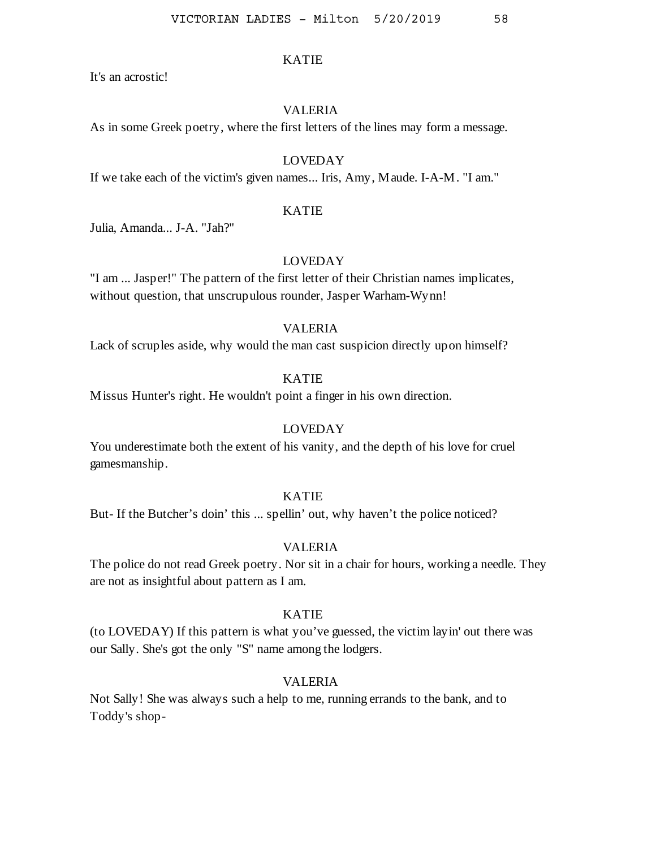It's an acrostic!

#### VALERIA

As in some Greek poetry, where the first letters of the lines may form a message.

# LOVEDAY

If we take each of the victim's given names... Iris, Amy, Maude. I-A-M. "I am."

#### KATIE

Julia, Amanda... J-A. "Jah?"

### LOVEDAY

"I am ... Jasper!" The pattern of the first letter of their Christian names implicates, without question, that unscrupulous rounder, Jasper Warham-Wynn!

#### VALERIA

Lack of scruples aside, why would the man cast suspicion directly upon himself?

## KATIE

Missus Hunter's right. He wouldn't point a finger in his own direction.

#### LOVEDAY

You underestimate both the extent of his vanity, and the depth of his love for cruel gamesmanship.

# KATIE

But- If the Butcher's doin' this ... spellin' out, why haven't the police noticed?

### VALERIA

The police do not read Greek poetry. Nor sit in a chair for hours, working a needle. They are not as insightful about pattern as I am.

### KATIE

(to LOVEDAY) If this pattern is what you've guessed, the victim layin' out there was our Sally. She's got the only "S" name among the lodgers.

#### VALERIA

Not Sally! She was always such a help to me, running errands to the bank, and to Toddy's shop-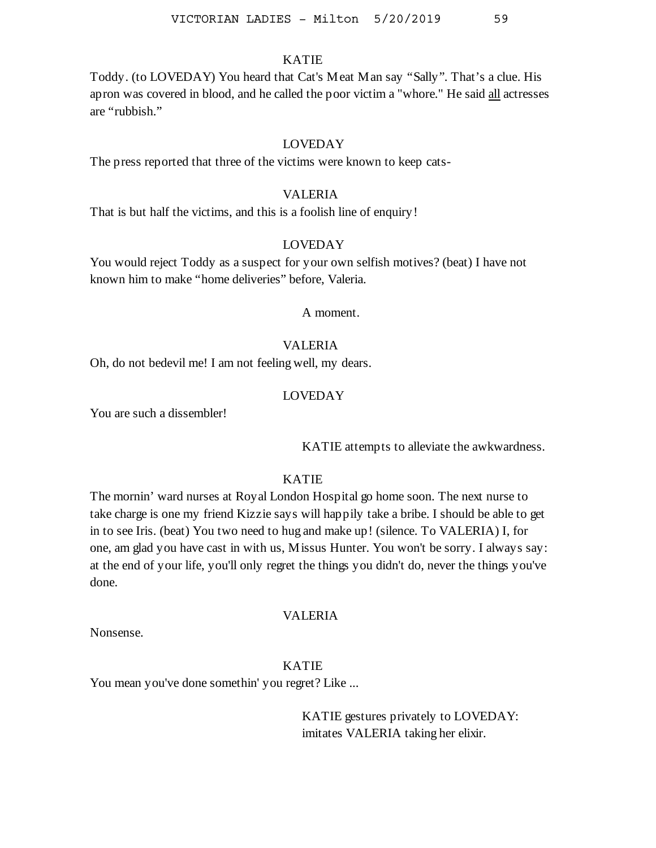Toddy. (to LOVEDAY) You heard that Cat's Meat Man say "Sally". That's a clue. His apron was covered in blood, and he called the poor victim a "whore." He said all actresses are "rubbish."

#### LOVEDAY

The press reported that three of the victims were known to keep cats-

#### VALERIA

That is but half the victims, and this is a foolish line of enquiry!

### LOVEDAY

You would reject Toddy as a suspect for your own selfish motives? (beat) I have not known him to make "home deliveries" before, Valeria.

## A moment.

### VALERIA

Oh, do not bedevil me! I am not feeling well, my dears.

#### LOVEDAY

You are such a dissembler!

KATIE attempts to alleviate the awkwardness.

# KATIE

The mornin' ward nurses at Royal London Hospital go home soon. The next nurse to take charge is one my friend Kizzie says will happily take a bribe. I should be able to get in to see Iris. (beat) You two need to hug and make up! (silence. To VALERIA) I, for one, am glad you have cast in with us, Missus Hunter. You won't be sorry. I always say: at the end of your life, you'll only regret the things you didn't do, never the things you've done.

#### VALERIA

Nonsense.

# KATIE

You mean you've done somethin' you regret? Like ...

KATIE gestures privately to LOVEDAY: imitates VALERIA taking her elixir.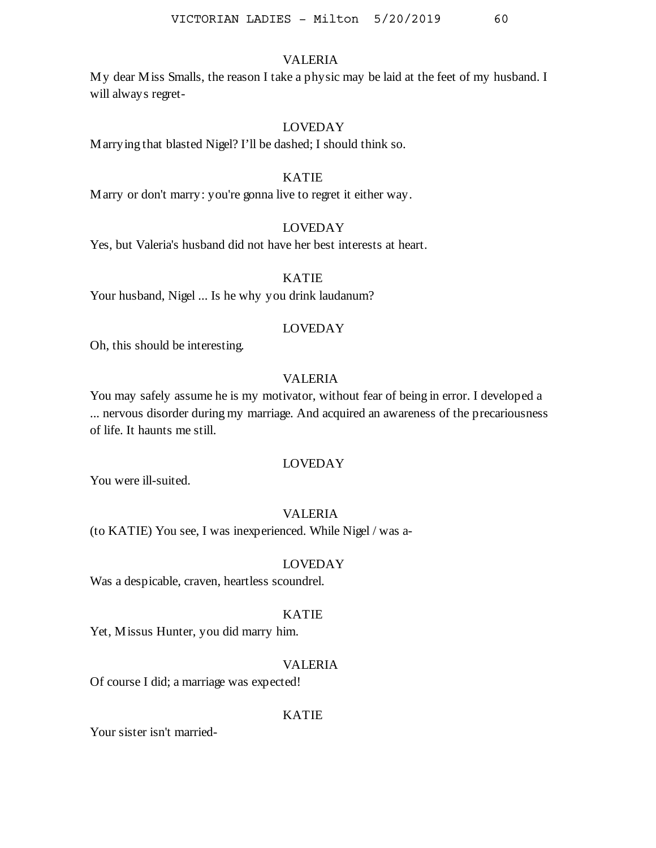My dear Miss Smalls, the reason I take a physic may be laid at the feet of my husband. I will always regret-

## LOVEDAY

Marrying that blasted Nigel? I'll be dashed; I should think so.

## KATIE

Marry or don't marry: you're gonna live to regret it either way.

# LOVEDAY

Yes, but Valeria's husband did not have her best interests at heart.

## KATIE

Your husband, Nigel ... Is he why you drink laudanum?

#### LOVEDAY

Oh, this should be interesting.

# VALERIA

You may safely assume he is my motivator, without fear of being in error. I developed a ... nervous disorder during my marriage. And acquired an awareness of the precariousness of life. It haunts me still.

### LOVEDAY

You were ill-suited.

## VALERIA

(to KATIE) You see, I was inexperienced. While Nigel / was a-

#### LOVEDAY

Was a despicable, craven, heartless scoundrel.

### KATIE

Yet, Missus Hunter, you did marry him.

#### VALERIA

Of course I did; a marriage was expected!

#### KATIE

Your sister isn't married-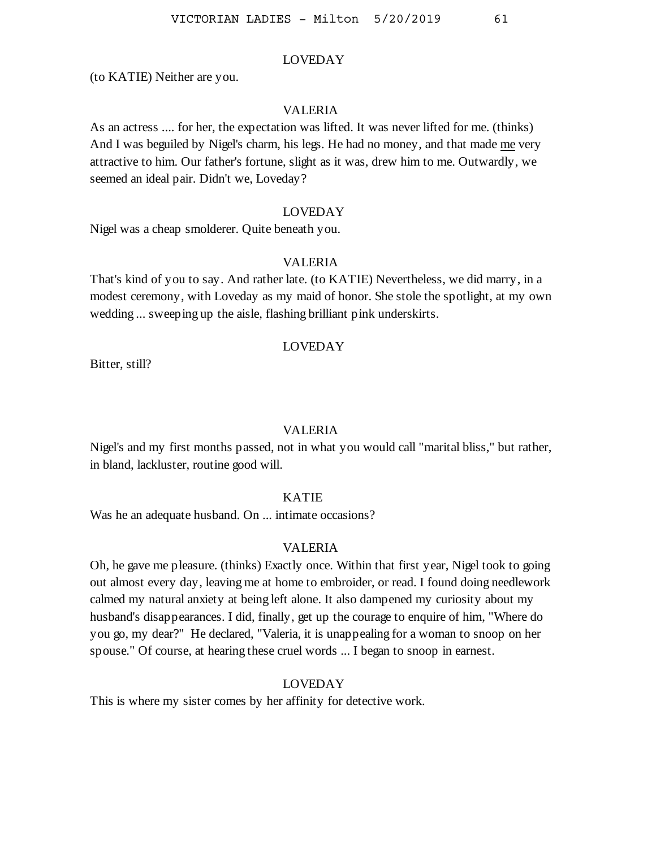(to KATIE) Neither are you.

#### VALERIA

As an actress .... for her, the expectation was lifted. It was never lifted for me. (thinks) And I was beguiled by Nigel's charm, his legs. He had no money, and that made me very attractive to him. Our father's fortune, slight as it was, drew him to me. Outwardly, we seemed an ideal pair. Didn't we, Loveday?

### LOVEDAY

Nigel was a cheap smolderer. Quite beneath you.

### VALERIA

That's kind of you to say. And rather late. (to KATIE) Nevertheless, we did marry, in a modest ceremony, with Loveday as my maid of honor. She stole the spotlight, at my own wedding ... sweeping up the aisle, flashing brilliant pink underskirts.

### LOVEDAY

Bitter, still?

#### VALERIA

Nigel's and my first months passed, not in what you would call "marital bliss," but rather, in bland, lackluster, routine good will.

#### KATIE

Was he an adequate husband. On ... intimate occasions?

#### VALERIA

Oh, he gave me pleasure. (thinks) Exactly once. Within that first year, Nigel took to going out almost every day, leaving me at home to embroider, or read. I found doing needlework calmed my natural anxiety at being left alone. It also dampened my curiosity about my husband's disappearances. I did, finally, get up the courage to enquire of him, "Where do you go, my dear?" He declared, "Valeria, it is unappealing for a woman to snoop on her spouse." Of course, at hearing these cruel words ... I began to snoop in earnest.

#### LOVEDAY

This is where my sister comes by her affinity for detective work.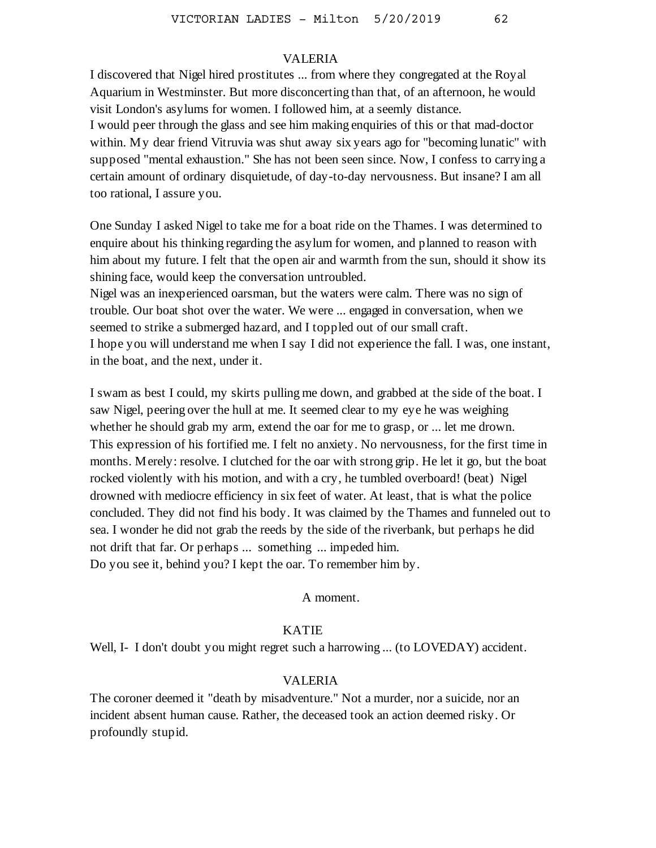I discovered that Nigel hired prostitutes ... from where they congregated at the Royal Aquarium in Westminster. But more disconcerting than that, of an afternoon, he would visit London's asylums for women. I followed him, at a seemly distance. I would peer through the glass and see him making enquiries of this or that mad-doctor within. My dear friend Vitruvia was shut away six years ago for "becoming lunatic" with supposed "mental exhaustion." She has not been seen since. Now, I confess to carrying a certain amount of ordinary disquietude, of day-to-day nervousness. But insane? I am all too rational, I assure you.

One Sunday I asked Nigel to take me for a boat ride on the Thames. I was determined to enquire about his thinking regarding the asylum for women, and planned to reason with him about my future. I felt that the open air and warmth from the sun, should it show its shining face, would keep the conversation untroubled.

Nigel was an inexperienced oarsman, but the waters were calm. There was no sign of trouble. Our boat shot over the water. We were ... engaged in conversation, when we seemed to strike a submerged hazard, and I toppled out of our small craft. I hope you will understand me when I say I did not experience the fall. I was, one instant, in the boat, and the next, under it.

I swam as best I could, my skirts pulling me down, and grabbed at the side of the boat. I saw Nigel, peering over the hull at me. It seemed clear to my eye he was weighing whether he should grab my arm, extend the oar for me to grasp, or ... let me drown. This expression of his fortified me. I felt no anxiety. No nervousness, for the first time in months. Merely: resolve. I clutched for the oar with strong grip. He let it go, but the boat rocked violently with his motion, and with a cry, he tumbled overboard! (beat) Nigel drowned with mediocre efficiency in six feet of water. At least, that is what the police concluded. They did not find his body. It was claimed by the Thames and funneled out to sea. I wonder he did not grab the reeds by the side of the riverbank, but perhaps he did not drift that far. Or perhaps ... something ... impeded him. Do you see it, behind you? I kept the oar. To remember him by.

A moment.

# KATIE

Well, I- I don't doubt you might regret such a harrowing ... (to LOVEDAY) accident.

## VALERIA

The coroner deemed it "death by misadventure." Not a murder, nor a suicide, nor an incident absent human cause. Rather, the deceased took an action deemed risky. Or profoundly stupid.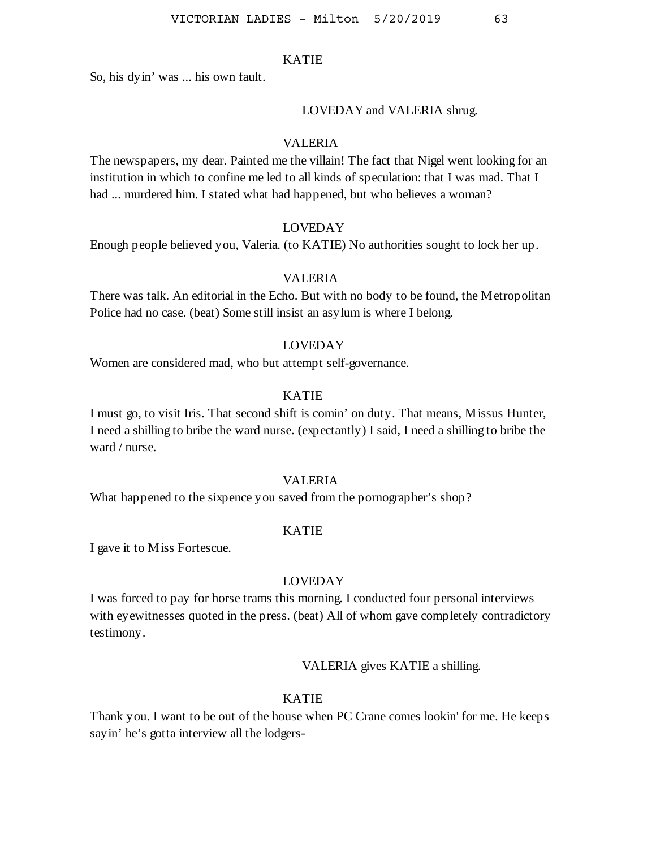So, his dyin' was ... his own fault.

#### LOVEDAY and VALERIA shrug.

## VALERIA

The newspapers, my dear. Painted me the villain! The fact that Nigel went looking for an institution in which to confine me led to all kinds of speculation: that I was mad. That I had ... murdered him. I stated what had happened, but who believes a woman?

## LOVEDAY

Enough people believed you, Valeria. (to KATIE) No authorities sought to lock her up.

## VALERIA

There was talk. An editorial in the Echo. But with no body to be found, the Metropolitan Police had no case. (beat) Some still insist an asylum is where I belong.

### LOVEDAY

Women are considered mad, who but attempt self-governance.

### KATIE

I must go, to visit Iris. That second shift is comin' on duty. That means, Missus Hunter, I need a shilling to bribe the ward nurse. (expectantly) I said, I need a shilling to bribe the ward / nurse.

### VALERIA

What happened to the sixpence you saved from the pornographer's shop?

#### KATIE

I gave it to Miss Fortescue.

## LOVEDAY

I was forced to pay for horse trams this morning. I conducted four personal interviews with eyewitnesses quoted in the press. (beat) All of whom gave completely contradictory testimony.

VALERIA gives KATIE a shilling.

#### KATIE

Thank you. I want to be out of the house when PC Crane comes lookin' for me. He keeps sayin' he's gotta interview all the lodgers-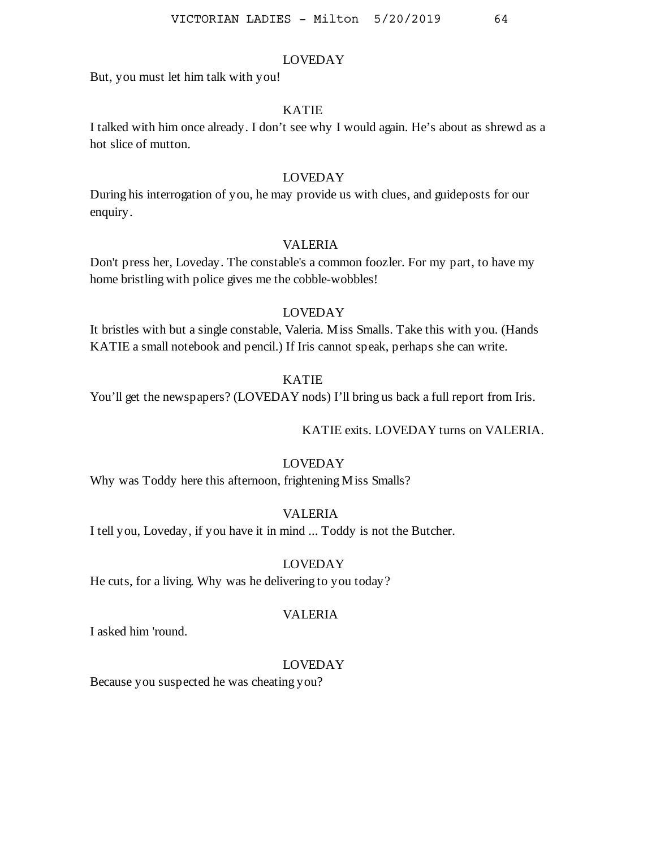But, you must let him talk with you!

## KATIE

I talked with him once already. I don't see why I would again. He's about as shrewd as a hot slice of mutton.

## LOVEDAY

During his interrogation of you, he may provide us with clues, and guideposts for our enquiry.

### VALERIA

Don't press her, Loveday. The constable's a common foozler. For my part, to have my home bristling with police gives me the cobble-wobbles!

## LOVEDAY

It bristles with but a single constable, Valeria. Miss Smalls. Take this with you. (Hands KATIE a small notebook and pencil.) If Iris cannot speak, perhaps she can write.

## KATIE

You'll get the newspapers? (LOVEDAY nods) I'll bring us back a full report from Iris.

KATIE exits. LOVEDAY turns on VALERIA.

## LOVEDAY

Why was Toddy here this afternoon, frightening Miss Smalls?

## VALERIA

I tell you, Loveday, if you have it in mind ... Toddy is not the Butcher.

#### LOVEDAY

He cuts, for a living. Why was he delivering to you today?

#### VALERIA

I asked him 'round.

#### LOVEDAY

Because you suspected he was cheating you?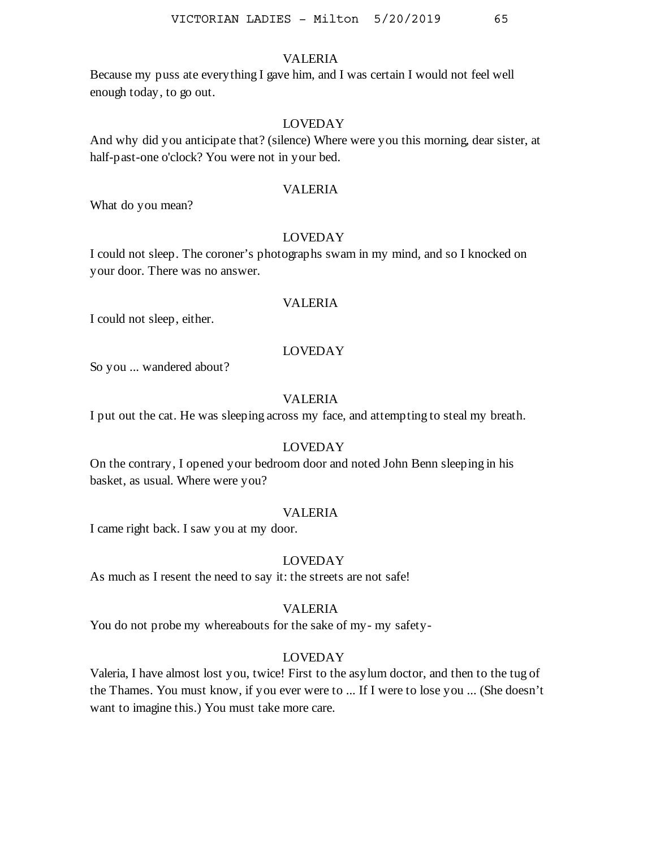Because my puss ate everything I gave him, and I was certain I would not feel well enough today, to go out.

# LOVEDAY

And why did you anticipate that? (silence) Where were you this morning, dear sister, at half-past-one o'clock? You were not in your bed.

#### VALERIA

What do you mean?

#### LOVEDAY

I could not sleep. The coroner's photographs swam in my mind, and so I knocked on your door. There was no answer.

### VALERIA

I could not sleep, either.

#### LOVEDAY

So you ... wandered about?

#### VALERIA

I put out the cat. He was sleeping across my face, and attempting to steal my breath.

#### LOVEDAY

On the contrary, I opened your bedroom door and noted John Benn sleeping in his basket, as usual. Where were you?

### VALERIA

I came right back. I saw you at my door.

### LOVEDAY

As much as I resent the need to say it: the streets are not safe!

### VALERIA

You do not probe my whereabouts for the sake of my- my safety-

#### LOVEDAY

Valeria, I have almost lost you, twice! First to the asylum doctor, and then to the tug of the Thames. You must know, if you ever were to ... If I were to lose you ... (She doesn't want to imagine this.) You must take more care.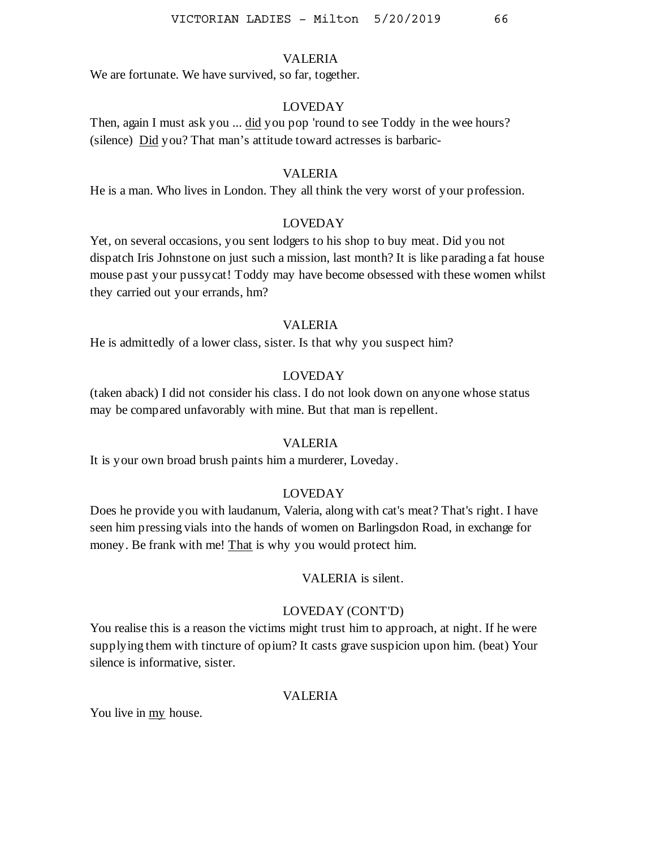We are fortunate. We have survived, so far, together.

## LOVEDAY

Then, again I must ask you ... did you pop 'round to see Toddy in the wee hours? (silence) Did you? That man's attitude toward actresses is barbaric-

#### VALERIA

He is a man. Who lives in London. They all think the very worst of your profession.

## LOVEDAY

Yet, on several occasions, you sent lodgers to his shop to buy meat. Did you not dispatch Iris Johnstone on just such a mission, last month? It is like parading a fat house mouse past your pussycat! Toddy may have become obsessed with these women whilst they carried out your errands, hm?

#### VALERIA

He is admittedly of a lower class, sister. Is that why you suspect him?

#### LOVEDAY

(taken aback) I did not consider his class. I do not look down on anyone whose status may be compared unfavorably with mine. But that man is repellent.

### VALERIA

It is your own broad brush paints him a murderer, Loveday.

#### LOVEDAY

Does he provide you with laudanum, Valeria, along with cat's meat? That's right. I have seen him pressing vials into the hands of women on Barlingsdon Road, in exchange for money. Be frank with me! That is why you would protect him.

#### VALERIA is silent.

#### LOVEDAY (CONT'D)

You realise this is a reason the victims might trust him to approach, at night. If he were supplying them with tincture of opium? It casts grave suspicion upon him. (beat) Your silence is informative, sister.

#### VALERIA

You live in my house.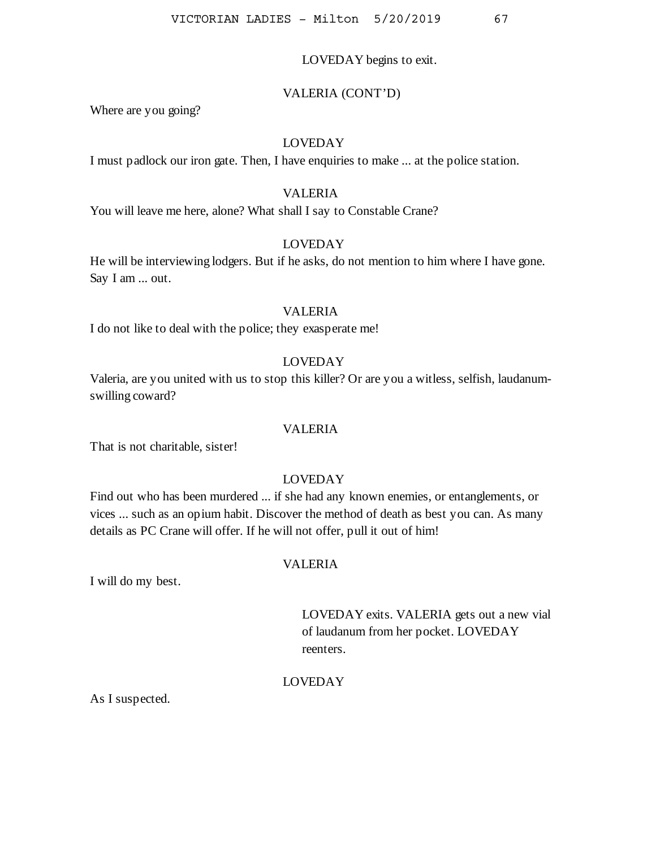### LOVEDAY begins to exit.

#### VALERIA (CONT'D)

Where are you going?

# LOVEDAY

I must padlock our iron gate. Then, I have enquiries to make ... at the police station.

## VALERIA

You will leave me here, alone? What shall I say to Constable Crane?

### LOVEDAY

He will be interviewing lodgers. But if he asks, do not mention to him where I have gone. Say I am ... out.

#### VALERIA

I do not like to deal with the police; they exasperate me!

# LOVEDAY

Valeria, are you united with us to stop this killer? Or are you a witless, selfish, laudanumswilling coward?

#### VALERIA

That is not charitable, sister!

# LOVEDAY

Find out who has been murdered ... if she had any known enemies, or entanglements, or vices ... such as an opium habit. Discover the method of death as best you can. As many details as PC Crane will offer. If he will not offer, pull it out of him!

## VALERIA

I will do my best.

LOVEDAY exits. VALERIA gets out a new vial of laudanum from her pocket. LOVEDAY reenters.

#### LOVEDAY

As I suspected.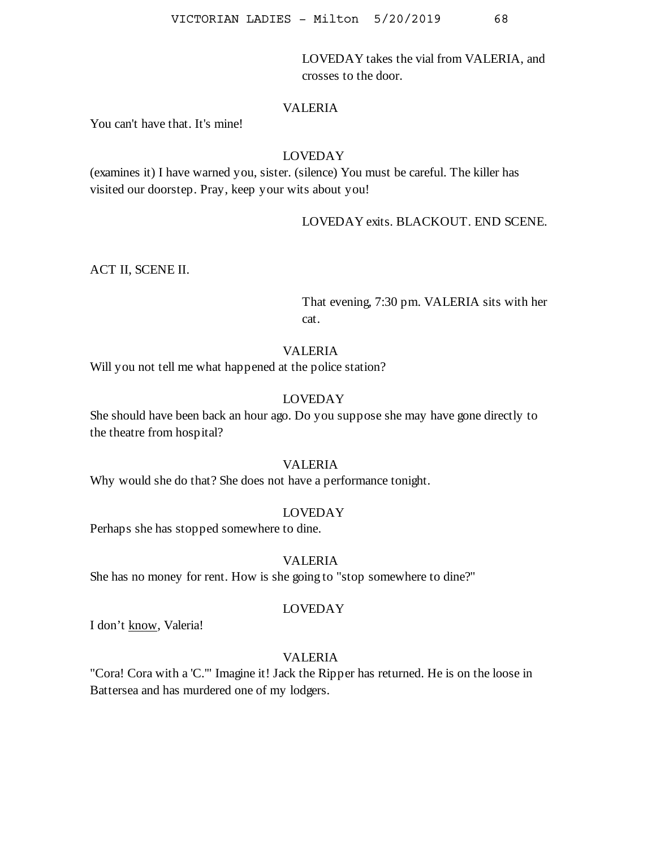LOVEDAY takes the vial from VALERIA, and crosses to the door.

# VALERIA

You can't have that. It's mine!

# LOVEDAY

(examines it) I have warned you, sister. (silence) You must be careful. The killer has visited our doorstep. Pray, keep your wits about you!

LOVEDAY exits. BLACKOUT. END SCENE.

ACT II, SCENE II.

That evening, 7:30 pm. VALERIA sits with her cat.

## VALERIA

Will you not tell me what happened at the police station?

## LOVEDAY

She should have been back an hour ago. Do you suppose she may have gone directly to the theatre from hospital?

### VALERIA

Why would she do that? She does not have a performance tonight.

# LOVEDAY

Perhaps she has stopped somewhere to dine.

## VALERIA

She has no money for rent. How is she going to "stop somewhere to dine?"

## LOVEDAY

I don't know, Valeria!

# VALERIA

"Cora! Cora with a 'C.'" Imagine it! Jack the Ripper has returned. He is on the loose in Battersea and has murdered one of my lodgers.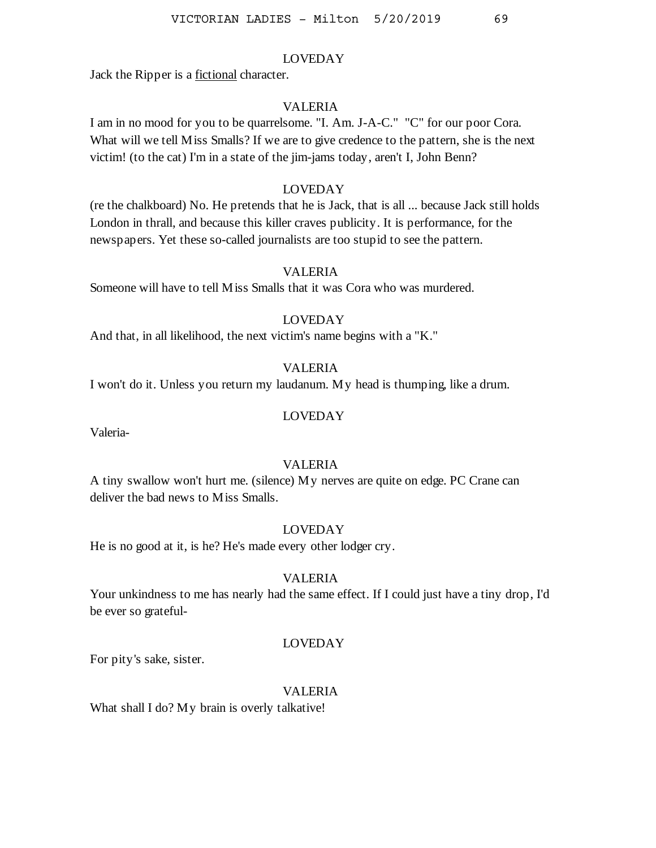Jack the Ripper is a fictional character.

## VALERIA

I am in no mood for you to be quarrelsome. "I. Am. J-A-C." "C" for our poor Cora. What will we tell Miss Smalls? If we are to give credence to the pattern, she is the next victim! (to the cat) I'm in a state of the jim-jams today, aren't I, John Benn?

## LOVEDAY

(re the chalkboard) No. He pretends that he is Jack, that is all ... because Jack still holds London in thrall, and because this killer craves publicity. It is performance, for the newspapers. Yet these so-called journalists are too stupid to see the pattern.

#### VALERIA

Someone will have to tell Miss Smalls that it was Cora who was murdered.

# LOVEDAY

And that, in all likelihood, the next victim's name begins with a "K."

## VALERIA

I won't do it. Unless you return my laudanum. My head is thumping, like a drum.

#### LOVEDAY

Valeria-

## VALERIA

A tiny swallow won't hurt me. (silence) My nerves are quite on edge. PC Crane can deliver the bad news to Miss Smalls.

## LOVEDAY

He is no good at it, is he? He's made every other lodger cry.

## VALERIA

Your unkindness to me has nearly had the same effect. If I could just have a tiny drop, I'd be ever so grateful-

## LOVEDAY

For pity's sake, sister.

# VALERIA

What shall I do? My brain is overly talkative!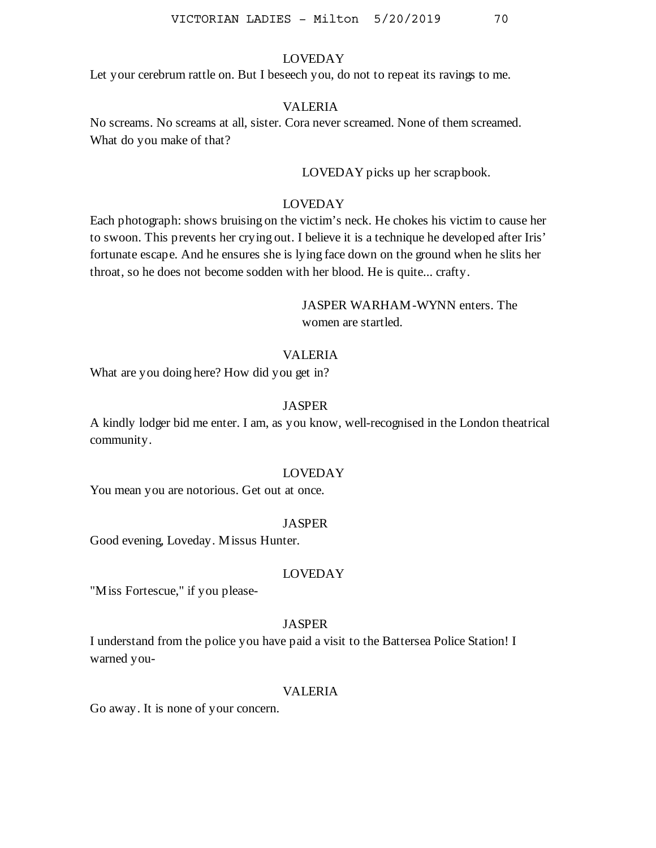Let your cerebrum rattle on. But I beseech you, do not to repeat its ravings to me.

### VALERIA

No screams. No screams at all, sister. Cora never screamed. None of them screamed. What do you make of that?

LOVEDAY picks up her scrapbook.

## LOVEDAY

Each photograph: shows bruising on the victim's neck. He chokes his victim to cause her to swoon. This prevents her crying out. I believe it is a technique he developed after Iris' fortunate escape. And he ensures she is lying face down on the ground when he slits her throat, so he does not become sodden with her blood. He is quite... crafty.

# JASPER WARHAM-WYNN enters. The women are startled.

### VALERIA

What are you doing here? How did you get in?

#### **JASPER**

A kindly lodger bid me enter. I am, as you know, well-recognised in the London theatrical community.

#### LOVEDAY

You mean you are notorious. Get out at once.

#### JASPER

Good evening, Loveday. Missus Hunter.

#### LOVEDAY

"Miss Fortescue," if you please-

#### **JASPER**

I understand from the police you have paid a visit to the Battersea Police Station! I warned you-

#### VALERIA

Go away. It is none of your concern.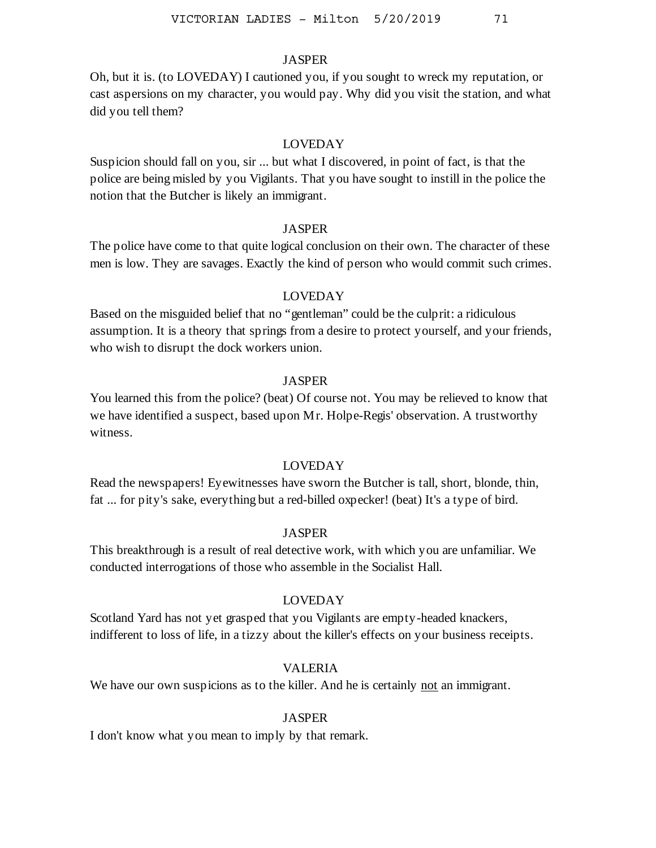## **JASPER**

Oh, but it is. (to LOVEDAY) I cautioned you, if you sought to wreck my reputation, or cast aspersions on my character, you would pay. Why did you visit the station, and what did you tell them?

#### LOVEDAY

Suspicion should fall on you, sir ... but what I discovered, in point of fact, is that the police are being misled by you Vigilants. That you have sought to instill in the police the notion that the Butcher is likely an immigrant.

### **JASPER**

The police have come to that quite logical conclusion on their own. The character of these men is low. They are savages. Exactly the kind of person who would commit such crimes.

### LOVEDAY

Based on the misguided belief that no "gentleman" could be the culprit: a ridiculous assumption. It is a theory that springs from a desire to protect yourself, and your friends, who wish to disrupt the dock workers union.

#### JASPER

You learned this from the police? (beat) Of course not. You may be relieved to know that we have identified a suspect, based upon Mr. Holpe-Regis' observation. A trustworthy witness.

# LOVEDAY

Read the newspapers! Eyewitnesses have sworn the Butcher is tall, short, blonde, thin, fat ... for pity's sake, everything but a red-billed oxpecker! (beat) It's a type of bird.

#### JASPER

This breakthrough is a result of real detective work, with which you are unfamiliar. We conducted interrogations of those who assemble in the Socialist Hall.

# LOVEDAY

Scotland Yard has not yet grasped that you Vigilants are empty-headed knackers, indifferent to loss of life, in a tizzy about the killer's effects on your business receipts.

## VALERIA

We have our own suspicions as to the killer. And he is certainly not an immigrant.

#### JASPER

I don't know what you mean to imply by that remark.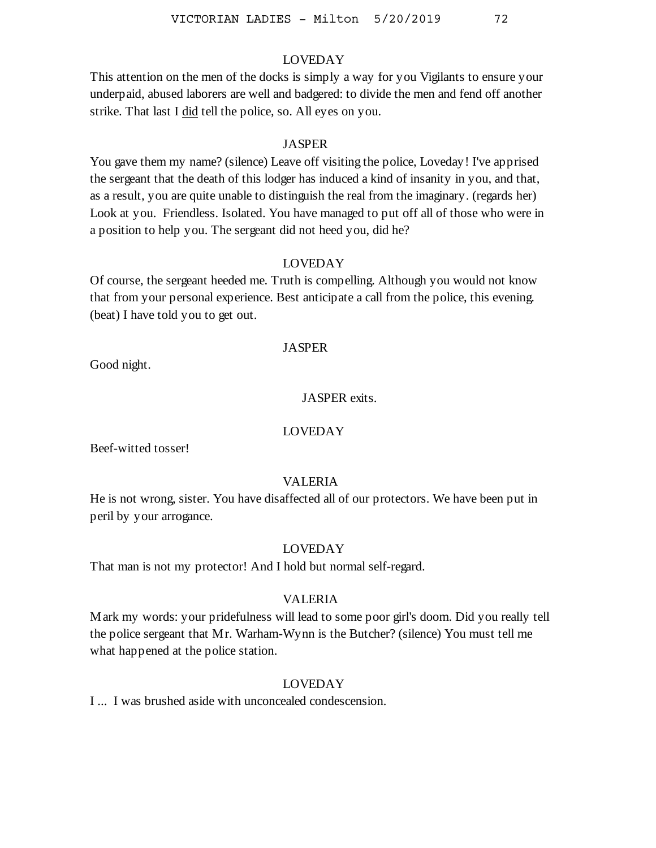This attention on the men of the docks is simply a way for you Vigilants to ensure your underpaid, abused laborers are well and badgered: to divide the men and fend off another strike. That last I did tell the police, so. All eyes on you.

#### **JASPER**

You gave them my name? (silence) Leave off visiting the police, Loveday! I've apprised the sergeant that the death of this lodger has induced a kind of insanity in you, and that, as a result, you are quite unable to distinguish the real from the imaginary. (regards her) Look at you. Friendless. Isolated. You have managed to put off all of those who were in a position to help you. The sergeant did not heed you, did he?

## LOVEDAY

Of course, the sergeant heeded me. Truth is compelling. Although you would not know that from your personal experience. Best anticipate a call from the police, this evening. (beat) I have told you to get out.

## **JASPER**

Good night.

## JASPER exits.

# LOVEDAY

Beef-witted tosser!

## VALERIA

He is not wrong, sister. You have disaffected all of our protectors. We have been put in peril by your arrogance.

## LOVEDAY

That man is not my protector! And I hold but normal self-regard.

## VALERIA

Mark my words: your pridefulness will lead to some poor girl's doom. Did you really tell the police sergeant that Mr. Warham-Wynn is the Butcher? (silence) You must tell me what happened at the police station.

## LOVEDAY

I ... I was brushed aside with unconcealed condescension.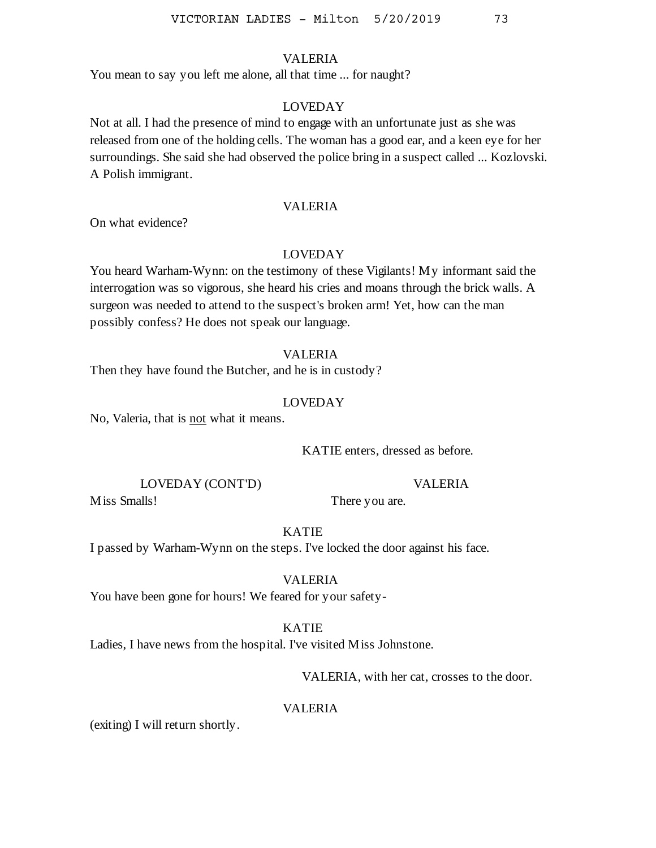#### VALERIA

You mean to say you left me alone, all that time ... for naught?

# LOVEDAY

Not at all. I had the presence of mind to engage with an unfortunate just as she was released from one of the holding cells. The woman has a good ear, and a keen eye for her surroundings. She said she had observed the police bring in a suspect called ... Kozlovski. A Polish immigrant.

#### VALERIA

On what evidence?

#### LOVEDAY

You heard Warham-Wynn: on the testimony of these Vigilants! My informant said the interrogation was so vigorous, she heard his cries and moans through the brick walls. A surgeon was needed to attend to the suspect's broken arm! Yet, how can the man possibly confess? He does not speak our language.

#### VALERIA

Then they have found the Butcher, and he is in custody?

#### LOVEDAY

No, Valeria, that is not what it means.

KATIE enters, dressed as before.

There you are.

LOVEDAY (CONT'D)

VALERIA

Miss Smalls!

KATIE

I passed by Warham-Wynn on the steps. I've locked the door against his face.

VALERIA

You have been gone for hours! We feared for your safety-

#### KATIE

Ladies, I have news from the hospital. I've visited Miss Johnstone.

VALERIA, with her cat, crosses to the door.

# VALERIA

(exiting) I will return shortly.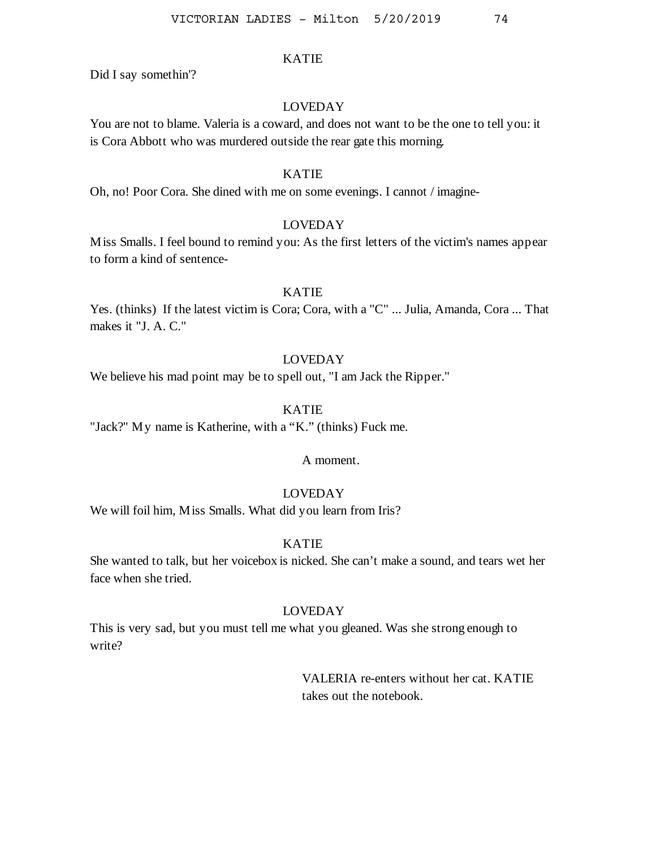Did I say somethin'?

# LOVEDAY

You are not to blame. Valeria is a coward, and does not want to be the one to tell you: it is Cora Abbott who was murdered outside the rear gate this morning.

## KATIE

Oh, no! Poor Cora. She dined with me on some evenings. I cannot / imagine-

# LOVEDAY

Miss Smalls. I feel bound to remind you: As the first letters of the victim's names appear to form a kind of sentence-

## KATIE

Yes. (thinks) If the latest victim is Cora; Cora, with a "C" ... Julia, Amanda, Cora ... That makes it "J. A. C."

# LOVEDAY

We believe his mad point may be to spell out, "I am Jack the Ripper."

# KATIE

"Jack?" My name is Katherine, with a "K." (thinks) Fuck me.

A moment.

# LOVEDAY

We will foil him, Miss Smalls. What did you learn from Iris?

# KATIE

She wanted to talk, but her voicebox is nicked. She can't make a sound, and tears wet her face when she tried.

## LOVEDAY

This is very sad, but you must tell me what you gleaned. Was she strong enough to write?

> VALERIA re-enters without her cat. KATIE takes out the notebook.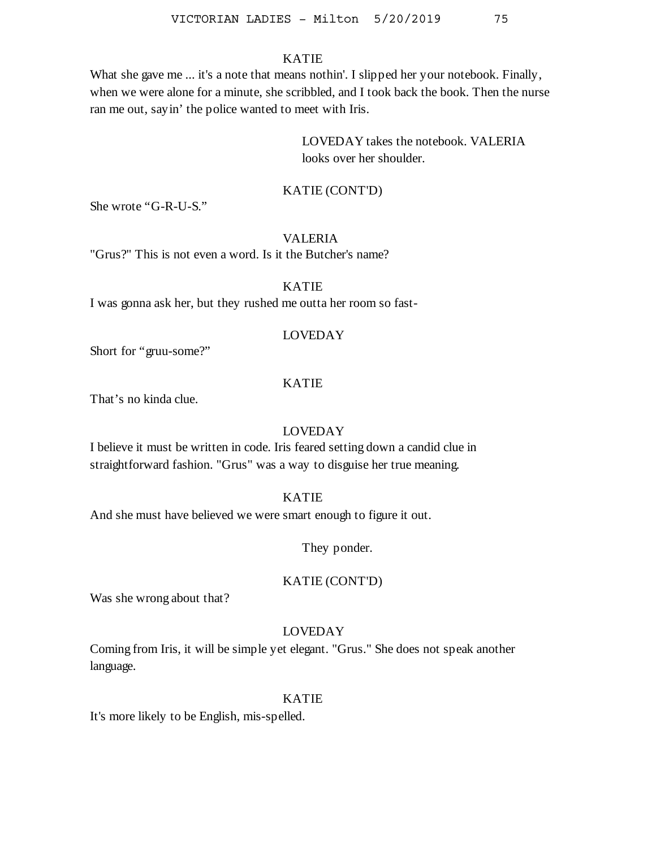What she gave me ... it's a note that means nothin'. I slipped her your notebook. Finally, when we were alone for a minute, she scribbled, and I took back the book. Then the nurse ran me out, sayin' the police wanted to meet with Iris.

> LOVEDAY takes the notebook. VALERIA looks over her shoulder.

## KATIE (CONT'D)

She wrote "G-R-U-S."

## VALERIA

"Grus?" This is not even a word. Is it the Butcher's name?

KATIE

I was gonna ask her, but they rushed me outta her room so fast-

## LOVEDAY

Short for "gruu-some?"

## KATIE

That's no kinda clue.

# LOVEDAY

I believe it must be written in code. Iris feared setting down a candid clue in straightforward fashion. "Grus" was a way to disguise her true meaning.

## KATIE

And she must have believed we were smart enough to figure it out.

They ponder.

## KATIE (CONT'D)

Was she wrong about that?

## LOVEDAY

Coming from Iris, it will be simple yet elegant. "Grus." She does not speak another language.

#### KATIE

It's more likely to be English, mis-spelled.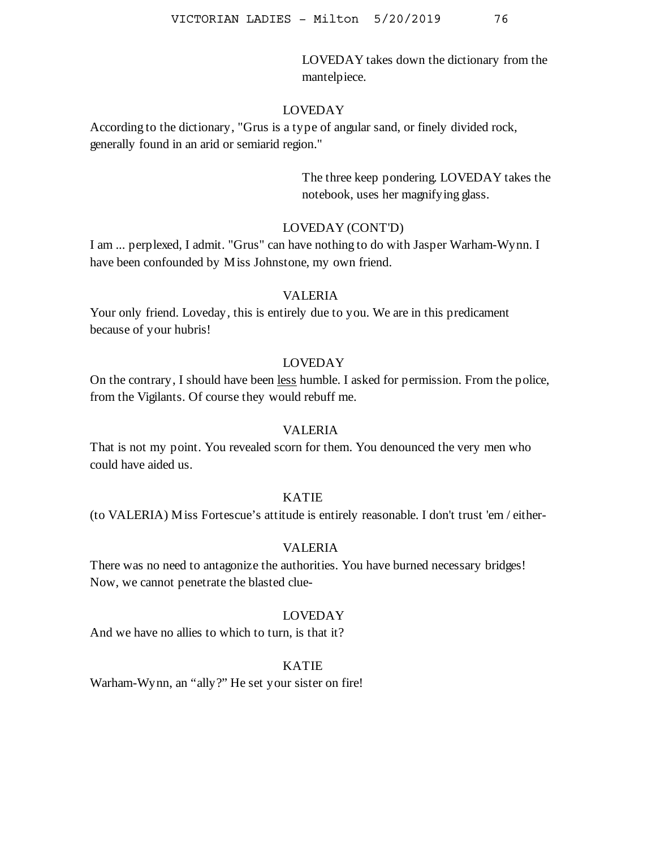LOVEDAY takes down the dictionary from the mantelpiece.

#### LOVEDAY

According to the dictionary, "Grus is a type of angular sand, or finely divided rock, generally found in an arid or semiarid region."

> The three keep pondering. LOVEDAY takes the notebook, uses her magnifying glass.

## LOVEDAY (CONT'D)

I am ... perplexed, I admit. "Grus" can have nothing to do with Jasper Warham-Wynn. I have been confounded by Miss Johnstone, my own friend.

#### VALERIA

Your only friend. Loveday, this is entirely due to you. We are in this predicament because of your hubris!

## LOVEDAY

On the contrary, I should have been less humble. I asked for permission. From the police, from the Vigilants. Of course they would rebuff me.

#### VALERIA

That is not my point. You revealed scorn for them. You denounced the very men who could have aided us.

## KATIE

(to VALERIA) Miss Fortescue's attitude is entirely reasonable. I don't trust 'em / either-

# VALERIA

There was no need to antagonize the authorities. You have burned necessary bridges! Now, we cannot penetrate the blasted clue-

# LOVEDAY

And we have no allies to which to turn, is that it?

# KATIE

Warham-Wynn, an "ally?" He set your sister on fire!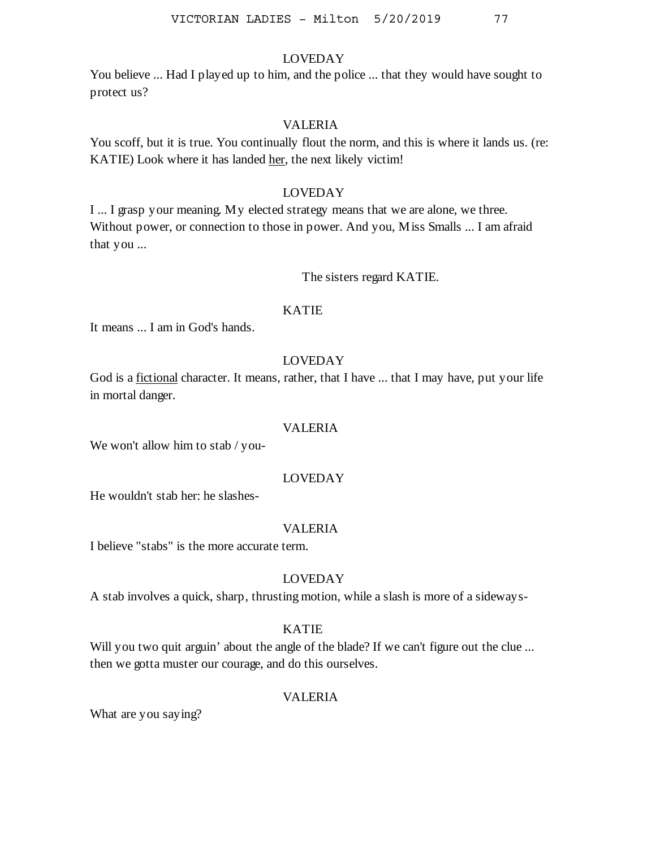You believe ... Had I played up to him, and the police ... that they would have sought to protect us?

# VALERIA

You scoff, but it is true. You continually flout the norm, and this is where it lands us. (re: KATIE) Look where it has landed her, the next likely victim!

# LOVEDAY

I ... I grasp your meaning. My elected strategy means that we are alone, we three. Without power, or connection to those in power. And you, Miss Smalls ... I am afraid that you ...

The sisters regard KATIE.

## KATIE

It means ... I am in God's hands.

# LOVEDAY

God is a fictional character. It means, rather, that I have ... that I may have, put your life in mortal danger.

#### VALERIA

We won't allow him to stab / you-

# LOVEDAY

He wouldn't stab her: he slashes-

#### VALERIA

I believe "stabs" is the more accurate term.

## LOVEDAY

A stab involves a quick, sharp, thrusting motion, while a slash is more of a sideways-

#### KATIE

Will you two quit arguin' about the angle of the blade? If we can't figure out the clue ... then we gotta muster our courage, and do this ourselves.

# VALERIA

What are you saying?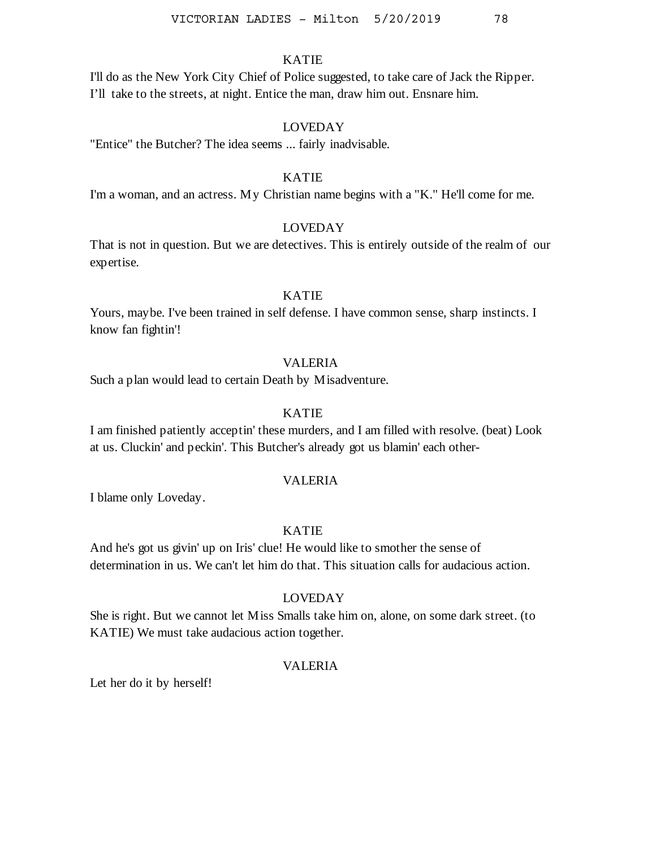I'll do as the New York City Chief of Police suggested, to take care of Jack the Ripper. I'll take to the streets, at night. Entice the man, draw him out. Ensnare him.

## LOVEDAY

"Entice" the Butcher? The idea seems ... fairly inadvisable.

## KATIE

I'm a woman, and an actress. My Christian name begins with a "K." He'll come for me.

#### LOVEDAY

That is not in question. But we are detectives. This is entirely outside of the realm of our expertise.

# KATIE

Yours, maybe. I've been trained in self defense. I have common sense, sharp instincts. I know fan fightin'!

## VALERIA

Such a plan would lead to certain Death by Misadventure.

# KATIE

I am finished patiently acceptin' these murders, and I am filled with resolve. (beat) Look at us. Cluckin' and peckin'. This Butcher's already got us blamin' each other-

#### VALERIA

I blame only Loveday.

# KATIE

And he's got us givin' up on Iris' clue! He would like to smother the sense of determination in us. We can't let him do that. This situation calls for audacious action.

### LOVEDAY

She is right. But we cannot let Miss Smalls take him on, alone, on some dark street. (to KATIE) We must take audacious action together.

# VALERIA

Let her do it by herself!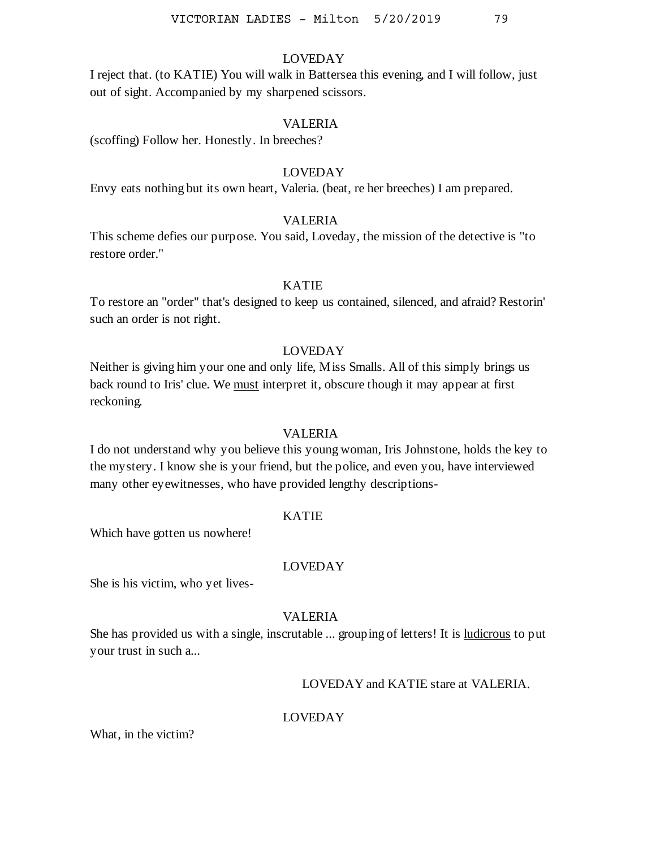I reject that. (to KATIE) You will walk in Battersea this evening, and I will follow, just out of sight. Accompanied by my sharpened scissors.

## VALERIA

(scoffing) Follow her. Honestly. In breeches?

# LOVEDAY

Envy eats nothing but its own heart, Valeria. (beat, re her breeches) I am prepared.

# VALERIA

This scheme defies our purpose. You said, Loveday, the mission of the detective is "to restore order."

## KATIE

To restore an "order" that's designed to keep us contained, silenced, and afraid? Restorin' such an order is not right.

## LOVEDAY

Neither is giving him your one and only life, Miss Smalls. All of this simply brings us back round to Iris' clue. We must interpret it, obscure though it may appear at first reckoning.

#### VALERIA

I do not understand why you believe this young woman, Iris Johnstone, holds the key to the mystery. I know she is your friend, but the police, and even you, have interviewed many other eyewitnesses, who have provided lengthy descriptions-

### KATIE

Which have gotten us nowhere!

#### LOVEDAY

She is his victim, who yet lives-

#### VALERIA

She has provided us with a single, inscrutable ... grouping of letters! It is ludicrous to put your trust in such a...

# LOVEDAY and KATIE stare at VALERIA.

#### LOVEDAY

What, in the victim?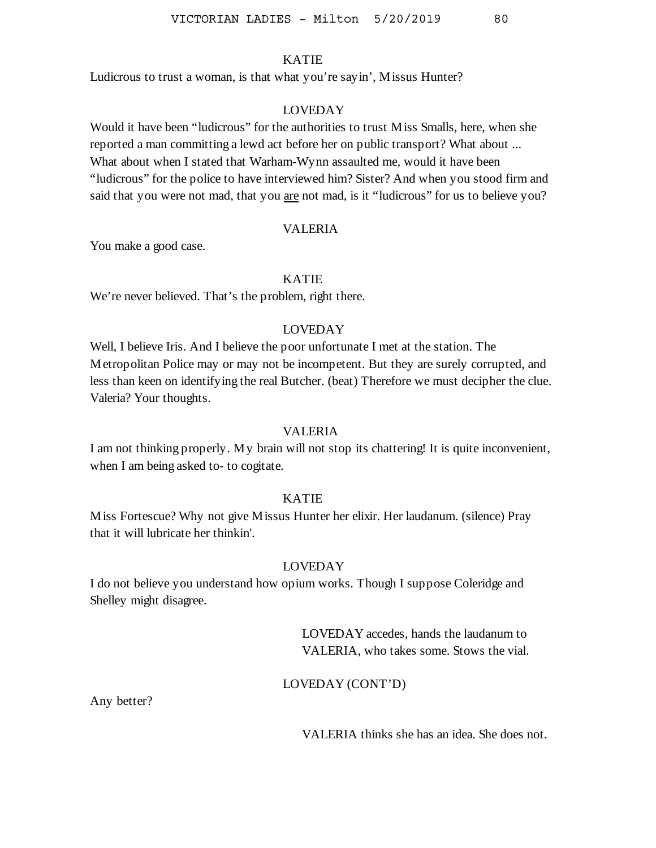Ludicrous to trust a woman, is that what you're sayin', Missus Hunter?

## LOVEDAY

Would it have been "ludicrous" for the authorities to trust Miss Smalls, here, when she reported a man committing a lewd act before her on public transport? What about ... What about when I stated that Warham-Wynn assaulted me, would it have been "ludicrous" for the police to have interviewed him? Sister? And when you stood firm and said that you were not mad, that you are not mad, is it "ludicrous" for us to believe you?

#### VALERIA

You make a good case.

# KATIE

We're never believed. That's the problem, right there.

# LOVEDAY

Well, I believe Iris. And I believe the poor unfortunate I met at the station. The Metropolitan Police may or may not be incompetent. But they are surely corrupted, and less than keen on identifying the real Butcher. (beat) Therefore we must decipher the clue. Valeria? Your thoughts.

#### VALERIA

I am not thinking properly. My brain will not stop its chattering! It is quite inconvenient, when I am being asked to- to cogitate.

## KATIE

Miss Fortescue? Why not give Missus Hunter her elixir. Her laudanum. (silence) Pray that it will lubricate her thinkin'.

#### LOVEDAY

I do not believe you understand how opium works. Though I suppose Coleridge and Shelley might disagree.

> LOVEDAY accedes, hands the laudanum to VALERIA, who takes some. Stows the vial.

LOVEDAY (CONT'D)

Any better?

VALERIA thinks she has an idea. She does not.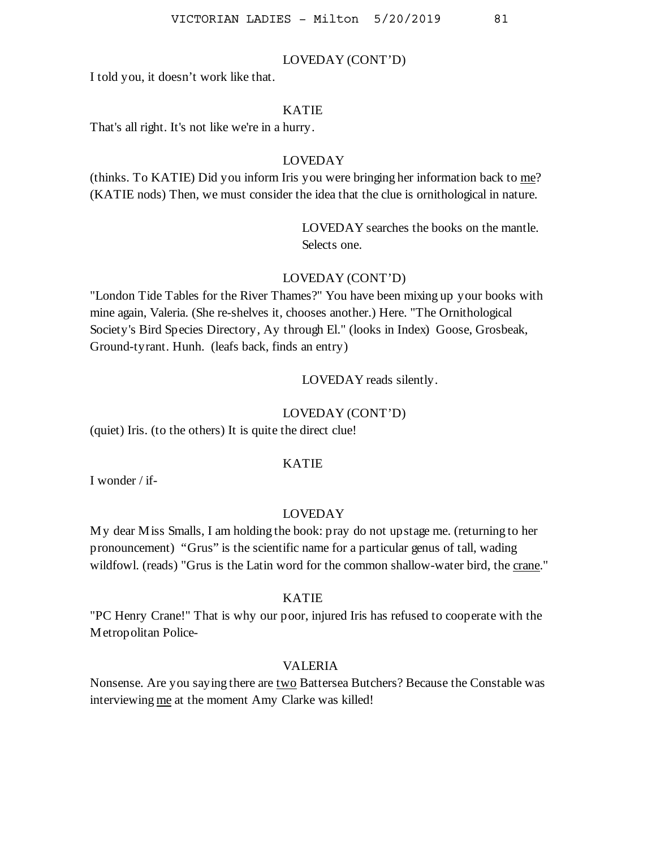#### LOVEDAY (CONT'D)

I told you, it doesn't work like that.

#### KATIE

That's all right. It's not like we're in a hurry.

# LOVEDAY

(thinks. To KATIE) Did you inform Iris you were bringing her information back to me? (KATIE nods) Then, we must consider the idea that the clue is ornithological in nature.

> LOVEDAY searches the books on the mantle. Selects one.

# LOVEDAY (CONT'D)

"London Tide Tables for the River Thames?" You have been mixing up your books with mine again, Valeria. (She re-shelves it, chooses another.) Here. "The Ornithological Society's Bird Species Directory, Ay through El." (looks in Index) Goose, Grosbeak, Ground-tyrant. Hunh. (leafs back, finds an entry)

## LOVEDAY reads silently.

#### LOVEDAY (CONT'D)

(quiet) Iris. (to the others) It is quite the direct clue!

#### KATIE

I wonder / if-

#### LOVEDAY

My dear Miss Smalls, I am holding the book: pray do not upstage me. (returning to her pronouncement) "Grus" is the scientific name for a particular genus of tall, wading wildfowl. (reads) "Grus is the Latin word for the common shallow-water bird, the crane."

#### KATIE

"PC Henry Crane!" That is why our poor, injured Iris has refused to cooperate with the Metropolitan Police-

## VALERIA

Nonsense. Are you saying there are two Battersea Butchers? Because the Constable was interviewing me at the moment Amy Clarke was killed!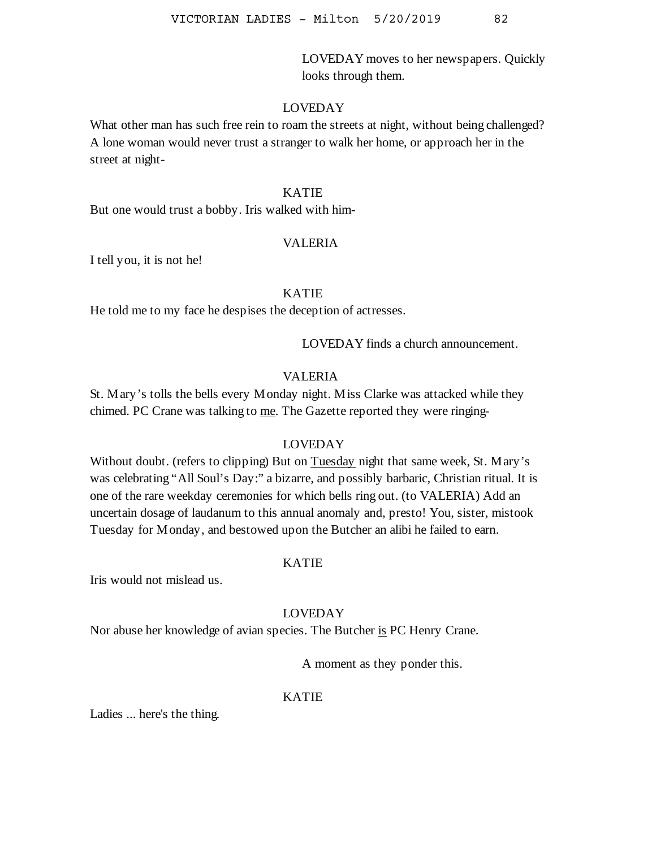LOVEDAY moves to her newspapers. Quickly looks through them.

## LOVEDAY

What other man has such free rein to roam the streets at night, without being challenged? A lone woman would never trust a stranger to walk her home, or approach her in the street at night-

### KATIE

But one would trust a bobby. Iris walked with him-

#### VALERIA

I tell you, it is not he!

# KATIE

He told me to my face he despises the deception of actresses.

LOVEDAY finds a church announcement.

## VALERIA

St. Mary's tolls the bells every Monday night. Miss Clarke was attacked while they chimed. PC Crane was talking to me. The Gazette reported they were ringing-

## LOVEDAY

Without doubt. (refers to clipping) But on Tuesday night that same week, St. Mary's was celebrating "All Soul's Day:" a bizarre, and possibly barbaric, Christian ritual. It is one of the rare weekday ceremonies for which bells ring out. (to VALERIA) Add an uncertain dosage of laudanum to this annual anomaly and, presto! You, sister, mistook Tuesday for Monday, and bestowed upon the Butcher an alibi he failed to earn.

#### KATIE

Iris would not mislead us.

## LOVEDAY

Nor abuse her knowledge of avian species. The Butcher is PC Henry Crane.

A moment as they ponder this.

# KATIE

Ladies ... here's the thing.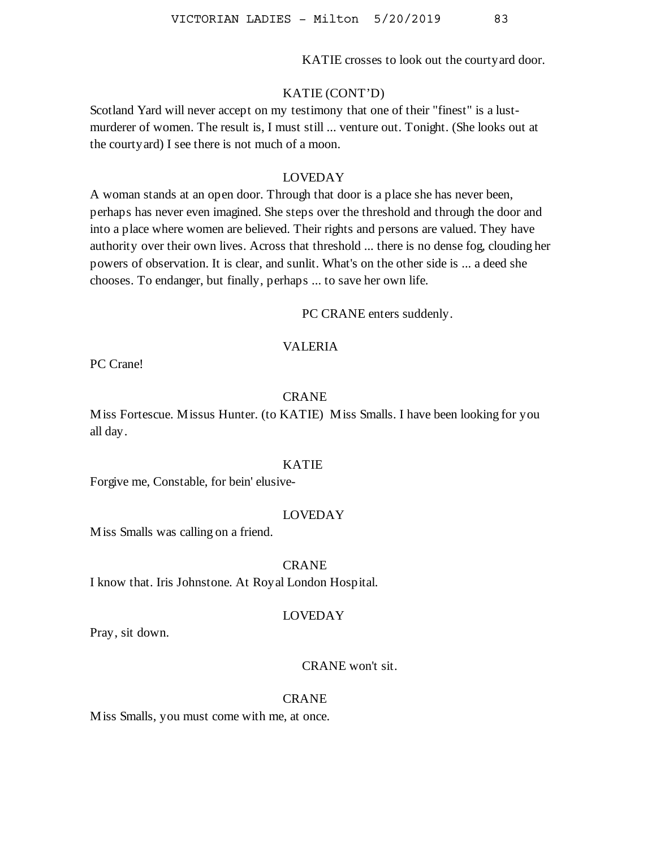KATIE crosses to look out the courtyard door.

#### KATIE (CONT'D)

Scotland Yard will never accept on my testimony that one of their "finest" is a lustmurderer of women. The result is, I must still ... venture out. Tonight. (She looks out at the courtyard) I see there is not much of a moon.

## LOVEDAY

A woman stands at an open door. Through that door is a place she has never been, perhaps has never even imagined. She steps over the threshold and through the door and into a place where women are believed. Their rights and persons are valued. They have authority over their own lives. Across that threshold ... there is no dense fog, clouding her powers of observation. It is clear, and sunlit. What's on the other side is ... a deed she chooses. To endanger, but finally, perhaps ... to save her own life.

PC CRANE enters suddenly.

#### VALERIA

PC Crane!

## CRANE

Miss Fortescue. Missus Hunter. (to KATIE) Miss Smalls. I have been looking for you all day.

#### KATIE

Forgive me, Constable, for bein' elusive-

#### LOVEDAY

Miss Smalls was calling on a friend.

#### CRANE

I know that. Iris Johnstone. At Royal London Hospital.

#### LOVEDAY

Pray, sit down.

# CRANE won't sit.

#### CRANE

Miss Smalls, you must come with me, at once.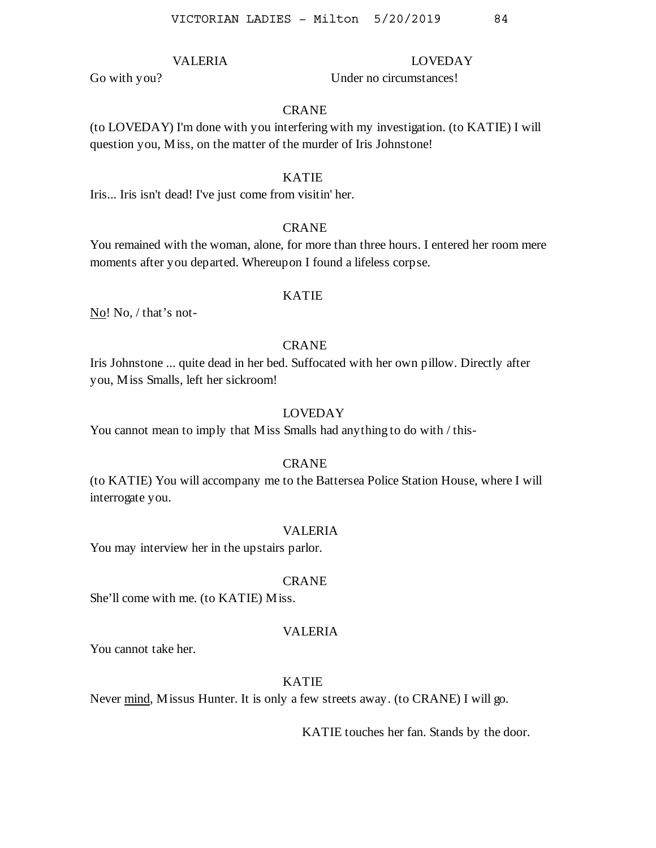# VALERIA

Under no circumstances!

LOVEDAY

### **CRANE**

(to LOVEDAY) I'm done with you interfering with my investigation. (to KATIE) I will question you, Miss, on the matter of the murder of Iris Johnstone!

#### KATIE

Iris... Iris isn't dead! I've just come from visitin' her.

#### CRANE

You remained with the woman, alone, for more than three hours. I entered her room mere moments after you departed. Whereupon I found a lifeless corpse.

## KATIE

No! No, / that's not-

#### CRANE

Iris Johnstone ... quite dead in her bed. Suffocated with her own pillow. Directly after you, Miss Smalls, left her sickroom!

## LOVEDAY

You cannot mean to imply that Miss Smalls had anything to do with / this-

#### **CRANE**

(to KATIE) You will accompany me to the Battersea Police Station House, where I will interrogate you.

## VALERIA

You may interview her in the upstairs parlor.

#### CRANE

She'll come with me. (to KATIE) Miss.

#### VALERIA

You cannot take her.

# KATIE

Never mind, Missus Hunter. It is only a few streets away. (to CRANE) I will go.

KATIE touches her fan. Stands by the door.

Go with you?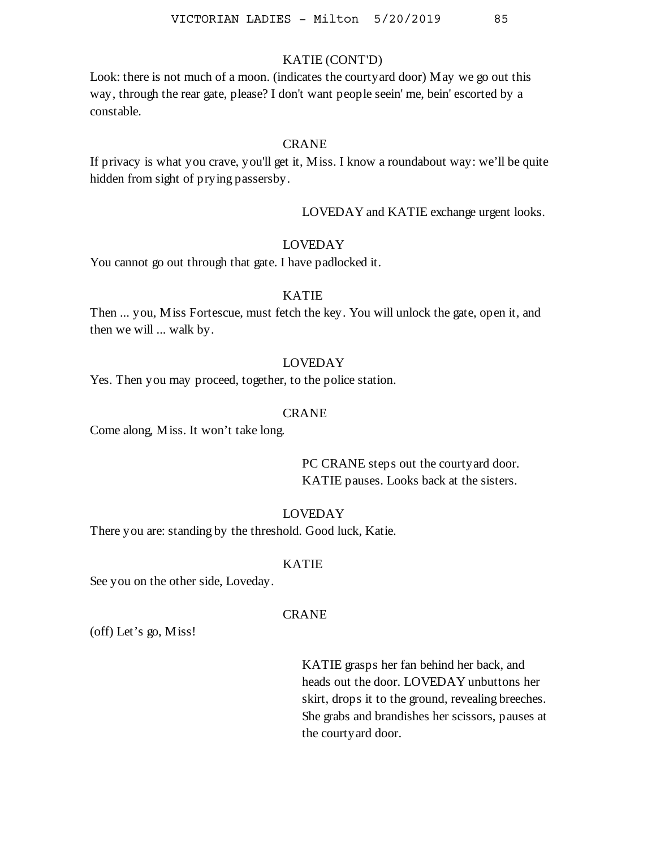# KATIE (CONT'D)

Look: there is not much of a moon. (indicates the courtyard door) May we go out this way, through the rear gate, please? I don't want people seein' me, bein' escorted by a constable.

#### CRANE

If privacy is what you crave, you'll get it, Miss. I know a roundabout way: we'll be quite hidden from sight of prying passersby.

LOVEDAY and KATIE exchange urgent looks.

## LOVEDAY

You cannot go out through that gate. I have padlocked it.

## KATIE

Then ... you, Miss Fortescue, must fetch the key. You will unlock the gate, open it, and then we will ... walk by.

#### LOVEDAY

Yes. Then you may proceed, together, to the police station.

#### CRANE

Come along, Miss. It won't take long.

PC CRANE steps out the courtyard door. KATIE pauses. Looks back at the sisters.

## LOVEDAY

There you are: standing by the threshold. Good luck, Katie.

#### KATIE

See you on the other side, Loveday.

#### **CRANE**

(off) Let's go, Miss!

KATIE grasps her fan behind her back, and heads out the door. LOVEDAY unbuttons her skirt, drops it to the ground, revealing breeches. She grabs and brandishes her scissors, pauses at the courtyard door.